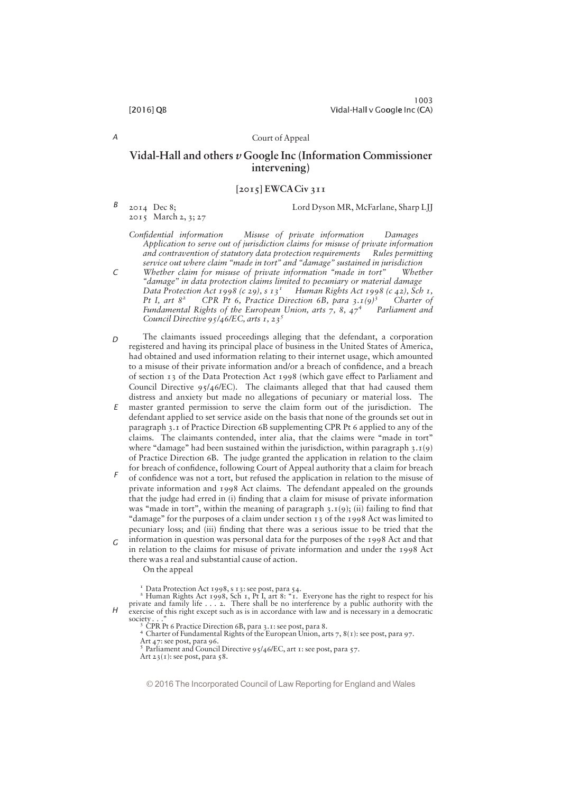A

 $\Gamma$ 

# Court of Appeal

# Vidal-Hall and others  $\nu$  Google Inc (Information Commissioner intervening)

# $[2015]$  EWCA Civ 311

2014 Dec 8; 2015 March 2, 3; 27 B

Lord Dyson MR, McFarlane, Sharp LJJ

Confidential information Misuse of private information Damages Application to serve out of jurisdiction claims for misuse of private information and contravention of statutory data protection requirements Rules permitting service out where claim "made in tort" and "damage" sustained in jurisdiction

Whether claim for misuse of private information "made in tort" Whether "damage" in data protection claims limited to pecuniary or material damage Data Protection Act 1998 (c 29), s  $13^1$  Human Rights Act 1998 (c 42), Sch 1, Pt I, art  $8^2$  CPR Pt 6, Practice Direction 6B, para 3.1(9) Human Rights Act 1998 (c 42), Sch 1,<br>ection 6B, para 3.1(9)<sup>3</sup> Charter of Fundamental Rights of the European Union, arts 7, 8,  $47<sup>4</sup>$  Parliament and Council Directive  $95/46/EC$ , arts 1, 23<sup>5</sup>

- The claimants issued proceedings alleging that the defendant, a corporation registered and having its principal place of business in the United States of America, had obtained and used information relating to their internet usage, which amounted to a misuse of their private information and/or a breach of confidence, and a breach of section  $13$  of the Data Protection Act 1998 (which gave effect to Parliament and Council Directive 95/46/EC). The claimants alleged that that had caused them distress and anxiety but made no allegations of pecuniary or material loss. The  $\Gamma$
- master granted permission to serve the claim form out of the jurisdiction. The defendant applied to set service aside on the basis that none of the grounds set out in paragraph 3.1 of Practice Direction 6B supplementing CPR Pt 6 applied to any of the claims. The claimants contended, inter alia, that the claims were "made in tort" where "damage" had been sustained within the jurisdiction, within paragraph  $3.1(9)$ of Practice Direction 6B. The judge granted the application in relation to the claim for breach of confidence, following Court of Appeal authority that a claim for breach E
- of confidence was not a tort, but refused the application in relation to the misuse of private information and 1998 Act claims. The defendant appealed on the grounds that the judge had erred in (i) finding that a claim for misuse of private information was "made in tort", within the meaning of paragraph  $3.1(9)$ ; (ii) failing to find that "damage" for the purposes of a claim under section  $13$  of the 1998 Act was limited to pecuniary loss; and (iii) finding that there was a serious issue to be tried that the F
- information in question was personal data for the purposes of the 1998 Act and that in relation to the claims for misuse of private information and under the 1998 Act there was a real and substantial cause of action. G

On the appeal

 $H$ <sup>1</sup> Data Protection Act 1998, s 13: see post, para 54.<br><sup>2</sup> Human Rights Act 1998, Sch 1, Pt I, art 8: "1. Everyone has the right to respect for his private and family life . . . 2. There shall be no interference by a publ

society . . . "<br><sup>3</sup> CPR Pt 6 Practice Direction 6B, para 3.1: see post, para 8.<br><sup>4</sup> Charter of Fundamental Rights of the European Union, arts 7, 8(1): see post, para 97.

Art 47: see post, para 96.<br>
<sup>5</sup> Parliament and Council Directive 95/46/EC, art 1: see post, para 57.

Art  $23(i)$ : see post, para 58.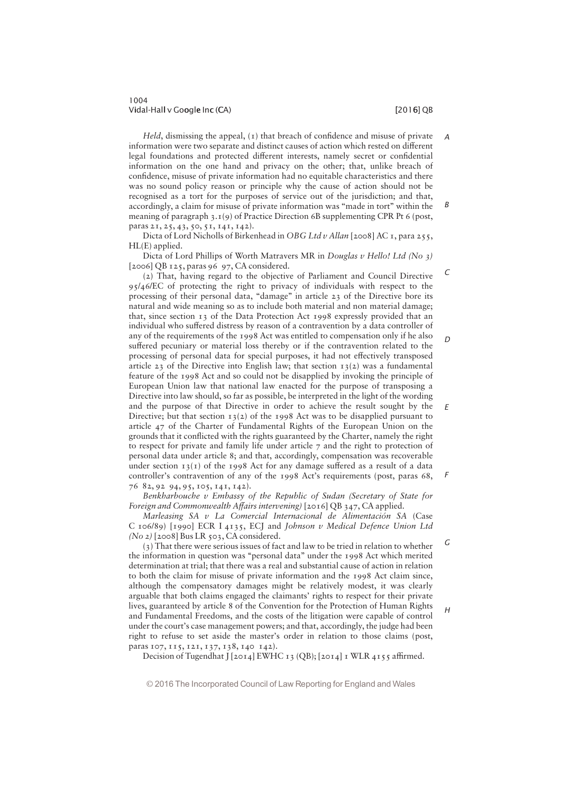# 1004 Vidal-Hall v Google Inc (CA) i later than the control of the control of  $[2016]$  QB

G

 $H$ 

Held, dismissing the appeal,  $(1)$  that breach of confidence and misuse of private information were two separate and distinct causes of action which rested on different legal foundations and protected different interests, namely secret or confidential information on the one hand and privacy on the other; that, unlike breach of confidence, misuse of private information had no equitable characteristics and there was no sound policy reason or principle why the cause of action should not be recognised as a tort for the purposes of service out of the jurisdiction; and that, accordingly, a claim for misuse of private information was "made in tort" within the meaning of paragraph 3.1(9) of Practice Direction 6B supplementing CPR Pt 6 (post, paras 21, 25, 43, 50, 51, 141, 142). A B

Dicta of Lord Nicholls of Birkenhead in OBG Ltd v Allan [2008] AC 1, para 255, HL(E) applied.

Dicta of Lord Phillips of Worth Matravers MR in Douglas v Hello! Ltd (No 3) [2006] QB 125, paras 96 97, CA considered.

(2) That, having regard to the objective of Parliament and Council Directive 95/46/EC of protecting the right to privacy of individuals with respect to the processing of their personal data, "damage" in article 23 of the Directive bore its natural and wide meaning so as to include both material and non material damage; that, since section 13 of the Data Protection Act 1998 expressly provided that an individual who suffered distress by reason of a contravention by a data controller of any of the requirements of the 1998 Act was entitled to compensation only if he also suffered pecuniary or material loss thereby or if the contravention related to the processing of personal data for special purposes, it had not effectively transposed article 23 of the Directive into English law; that section  $13(2)$  was a fundamental feature of the 1998 Act and so could not be disapplied by invoking the principle of European Union law that national law enacted for the purpose of transposing a Directive into law should, so far as possible, be interpreted in the light of the wording and the purpose of that Directive in order to achieve the result sought by the Directive; but that section  $13(2)$  of the 1998 Act was to be disapplied pursuant to article 47 of the Charter of Fundamental Rights of the European Union on the grounds that it conflicted with the rights guaranteed by the Charter, namely the right to respect for private and family life under article  $\tau$  and the right to protection of personal data under article 8; and that, accordingly, compensation was recoverable under section  $13(I)$  of the 1998 Act for any damage suffered as a result of a data controller's contravention of any of the 1998 Act's requirements (post, paras  $68$ , 76 82, 92 94, 95, 105, 141, 142).  $\mathcal{C}$ D E F

Benkharbouche v Embassy of the Republic of Sudan (Secretary of State for Foreign and Commonwealth Affairs intervening)  $[2016]$  QB 347, CA applied.

Marleasing SA  $v$  La Comercial Internacional de Alimentación SA (Case C 106/89) [1990] ECR I 4135, ECJ and Johnson v Medical Defence Union Ltd  $(No 2)$  [2008] Bus LR 503, CA considered.

(3) That there were serious issues of fact and law to be tried in relation to whether the information in question was "personal data" under the 1998 Act which merited determination at trial; that there was a real and substantial cause of action in relation to both the claim for misuse of private information and the 1998 Act claim since, although the compensatory damages might be relatively modest, it was clearly arguable that both claims engaged the claimants' rights to respect for their private lives, guaranteed by article 8 of the Convention for the Protection of Human Rights and Fundamental Freedoms, and the costs of the litigation were capable of control under the court's case management powers; and that, accordingly, the judge had been right to refuse to set aside the master's order in relation to those claims (post, paras 107, 115, 121, 137, 138, 140 142).

Decision of Tugendhat J [2014] EWHC 13 (QB); [2014] 1 WLR 4155 affirmed.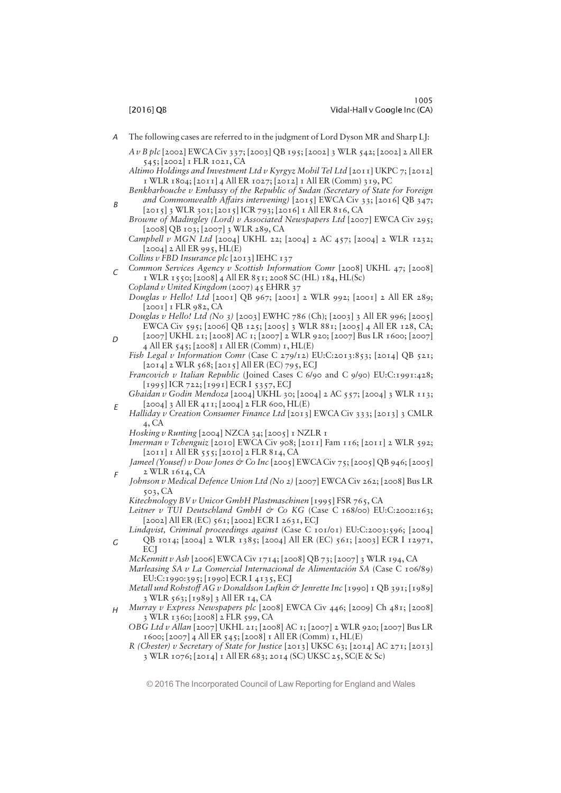$\Gamma$ 

E

F

G

The following cases are referred to in the judgment of Lord Dyson MR and Sharp LJ: A

A v B plc [2002] EWCA Civ 337; [2003] QB 195; [2002] 3 WLR 542; [2002] 2 All ER 545; [2002] 1 FLR 1021, CA

- Altimo Holdings and Investment Ltd v Kyrgyz Mobil Tel Ltd [2011] UKPC 7; [2012] 1 WLR 1804; [2011] 4 All ER 1027; [2012] 1 All ER (Comm) 319, PC
- Benkharbouche v Embassy of the Republic of Sudan (Secretary of State for Foreign and Commonwealth Affairs intervening)  $[2015]$  EWCA Civ 33;  $[2016]$  QB 347; [2015] 3 WLR 301; [2015] ICR 793; [2016] 1 All ER 816, CA B

Browne of Madingley (Lord) v Associated Newspapers Ltd [2007] EWCA Civ 295; [2008] QB 103; [2007] 3 WLR 289, CA

Campbell v MGN Ltd [2004] UKHL 22; [2004] 2 AC 457; [2004] 2 WLR 1232; [2004] 2 All ER 995, HL(E)

Collins v FBD Insurance plc [2013] IEHC 137

 $\epsilon$  Common Services Agency v Scottish Information Comr [2008] UKHL 47; [2008] 1 WLR 1550; [2008] 4 All ER 851; 2008 SC (HL) 184, HL(Sc) Copland v United Kingdom (2007) 45 EHRR 37

Douglas v Hello! Ltd [2001] QB 967; [2001] 2 WLR 992; [2001] 2 All ER 289; [2001] I FLR 982, CA

Douglas v Hello! Ltd (No 3) [2003] EWHC 786 (Ch); [2003] 3 All ER 996; [2005] EWCA Civ 595; [2006] QB 125; [2005] 3 WLR 881; [2005] 4 All ER 128, CA; [2007] UKHL 21; [2008] AC 1; [2007] 2 WLR 920; [2007] Bus LR 1600; [2007]

4 All ER 545; [2008] 1 All ER (Comm) 1, HL(E) Fish Legal v Information Comr (Case C 279/12) EU:C:2013:853; [2014] QB 521; [2014] 2 WLR 568; [2015] All ER (EC) 795, ECJ

Francovich v Italian Republic (Joined Cases C 6/90 and C 9/90) EU:C:1991:428; [1995] ICR 722; [1991] ECR I 5357, ECJ

- Ghaidan v Godin Mendoza [2004] UKHL 30; [2004] 2 AC 557; [2004] 3 WLR 113; [2004] 3 All ER 411; [2004] 2 FLR 600, HL(E)
- Halliday v Creation Consumer Finance Ltd [2013] EWCA Civ 333; [2013] 3 CMLR 4, CA

Hosking v Runting  $[2004]$  NZCA 34;  $[2005]$  I NZLR I

Imerman v Tchenguiz [2010] EWCA Civ 908; [2011] Fam 116; [2011] 2 WLR 592; [2011] 1 All ER 555; [2010] 2 FLR 814, CA

Jameel (Yousef) v Dow Jones & Co Inc  $[2005]$  EWCA Civ 75;  $[2005]$  QB 946;  $[2005]$ 2 WLR 1614, CA

Johnson v Medical Defence Union Ltd (No 2) [2007] EWCA Civ 262; [2008] Bus LR 503, CA

Kitechnology BV v Unicor GmbH Plastmaschinen [1995] FSR 765, CA

Leitner v TUI Deutschland GmbH & Co KG (Case C  $168/00$ ) EU:C:2002:163; [2002] All ER (EC) 561; [2002] ECR I 2631, ECJ

Lindqvist, Criminal proceedings against (Case C 101/01) EU:C:2003:596; [2004] QB 1014; [2004] 2 WLR 1385; [2004] All ER (EC) 561; [2003] ECR I 12971, **EC** 

McKennitt v Ash [2006] EWCA Civ 1714; [2008] QB 73; [2007] 3 WLR 194, CA

Marleasing SA v La Comercial Internacional de Alimentación SA (Case C 106/89) EU:C:1990:395; [1990] ECR I 4135, ECJ

Metall und Rohstoff AG v Donaldson Lufkin & Jenrette Inc [1990] 1 QB 391; [1989] 3 WLR 563; [1989] 3 All ER 14, CA

Murray v Express Newspapers plc [2008] EWCA Civ 446; [2009] Ch 481; [2008] 3 WLR 1360; [2008] 2 FLR 599, CA  $H$ 

OBG Ltd v Allan [2007] UKHL 21; [2008] AC 1; [2007] 2 WLR 920; [2007] Bus LR 1600; [2007] 4 All ER 545; [2008] 1 All ER (Comm) 1, HL(E)

R (Chester) v Secretary of State for Justice  $[2013]$  UKSC 63;  $[2014]$  AC 271;  $[2013]$ 3 WLR 1076; [2014] 1 All ER 683; 2014 (SC) UKSC 25, SC(E & Sc)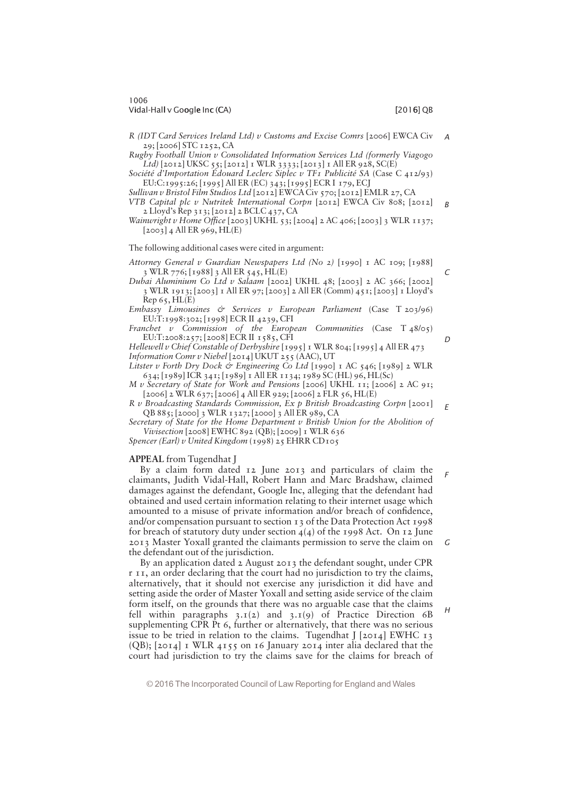C

 $\overline{D}$ 

H

R (IDT Card Services Ireland Ltd) v Customs and Excise Comrs [2006] EWCA Civ 29; [2006] STC 1252, CA A

Rugby Football Union v Consolidated Information Services Ltd (formerly Viagogo Ltd) [2012] UKSC 55; [2012] 1 WLR 3333; [2013] 1 All ER 928, SC(E)

Société d'Importation Édouard Leclerc Siplec v TF1 Publicité SA (Case C  $412/93$ ) EU:C:1995:26; [1995] All ER (EC) 343; [1995] ECR I 179, ECJ

Sullivan v Bristol Film Studios Ltd [2012] EWCA Civ 570; [2012] EMLR 27, CA

VTB Capital plc v Nutritek International Corpn [2012] EWCA Civ 808; [2012]  $2$  Lloyd's Rep 313; [2012]  $2$  BCLC 437, CA B

Wainwright v Home Office [2003] UKHL 53; [2004] 2 AC 406; [2003] 3 WLR 1137;  $[2003]$  4 All ER 969, HL(E)

The following additional cases were cited in argument:

Attorney General v Guardian Newspapers Ltd (No 2) [1990] 1 AC 109; [1988] 3 WLR 776; [1988] 3 All ER 545, HL(E)

Dubai Aluminium Co Ltd v Salaam [2002] UKHL 48; [2003] 2 AC 366; [2002] 3 WLR 1913; [2003] 1 All ER 97; [2003] 2 All ER (Comm) 451; [2003] 1 Lloyd's  $Rep 65, H L(E)$ 

Embassy Limousines  $\breve{\sigma}$  Services v European Parliament (Case T 203/96) EU:T:1998:302; [1998] ECR II 4239, CFI

Franchet v Commission of the European Communities (Case  $T_{48/05}$ ) EU:T:2008:257; [2008] ECR II 1585, CFI

Hellewell v Chief Constable of Derbyshire  $[1995]$  I WLR 804;  $[1995]$  4 All ER 473 Information Comr v Niebel [2014] UKUT 255 (AAC), UT

Litster v Forth Dry Dock & Engineering Co Ltd [1990] 1 AC 546; [1989] 2 WLR 634; [1989] ICR 341; [1989] 1 All ER 1134; 1989 SC (HL) 96, HL(Sc)

M v Secretary of State for Work and Pensions [2006] UKHL 11; [2006] 2 AC 91; [2006] 2 WLR 637; [2006] 4 All ER 929; [2006] 2 FLR 56, HL(E)

R v Broadcasting Standards Commission, Ex p British Broadcasting Corpn [2001] QB 885; [2000] 3 WLR 1327; [2000] 3 All ER 989, CA E

Secretary of State for the Home Department v British Union for the Abolition of Vivisection [2008] EWHC 892 (QB); [2009] 1 WLR 636

Spencer (Earl) v United Kingdom (1998) 25 EHRR CD105

# APPEAL from Tugendhat J

By a claim form dated 12 June 2013 and particulars of claim the claimants, Judith Vidal-Hall, Robert Hann and Marc Bradshaw, claimed damages against the defendant, Google Inc, alleging that the defendant had obtained and used certain information relating to their internet usage which amounted to a misuse of private information and/or breach of confidence, and/or compensation pursuant to section 13 of the Data Protection Act 1998 for breach of statutory duty under section  $4(4)$  of the 1998 Act. On 12 June 2013 Master Yoxall granted the claimants permission to serve the claim on the defendant out of the jurisdiction. F G

By an application dated 2 August 2013 the defendant sought, under CPR r 11, an order declaring that the court had no jurisdiction to try the claims, alternatively, that it should not exercise any jurisdiction it did have and setting aside the order of Master Yoxall and setting aside service of the claim form itself, on the grounds that there was no arguable case that the claims fell within paragraphs  $3.1(2)$  and  $3.1(9)$  of Practice Direction 6B supplementing CPR Pt 6, further or alternatively, that there was no serious issue to be tried in relation to the claims. Tugendhat  $J$  [2014] EWHC 13 (QB); [2014] 1 WLR 4155 on 16 January 2014 inter alia declared that the court had jurisdiction to try the claims save for the claims for breach of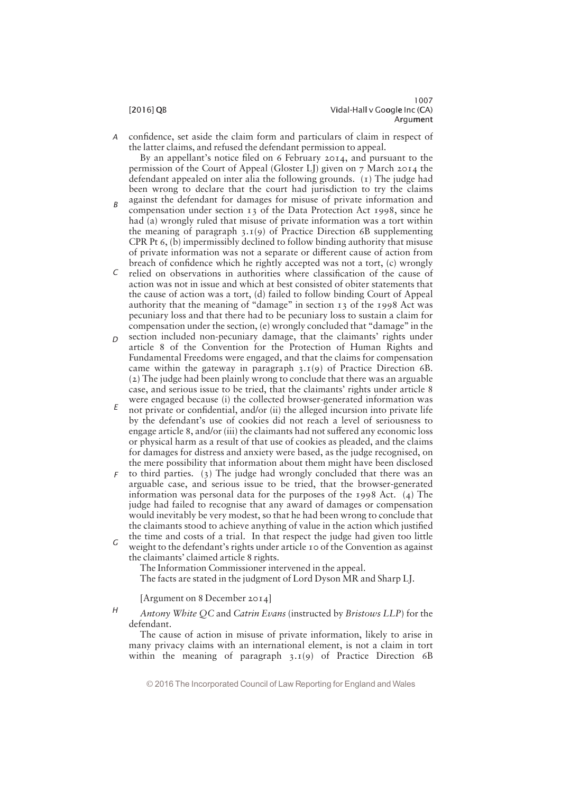confidence, set aside the claim form and particulars of claim in respect of the latter claims, and refused the defendant permission to appeal. A

By an appellant's notice filed on 6 February 2014, and pursuant to the permission of the Court of Appeal (Gloster LJ) given on 7 March 2014 the defendant appealed on inter alia the following grounds. (1) The judge had been wrong to declare that the court had jurisdiction to try the claims

- against the defendant for damages for misuse of private information and compensation under section 13 of the Data Protection Act 1998, since he had (a) wrongly ruled that misuse of private information was a tort within the meaning of paragraph  $3.1(9)$  of Practice Direction 6B supplementing CPR Pt 6, (b) impermissibly declined to follow binding authority that misuse of private information was not a separate or different cause of action from breach of confidence which he rightly accepted was not a tort,  $(c)$  wrongly B
- relied on observations in authorities where classification of the cause of action was not in issue and which at best consisted of obiter statements that the cause of action was a tort, (d) failed to follow binding Court of Appeal authority that the meaning of "damage" in section 13 of the 1998 Act was pecuniary loss and that there had to be pecuniary loss to sustain a claim for compensation under the section, (e) wrongly concluded that "damage" in the C
- section included non-pecuniary damage, that the claimants' rights under article 8 of the Convention for the Protection of Human Rights and Fundamental Freedoms were engaged, and that the claims for compensation came within the gateway in paragraph 3.1(9) of Practice Direction 6B. (2) The judge had been plainly wrong to conclude that there was an arguable case, and serious issue to be tried, that the claimants' rights under article 8 were engaged because (i) the collected browser-generated information was  $\Gamma$
- not private or confidential, and/or (ii) the alleged incursion into private life by the defendant's use of cookies did not reach a level of seriousness to engage article 8, and/or (iii) the claimants had not suffered any economic loss or physical harm as a result of that use of cookies as pleaded, and the claims for damages for distress and anxiety were based, as the judge recognised, on the mere possibility that information about them might have been disclosed E
- to third parties. (3) The judge had wrongly concluded that there was an arguable case, and serious issue to be tried, that the browser-generated information was personal data for the purposes of the 1998 Act. (4) The judge had failed to recognise that any award of damages or compensation would inevitably be very modest, so that he had been wrong to conclude that the claimants stood to achieve anything of value in the action which justified the time and costs of a trial. In that respect the judge had given too little F
- weight to the defendant's rights under article 10 of the Convention as against the claimants' claimed article 8 rights. G

The Information Commissioner intervened in the appeal.

The facts are stated in the judgment of Lord Dyson MR and Sharp LJ.

[Argument on 8 December 2014]

Antony White QC and Catrin Evans (instructed by Bristows LLP) for the defendant.  $H$ 

The cause of action in misuse of private information, likely to arise in many privacy claims with an international element, is not a claim in tort within the meaning of paragraph 3.1(9) of Practice Direction 6B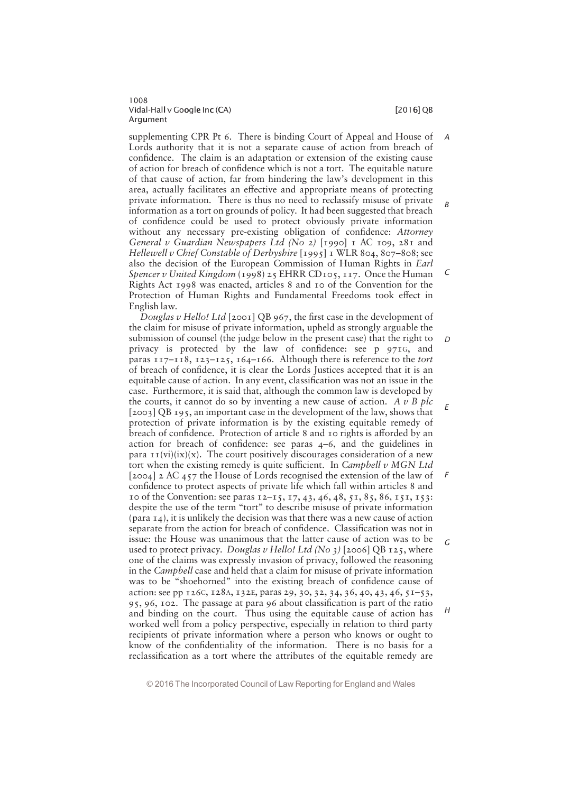supplementing CPR Pt 6. There is binding Court of Appeal and House of Lords authority that it is not a separate cause of action from breach of confidence. The claim is an adaptation or extension of the existing cause of action for breach of confidence which is not a tort. The equitable nature of that cause of action, far from hindering the law's development in this area, actually facilitates an effective and appropriate means of protecting private information. There is thus no need to reclassify misuse of private information as a tort on grounds of policy. It had been suggested that breach of confidence could be used to protect obviously private information without any necessary pre-existing obligation of confidence: Attorney General v Guardian Newspapers Ltd (No 2) [1990]  $\text{I}$  AC 109, 281 and Hellewell v Chief Constable of Derbyshire [1995] 1 WLR 804, 807—808; see also the decision of the European Commission of Human Rights in Earl Spencer v United Kingdom (1998)  $25$  EHRR CD105, 117. Once the Human Rights Act 1998 was enacted, articles 8 and 10 of the Convention for the Protection of Human Rights and Fundamental Freedoms took effect in English law. A B C

Douglas v Hello! Ltd [2001] OB 967, the first case in the development of the claim for misuse of private information, upheld as strongly arguable the submission of counsel (the judge below in the present case) that the right to privacy is protected by the law of confidence: see  $p$  971G, and paras  $117-118$ ,  $123-125$ ,  $164-166$ . Although there is reference to the *tort* of breach of confidence, it is clear the Lords Justices accepted that it is an equitable cause of action. In any event, classification was not an issue in the case. Furthermore, it is said that, although the common law is developed by the courts, it cannot do so by inventing a new cause of action. A  $\nu$  B plc [2003] QB 195, an important case in the development of the law, shows that protection of private information is by the existing equitable remedy of breach of confidence. Protection of article 8 and 10 rights is afforded by an action for breach of confidence: see paras  $4-6$ , and the guidelines in para  $\text{I}(\text{vi})(\text{ix})(x)$ . The court positively discourages consideration of a new tort when the existing remedy is quite sufficient. In Campbell  $\nu$  MGN Ltd [2004] 2 AC 457 the House of Lords recognised the extension of the law of confidence to protect aspects of private life which fall within articles 8 and 10 of the Convention: see paras 12—15, 17, 43, 46, 48, 51, 85, 86, 151, 153: despite the use of the term "tort" to describe misuse of private information  $(para I<sub>4</sub>)$ , it is unlikely the decision was that there was a new cause of action separate from the action for breach of confidence. Classification was not in issue: the House was unanimous that the latter cause of action was to be used to protect privacy. Douglas v Hello! Ltd (No 3) [2006] QB 125, where one of the claims was expressly invasion of privacy, followed the reasoning in the Campbell case and held that a claim for misuse of private information was to be "shoehorned" into the existing breach of confidence cause of action: see pp 126C, 128A, 132E, paras 29, 30, 32, 34, 36, 40, 43, 46, 51—53, 95, 96, 102. The passage at para 96 about classification is part of the ratio and binding on the court. Thus using the equitable cause of action has worked well from a policy perspective, especially in relation to third party recipients of private information where a person who knows or ought to know of the confidentiality of the information. There is no basis for a reclassification as a tort where the attributes of the equitable remedy are D E F G H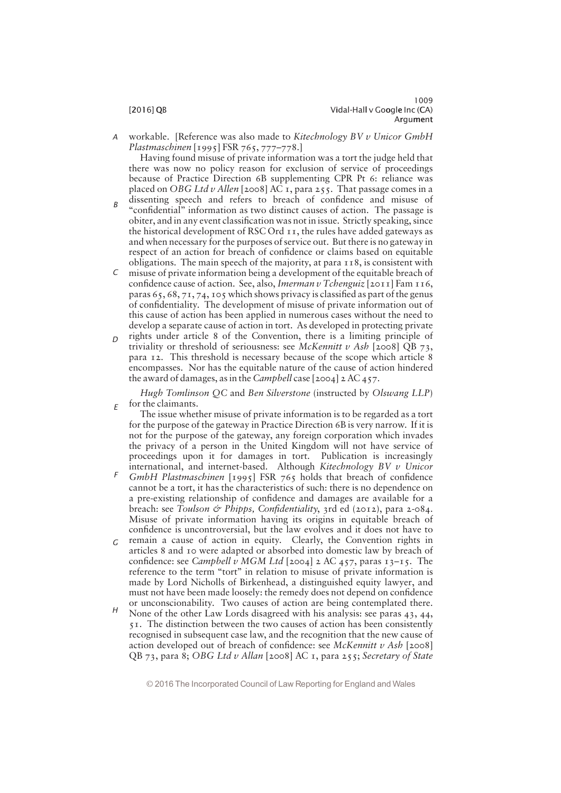E

workable. [Reference was also made to Kitechnology BV v Unicor GmbH Plastmaschinen [1995] FSR 765, 777—778.] A

Having found misuse of private information was a tort the judge held that there was now no policy reason for exclusion of service of proceedings because of Practice Direction 6B supplementing CPR Pt 6: reliance was placed on OBG Ltd v Allen [2008] AC 1, para 255. That passage comes in a dissenting speech and refers to breach of confidence and misuse of

- "confidential" information as two distinct causes of action. The passage is obiter, and in any event classification was not in issue. Strictly speaking, since the historical development of RSC Ord 11, the rules have added gateways as and when necessary for the purposes of service out. But there is no gateway in respect of an action for breach of confidence or claims based on equitable obligations. The main speech of the majority, at para 118, is consistent with B
- misuse of private information being a development of the equitable breach of C confidence cause of action. See, also, Imerman v Tchenguiz [2011] Fam 116, paras  $65, 68, 71, 74, 105$  which shows privacy is classified as part of the genus of confidentiality. The development of misuse of private information out of this cause of action has been applied in numerous cases without the need to develop a separate cause of action in tort. As developed in protecting private
- rights under article 8 of the Convention, there is a limiting principle of triviality or threshold of seriousness: see McKennitt v Ash [2008] QB 73, para 12. This threshold is necessary because of the scope which article 8 encompasses. Nor has the equitable nature of the cause of action hindered the award of damages, as in the Campbell case  $[2004]$  2 AC  $457$ .  $\Gamma$

Hugh Tomlinson QC and Ben Silverstone (instructed by Olswang LLP) for the claimants.

The issue whether misuse of private information is to be regarded as a tort for the purpose of the gateway in Practice Direction 6B is very narrow. If it is not for the purpose of the gateway, any foreign corporation which invades the privacy of a person in the United Kingdom will not have service of proceedings upon it for damages in tort. Publication is increasingly international, and internet-based. Although Kitechnology BV v Unicor

- GmbH Plastmaschinen [1995] FSR 765 holds that breach of confidence cannot be a tort, it has the characteristics of such: there is no dependence on a pre-existing relationship of confidence and damages are available for a breach: see Toulson & Phipps, Confidentiality, 3rd ed (2012), para 2-084. Misuse of private information having its origins in equitable breach of confidence is uncontroversial, but the law evolves and it does not have to F
- remain a cause of action in equity. Clearly, the Convention rights in articles 8 and 10 were adapted or absorbed into domestic law by breach of confidence: see Campbell v MGM Ltd [2004] 2 AC 457, paras 13-15. The reference to the term "tort" in relation to misuse of private information is made by Lord Nicholls of Birkenhead, a distinguished equity lawyer, and must not have been made loosely: the remedy does not depend on confidence or unconscionability. Two causes of action are being contemplated there. G
- None of the other Law Lords disagreed with his analysis: see paras 43, 44, 51. The distinction between the two causes of action has been consistently recognised in subsequent case law, and the recognition that the new cause of action developed out of breach of confidence: see McKennitt v Ash [2008] QB 73, para 8; OBG Ltd v Allan [2008] AC 1, para 255; Secretary of State H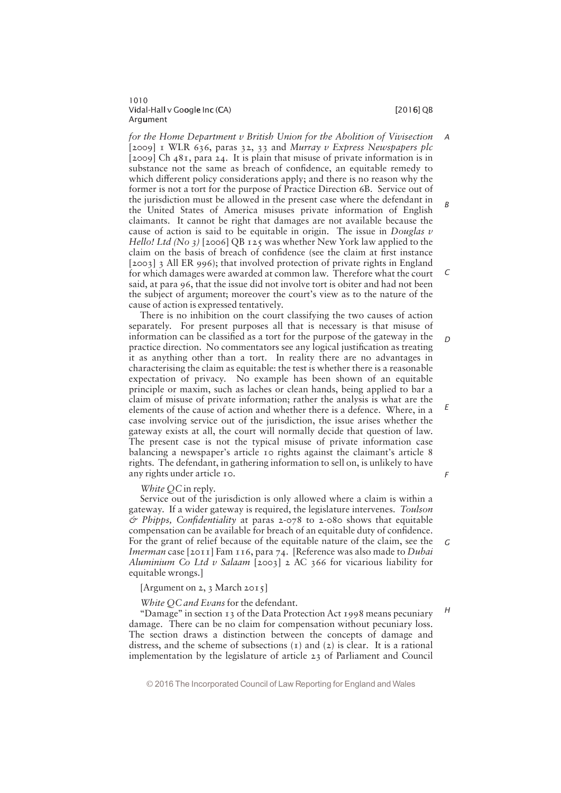# Vidal-Hall v Google Inc (CA) i later than the control of the control of  $[2016]$  QB Argument

1010

for the Home Department v British Union for the Abolition of Vivisection [2009] I WLR 636, paras 32, 33 and Murray v Express Newspapers plc [2009] Ch 481, para 24. It is plain that misuse of private information is in substance not the same as breach of confidence, an equitable remedy to which different policy considerations apply; and there is no reason why the former is not a tort for the purpose of Practice Direction 6B. Service out of the jurisdiction must be allowed in the present case where the defendant in the United States of America misuses private information of English claimants. It cannot be right that damages are not available because the cause of action is said to be equitable in origin. The issue in Douglas  $v$ Hello! Ltd (No 3) [2006] QB 125 was whether New York law applied to the claim on the basis of breach of confidence (see the claim at first instance [2003] 3 All ER 996); that involved protection of private rights in England for which damages were awarded at common law. Therefore what the court said, at para 96, that the issue did not involve tort is obiter and had not been the subject of argument; moreover the court's view as to the nature of the cause of action is expressed tentatively. A B C

There is no inhibition on the court classifying the two causes of action separately. For present purposes all that is necessary is that misuse of information can be classified as a tort for the purpose of the gateway in the practice direction. No commentators see any logical justification as treating it as anything other than a tort. In reality there are no advantages in characterising the claim as equitable: the test is whether there is a reasonable expectation of privacy. No example has been shown of an equitable principle or maxim, such as laches or clean hands, being applied to bar a claim of misuse of private information; rather the analysis is what are the elements of the cause of action and whether there is a defence. Where, in a case involving service out of the jurisdiction, the issue arises whether the gateway exists at all, the court will normally decide that question of law. The present case is not the typical misuse of private information case balancing a newspaper's article 10 rights against the claimant's article 8 rights. The defendant, in gathering information to sell on, is unlikely to have any rights under article 10. D E F

White *OC* in reply.

Service out of the jurisdiction is only allowed where a claim is within a gateway. If a wider gateway is required, the legislature intervenes. Toulson  $\acute{\sigma}$  Phipps, Confidentiality at paras 2-078 to 2-080 shows that equitable compensation can be available for breach of an equitable duty of confidence. For the grant of relief because of the equitable nature of the claim, see the *Imerman* case  $[2011]$  Fam 116, para 74. [Reference was also made to *Dubai* Aluminium Co Ltd v Salaam [2003] 2 AC 366 for vicarious liability for equitable wrongs.]

[Argument on 2, 3 March 2015]

White OC and Evans for the defendant.

"Damage" in section 13 of the Data Protection Act 1998 means pecuniary damage. There can be no claim for compensation without pecuniary loss. The section draws a distinction between the concepts of damage and distress, and the scheme of subsections (1) and (2) is clear. It is a rational implementation by the legislature of article 23 of Parliament and Council

© 2016 The Incorporated Council of Law Reporting for England and Wales

G

H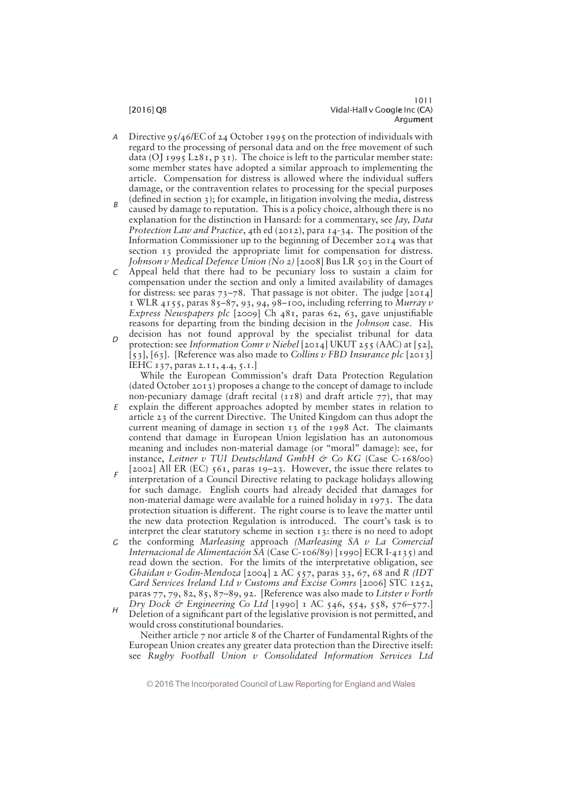- Directive 95/46/EC of 24 October 1995 on the protection of individuals with regard to the processing of personal data and on the free movement of such data (OJ 1995 L281, p 31). The choice is left to the particular member state: some member states have adopted a similar approach to implementing the article. Compensation for distress is allowed where the individual suffers damage, or the contravention relates to processing for the special purposes (defined in section  $3$ ); for example, in litigation involving the media, distress A
- caused by damage to reputation. This is a policy choice, although there is no explanation for the distinction in Hansard: for a commentary, see  $\int av$ , Data Protection Law and Practice, 4th ed (2012), para  $14-34$ . The position of the Information Commissioner up to the beginning of December 2014 was that section 13 provided the appropriate limit for compensation for distress. Johnson v Medical Defence Union (No 2) [2008] Bus LR 503 in the Court of B
- Appeal held that there had to be pecuniary loss to sustain a claim for compensation under the section and only a limited availability of damages for distress: see paras  $73-78$ . That passage is not obiter. The judge [2014] 1 WLR 4155, paras 85-87, 93, 94, 98-100, including referring to Murray v Express Newspapers plc [2009] Ch 481, paras 62, 63, gave unjustifiable reasons for departing from the binding decision in the Johnson case. His decision has not found approval by the specialist tribunal for data C
- protection: see Information Comr v Niebel [2014] UKUT 255 (AAC) at [52], [53], [63]. [Reference was also made to Collins v FBD Insurance plc [2013] IEHC 137, paras 2.11, 4.4, 5.1.]  $\Gamma$

While the European Commission's draft Data Protection Regulation (dated October 2013) proposes a change to the concept of damage to include non-pecuniary damage (draft recital  $(118)$  and draft article 77), that may

- $E$  explain the different approaches adopted by member states in relation to article 23 of the current Directive. The United Kingdom can thus adopt the current meaning of damage in section  $13$  of the  $1998$  Act. The claimants contend that damage in European Union legislation has an autonomous meaning and includes non-material damage (or "moral" damage): see, for instance, Leitner v TUI Deutschland GmbH & Co KG (Case C-168/00)
- [2002] All ER (EC) 561, paras 19—23. However, the issue there relates to interpretation of a Council Directive relating to package holidays allowing for such damage. English courts had already decided that damages for non-material damage were available for a ruined holiday in 1973. The data protection situation is different. The right course is to leave the matter until the new data protection Regulation is introduced. The court's task is to interpret the clear statutory scheme in section 13: there is no need to adopt F
- $G$  the conforming Marleasing approach (Marleasing SA  $v$  La Comercial Internacional de Alimentación SA (Case C-106/89) [1990] ECR I-4135) and read down the section. For the limits of the interpretative obligation, see Ghaidan v Godin-Mendoza [2004] 2 AC 557, paras 33, 67, 68 and R (IDT Card Services Ireland Ltd v Customs and Excise Comrs [2006] STC 1252, paras  $77, 79, 82, 85, 87-89, 92$ . [Reference was also made to Litster v Forth Dry Dock & Engineering Co Ltd [1990] 1 AC 546, 554, 558, 576—577.]
- Deletion of a significant part of the legislative provision is not permitted, and would cross constitutional boundaries. H

Neither article 7 nor article 8 of the Charter of Fundamental Rights of the European Union creates any greater data protection than the Directive itself: see Rugby Football Union v Consolidated Information Services Ltd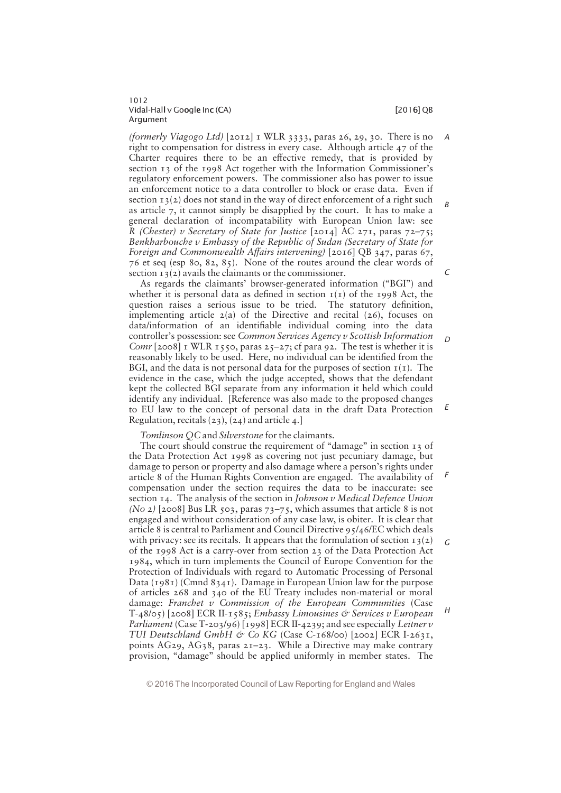(formerly Viagogo Ltd)  $[2012]$  I WLR 3333, paras 26, 29, 30. There is no right to compensation for distress in every case. Although article 47 of the Charter requires there to be an effective remedy, that is provided by section  $13$  of the 1998 Act together with the Information Commissioner's regulatory enforcement powers. The commissioner also has power to issue an enforcement notice to a data controller to block or erase data. Even if section  $13(2)$  does not stand in the way of direct enforcement of a right such as article 7, it cannot simply be disapplied by the court. It has to make a general declaration of incompatability with European Union law: see R (Chester) v Secretary of State for Justice  $[2014]$  AC 271, paras 72-75; Benkharbouche v Embassy of the Republic of Sudan (Secretary of State for Foreign and Commonwealth Affairs intervening)  $[2016]$  QB 347, paras 67, 76 et seq (esp 80, 82, 85). None of the routes around the clear words of section  $13(2)$  avails the claimants or the commissioner.

As regards the claimants' browser-generated information ("BGI") and whether it is personal data as defined in section  $I(I)$  of the 1998 Act, the question raises a serious issue to be tried. The statutory definition, implementing article  $2(a)$  of the Directive and recital  $(26)$ , focuses on data/information of an identifiable individual coming into the data controller's possession: see Common Services Agency v Scottish Information Comr  $[2008]$  I WLR 1550, paras 25-27; cf para 92. The test is whether it is reasonably likely to be used. Here, no individual can be identified from the BGI, and the data is not personal data for the purposes of section  $I(I)$ . The evidence in the case, which the judge accepted, shows that the defendant kept the collected BGI separate from any information it held which could identify any individual. [Reference was also made to the proposed changes to EU law to the concept of personal data in the draft Data Protection Regulation, recitals (23), (24) and article 4.]

Tomlinson QC and Silverstone for the claimants.

The court should construe the requirement of "damage" in section  $\overline{13}$  of the Data Protection Act 1998 as covering not just pecuniary damage, but damage to person or property and also damage where a person's rights under article 8 of the Human Rights Convention are engaged. The availability of compensation under the section requires the data to be inaccurate: see section  $I_4$ . The analysis of the section in *Johnson v Medical Defence Union* (No 2) [2008] Bus LR 503, paras  $73-75$ , which assumes that article 8 is not engaged and without consideration of any case law, is obiter. It is clear that article 8 is central to Parliament and Council Directive 95/46/EC which deals with privacy: see its recitals. It appears that the formulation of section  $13(2)$ of the 1998 Act is a carry-over from section 23 of the Data Protection Act 1984, which in turn implements the Council of Europe Convention for the Protection of Individuals with regard to Automatic Processing of Personal Data (1981) (Cmnd 8341). Damage in European Union law for the purpose of articles 268 and 340 of the EU Treaty includes non-material or moral damage: Franchet  $v$  Commission of the European Communities (Case  $T-48/05$  [2008] ECR II-1585; Embassy Limousines & Services v European Parliament (Case T-203/96) [1998] ECR II-4239; and see especially Leitner v TUI Deutschland GmbH & Co KG (Case C-168/00) [2002] ECR I-2631, points AG29, AG38, paras  $2I-23$ . While a Directive may make contrary provision, "damage" should be applied uniformly in member states. The F G H

© 2016 The Incorporated Council of Law Reporting for England and Wales

 $\sqrt{2}$ 

D

E

A

B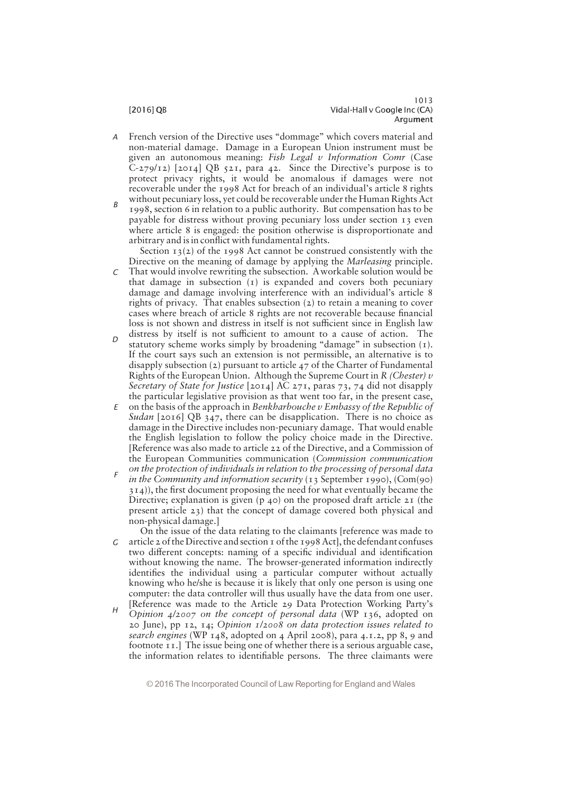## 1013 [2016] QB Vidal-Hall v Google Inc (CA) Argument

- French version of the Directive uses "dommage" which covers material and non-material damage. Damage in a European Union instrument must be given an autonomous meaning: Fish Legal  $v$  Information Comr (Case  $C$ -279/12) [2014] QB 521, para 42. Since the Directive's purpose is to protect privacy rights, it would be anomalous if damages were not recoverable under the 1998 Act for breach of an individual's article 8 rights without pecuniary loss, yet could be recoverable under the Human Rights Act A
- 1998, section 6 in relation to a public authority. But compensation has to be payable for distress without proving pecuniary loss under section 13 even where article 8 is engaged: the position otherwise is disproportionate and arbitrary and is in conflict with fundamental rights. B

Section  $13(2)$  of the 1998 Act cannot be construed consistently with the Directive on the meaning of damage by applying the Marleasing principle.

- That would involve rewriting the subsection. Aworkable solution would be that damage in subsection (1) is expanded and covers both pecuniary damage and damage involving interference with an individual's article 8 rights of privacy. That enables subsection (2) to retain a meaning to cover cases where breach of article 8 rights are not recoverable because financial loss is not shown and distress in itself is not sufficient since in English law distress by itself is not sufficient to amount to a cause of action. The C
- statutory scheme works simply by broadening "damage" in subsection  $(1)$ . If the court says such an extension is not permissible, an alternative is to disapply subsection (2) pursuant to article 47 of the Charter of Fundamental Rights of the European Union. Although the Supreme Court in R (Chester)  $v$ Secretary of State for Justice [2014] AC 271, paras 73, 74 did not disapply the particular legislative provision as that went too far, in the present case,  $\Gamma$
- $E$  on the basis of the approach in Benkharbouche v Embassy of the Republic of Sudan [2016] QB  $347$ , there can be disapplication. There is no choice as damage in the Directive includes non-pecuniary damage. That would enable the English legislation to follow the policy choice made in the Directive. [Reference was also made to article 22 of the Directive, and a Commission of the European Communities communication (Commission communication on the protection of individuals in relation to the processing of personal data
- in the Community and information security  $(13$  September 1990),  $(Com(90)$  $314$ )), the first document proposing the need for what eventually became the Directive; explanation is given  $(p, 40)$  on the proposed draft article  $2I$  (the present article 23) that the concept of damage covered both physical and non-physical damage.] F
- On the issue of the data relating to the claimants [reference was made to  $G$  article 2 of the Directive and section 1 of the 1998 Act], the defendant confuses two different concepts: naming of a specific individual and identification without knowing the name. The browser-generated information indirectly identifies the individual using a particular computer without actually knowing who he/she is because it is likely that only one person is using one computer: the data controller will thus usually have the data from one user. [Reference was made to the Article 29 Data Protection Working Party's
- Opinion 4/2007 on the concept of personal data (WP 136, adopted on 20 June), pp 12, 14; Opinion 1/2008 on data protection issues related to search engines (WP 148, adopted on 4 April 2008), para 4.1.2, pp 8, 9 and footnote 11.] The issue being one of whether there is a serious arguable case, the information relates to identifiable persons. The three claimants were  $H$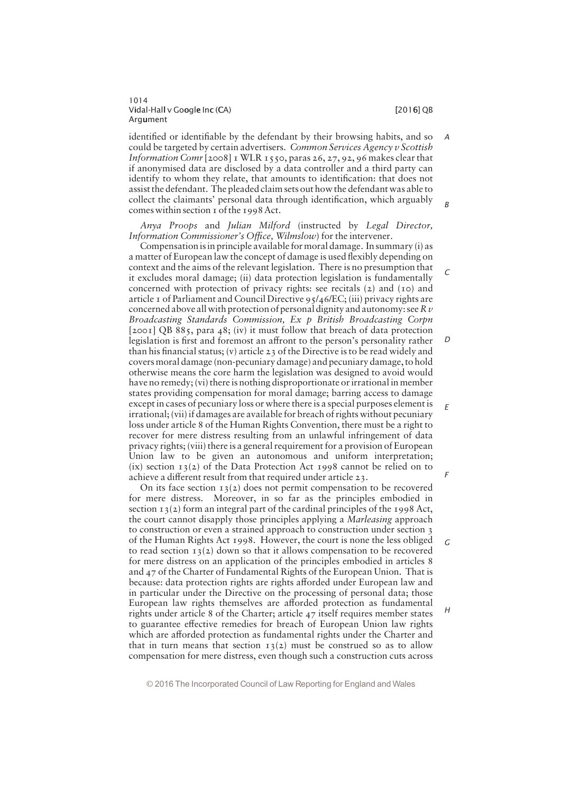$\Gamma$ 

 $\overline{D}$ 

E

F

G

 $H$ 

identified or identifiable by the defendant by their browsing habits, and so could be targeted by certain advertisers. Common Services Agency v Scottish Information Comr [2008] 1 WLR 1550, paras 26, 27, 92, 96 makes clear that if anonymised data are disclosed by a data controller and a third party can identify to whom they relate, that amounts to identification: that does not assist the defendant. The pleaded claim sets out how the defendant was able to collect the claimants' personal data through identification, which arguably comes within section 1 of the 1998 Act. A B

Anya Proops and Julian Milford (instructed by Legal Director, Information Commissioner's Office, Wilmslow) for the intervener.

Compensation isin principle available for moral damage. In summary (i) as a matter of European law the concept of damage is used flexibly depending on context and the aims of the relevant legislation. There is no presumption that it excludes moral damage; (ii) data protection legislation is fundamentally concerned with protection of privacy rights: see recitals (2) and (10) and article 1 of Parliament and Council Directive 95/46/EC; (iii) privacy rights are concerned above all with protection of personal dignity and autonomy: see  $R v$ Broadcasting Standards Commission, Ex p British Broadcasting Corpn [2001] QB 885, para 48; (iv) it must follow that breach of data protection legislation is first and foremost an affront to the person's personality rather than his financial status; (v) article 23 of the Directive is to be read widely and covers moral damage (non-pecuniary damage) and pecuniary damage, to hold otherwise means the core harm the legislation was designed to avoid would have no remedy; (vi) there is nothing disproportionate or irrational in member states providing compensation for moral damage; barring access to damage except in cases of pecuniary loss or where there is a special purposes element is irrational; (vii) if damages are available for breach of rights without pecuniary loss under article 8 of the Human Rights Convention, there must be a right to recover for mere distress resulting from an unlawful infringement of data privacy rights; (viii) there is a general requirement for a provision of European Union law to be given an autonomous and uniform interpretation; (ix) section  $13(2)$  of the Data Protection Act 1998 cannot be relied on to achieve a different result from that required under article 23.

On its face section  $13(2)$  does not permit compensation to be recovered for mere distress. Moreover, in so far as the principles embodied in section  $13(2)$  form an integral part of the cardinal principles of the 1998 Act, the court cannot disapply those principles applying a Marleasing approach to construction or even a strained approach to construction under section 3 of the Human Rights Act 1998. However, the court is none the less obliged to read section  $13(2)$  down so that it allows compensation to be recovered for mere distress on an application of the principles embodied in articles 8 and 47 of the Charter of Fundamental Rights of the European Union. That is because: data protection rights are rights afforded under European law and in particular under the Directive on the processing of personal data; those European law rights themselves are afforded protection as fundamental rights under article 8 of the Charter; article 47 itself requires member states to guarantee effective remedies for breach of European Union law rights which are afforded protection as fundamental rights under the Charter and that in turn means that section  $13(2)$  must be construed so as to allow compensation for mere distress, even though such a construction cuts across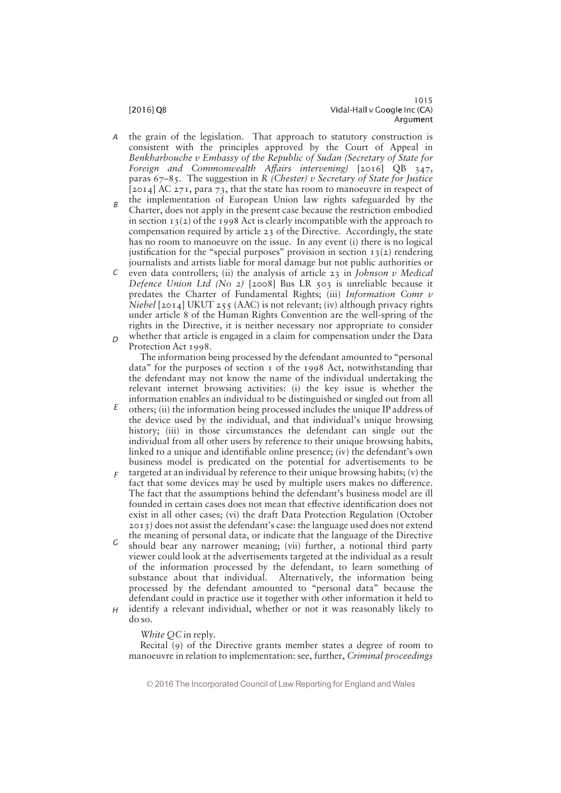- the grain of the legislation. That approach to statutory construction is consistent with the principles approved by the Court of Appeal in Benkharbouche v Embassy of the Republic of Sudan (Secretary of State for Foreign and Commonwealth Affairs intervening)  $[2016]$  QB 347, paras  $67-85$ . The suggestion in R (Chester) v Secretary of State for Justice [2014] AC 271, para 73, that the state has room to manoeuvre in respect of A
- the implementation of European Union law rights safeguarded by the Charter, does not apply in the present case because the restriction embodied in section  $13(2)$  of the 1998 Act is clearly incompatible with the approach to compensation required by article 23 of the Directive. Accordingly, the state has no room to manoeuvre on the issue. In any event (i) there is no logical justification for the "special purposes" provision in section  $13(2)$  rendering journalists and artists liable for moral damage but not public authorities or B
- C even data controllers; (ii) the analysis of article  $23$  in Johnson v Medical Defence Union Ltd (No 2) [2008] Bus LR 503 is unreliable because it predates the Charter of Fundamental Rights; (iii) Information Comr v Niebel [2014] UKUT 255 (AAC) is not relevant; (iv) although privacy rights under article 8 of the Human Rights Convention are the well-spring of the rights in the Directive, it is neither necessary nor appropriate to consider whether that article is engaged in a claim for compensation under the Data  $\Gamma$
- Protection Act 1998.

The information being processed by the defendant amounted to "personal" data" for the purposes of section  $\bar{1}$  of the 1998 Act, notwithstanding that the defendant may not know the name of the individual undertaking the relevant internet browsing activities: (i) the key issue is whether the information enables an individual to be distinguished or singled out from all

- others; (ii) the information being processed includes the unique IP address of the device used by the individual, and that individual's unique browsing history; (iii) in those circumstances the defendant can single out the individual from all other users by reference to their unique browsing habits, linked to a unique and identifiable online presence; (iv) the defendant's own business model is predicated on the potential for advertisements to be E
- targeted at an individual by reference to their unique browsing habits; (v) the fact that some devices may be used by multiple users makes no difference. The fact that the assumptions behind the defendant's business model are ill founded in certain cases does not mean that effective identification does not exist in all other cases; (vi) the draft Data Protection Regulation (October  $2013$ ) does not assist the defendant's case: the language used does not extend F
- the meaning of personal data, or indicate that the language of the Directive should bear any narrower meaning; (vii) further, a notional third party viewer could look at the advertisements targeted at the individual as a result of the information processed by the defendant, to learn something of substance about that individual. Alternatively, the information being processed by the defendant amounted to "personal data" because the defendant could in practice use it together with other information it held to identify a relevant individual, whether or not it was reasonably likely to G  $H$ 
	- do so.

White OC in reply.

Recital (9) of the Directive grants member states a degree of room to manoeuvre in relation to implementation: see, further, Criminal proceedings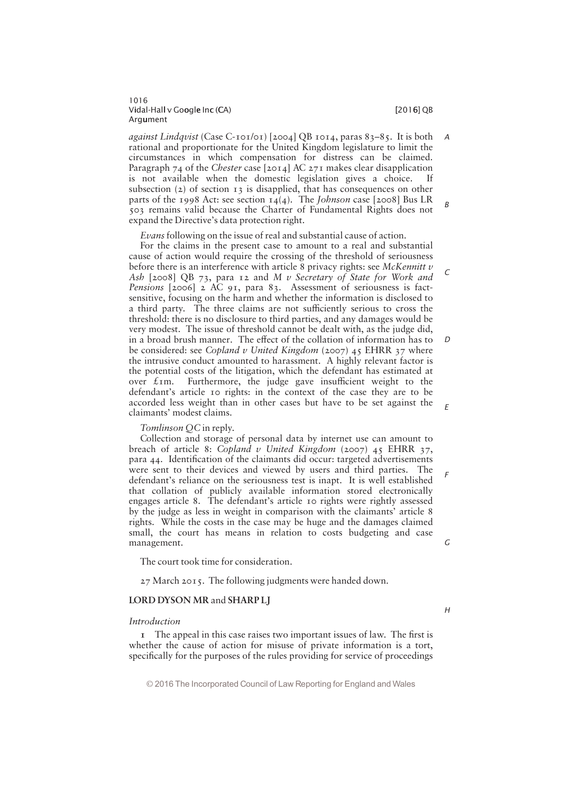# 1016 Vidal-Hall v Google Inc (CA) i later than the control of the control of  $[2016]$  QB Argument

*against Lindqvist* (Case C-101/01) [2004] QB 1014, paras  $83-85$ . It is both rational and proportionate for the United Kingdom legislature to limit the circumstances in which compensation for distress can be claimed. Paragraph 74 of the Chester case  $[2014]$  AC 271 makes clear disapplication is not available when the domestic legislation gives a choice. If subsection (2) of section 13 is disapplied, that has consequences on other parts of the 1998 Act: see section  $14(4)$ . The Johnson case [2008] Bus LR 503 remains valid because the Charter of Fundamental Rights does not expand the Directive's data protection right. A B

Evans following on the issue of real and substantial cause of action.

For the claims in the present case to amount to a real and substantial cause of action would require the crossing of the threshold of seriousness before there is an interference with article 8 privacy rights: see McKennitt  $\nu$ Ash  $[2008]$  QB 73, para 12 and M v Secretary of State for Work and Pensions [2006] 2 AC 91, para 83. Assessment of seriousness is factsensitive, focusing on the harm and whether the information is disclosed to a third party. The three claims are not sufficiently serious to cross the threshold: there is no disclosure to third parties, and any damages would be very modest. The issue of threshold cannot be dealt with, as the judge did, in a broad brush manner. The effect of the collation of information has to be considered: see Copland v United Kingdom (2007) 45 EHRR 37 where the intrusive conduct amounted to harassment. A highly relevant factor is the potential costs of the litigation, which the defendant has estimated at over  $\ell$ 1m. Furthermore, the judge gave insufficient weight to the defendant's article 10 rights: in the context of the case they are to be accorded less weight than in other cases but have to be set against the claimants' modest claims. D

Tomlinson QC in reply.

Collection and storage of personal data by internet use can amount to breach of article 8: Copland v United Kingdom (2007) 45 EHRR 37, para 44. Identification of the claimants did occur: targeted advertisements were sent to their devices and viewed by users and third parties. The defendant's reliance on the seriousness test is inapt. It is well established that collation of publicly available information stored electronically engages article 8. The defendant's article 10 rights were rightly assessed by the judge as less in weight in comparison with the claimants' article 8 rights. While the costs in the case may be huge and the damages claimed small, the court has means in relation to costs budgeting and case management.

The court took time for consideration.

27 March 2015. The following judgments were handed down.

# LORD DYSON MR and SHARP LJ

# Introduction

 $I$  The appeal in this case raises two important issues of law. The first is whether the cause of action for misuse of private information is a tort, specifically for the purposes of the rules providing for service of proceedings

© 2016 The Incorporated Council of Law Reporting for England and Wales

# G

H

C

E

F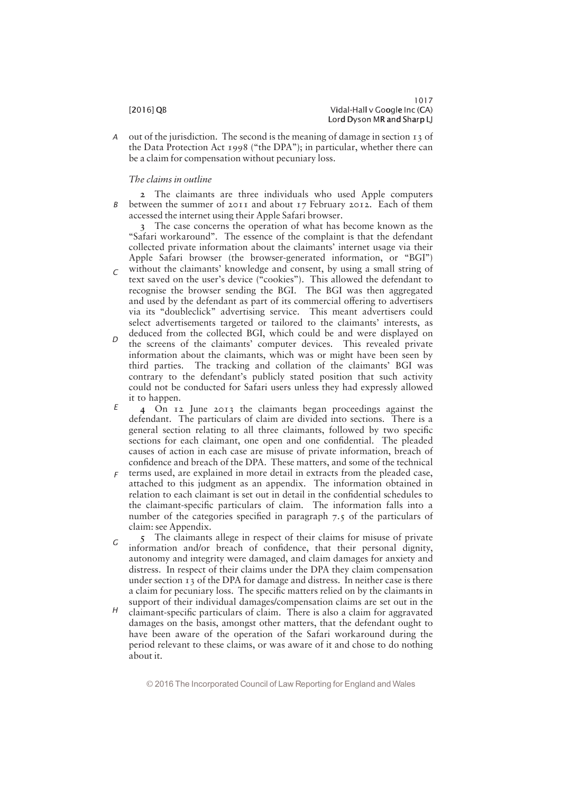out of the jurisdiction. The second is the meaning of damage in section 13 of the Data Protection Act 1998 ("the DPA"); in particular, whether there can be a claim for compensation without pecuniary loss. A

# The claims in outline

2 The claimants are three individuals who used Apple computers between the summer of 2011 and about 17 February 2012. Each of them accessed the internet using their Apple Safari browser. B

3 The case concerns the operation of what has become known as the "Safari workaround". The essence of the complaint is that the defendant collected private information about the claimants' internet usage via their Apple Safari browser (the browser-generated information, or "BGI")

- without the claimants' knowledge and consent, by using a small string of text saved on the user's device ("cookies"). This allowed the defendant to recognise the browser sending the BGI. The BGI was then aggregated and used by the defendant as part of its commercial offering to advertisers via its "doubleclick" advertising service. This meant advertisers could select advertisements targeted or tailored to the claimants' interests, as deduced from the collected BGI, which could be and were displayed on  $\sqrt{2}$
- the screens of the claimants' computer devices. This revealed private information about the claimants, which was or might have been seen by third parties. The tracking and collation of the claimants' BGI was contrary to the defendant's publicly stated position that such activity could not be conducted for Safari users unless they had expressly allowed it to happen.  $\Gamma$
- 4 On 12 June 2013 the claimants began proceedings against the defendant. The particulars of claim are divided into sections. There is a general section relating to all three claimants, followed by two specific sections for each claimant, one open and one confidential. The pleaded causes of action in each case are misuse of private information, breach of confidence and breach of the DPA. These matters, and some of the technical E
- $\epsilon$  terms used, are explained in more detail in extracts from the pleaded case, attached to this judgment as an appendix. The information obtained in relation to each claimant is set out in detail in the confidential schedules to the claimant-specific particulars of claim. The information falls into a number of the categories specified in paragraph  $7.5$  of the particulars of claim: see Appendix.
- 5 The claimants allege in respect of their claims for misuse of private information and/or breach of confidence, that their personal dignity, autonomy and integrity were damaged, and claim damages for anxiety and distress. In respect of their claims under the DPA they claim compensation under section 13 of the DPA for damage and distress. In neither case is there a claim for pecuniary loss. The specific matters relied on by the claimants in support of their individual damages/compensation claims are set out in the G
- claimant-specific particulars of claim. There is also a claim for aggravated damages on the basis, amongst other matters, that the defendant ought to have been aware of the operation of the Safari workaround during the period relevant to these claims, or was aware of it and chose to do nothing about it. H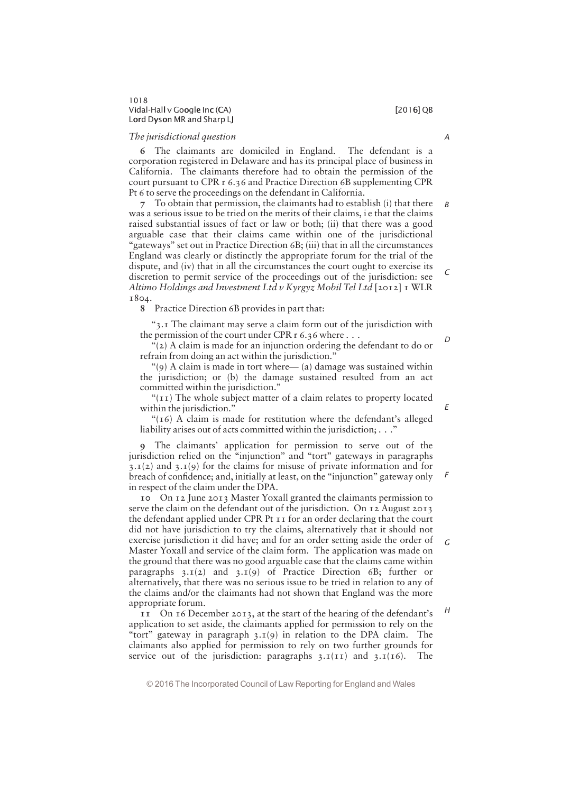# 1018 Vidal-Hall v Google Inc (CA) i later than the control of the control of  $[2016]$  QB Lord Dyson MR and Sharp LJ

# The jurisdictional question

6 The claimants are domiciled in England. The defendant is a corporation registered in Delaware and has its principal place of business in California. The claimants therefore had to obtain the permission of the court pursuant to CPR r 6.36 and Practice Direction 6B supplementing CPR Pt 6 to serve the proceedings on the defendant in California.

7 To obtain that permission, the claimants had to establish (i) that there was a serious issue to be tried on the merits of their claims, i e that the claims raised substantial issues of fact or law or both; (ii) that there was a good arguable case that their claims came within one of the jurisdictional "gateways" set out in Practice Direction  $6B$ ; (iii) that in all the circumstances England was clearly or distinctly the appropriate forum for the trial of the dispute, and (iv) that in all the circumstances the court ought to exercise its discretion to permit service of the proceedings out of the jurisdiction: see Altimo Holdings and Investment Ltd v Kyrgyz Mobil Tel Ltd [2012]  $I$  WLR 1804. B  $\sqrt{2}$ 

8 Practice Direction 6B provides in part that:

 $\degree$ 3.1 The claimant may serve a claim form out of the jurisdiction with the permission of the court under CPR r 6.36 where . . .

"( $2$ ) A claim is made for an injunction ordering the defendant to do or refrain from doing an act within the jurisdiction."

"(9) A claim is made in tort where  $-$  (a) damage was sustained within the jurisdiction; or (b) the damage sustained resulted from an act committed within the jurisdiction."

" $(\text{II})$  The whole subject matter of a claim relates to property located within the jurisdiction."

" $(16)$  A claim is made for restitution where the defendant's alleged liability arises out of acts committed within the jurisdiction;  $\ldots$ ."

9 The claimants' application for permission to serve out of the jurisdiction relied on the "injunction" and "tort" gateways in paragraphs  $3.1(2)$  and  $3.1(9)$  for the claims for misuse of private information and for breach of confidence; and, initially at least, on the "injunction" gateway only in respect of the claim under the DPA.

10 On 12 June 2013 Master Yoxall granted the claimants permission to serve the claim on the defendant out of the jurisdiction. On 12 August 2013 the defendant applied under CPR Pt 11 for an order declaring that the court did not have jurisdiction to try the claims, alternatively that it should not exercise jurisdiction it did have; and for an order setting aside the order of Master Yoxall and service of the claim form. The application was made on the ground that there was no good arguable case that the claims came within paragraphs  $3.1(2)$  and  $3.1(9)$  of Practice Direction 6B; further or alternatively, that there was no serious issue to be tried in relation to any of the claims and/or the claimants had not shown that England was the more appropriate forum. G H

11 On 16 December 2013, at the start of the hearing of the defendant's application to set aside, the claimants applied for permission to rely on the "tort" gateway in paragraph  $3.1(9)$  in relation to the DPA claim. The claimants also applied for permission to rely on two further grounds for service out of the jurisdiction: paragraphs  $3.1(11)$  and  $3.1(16)$ . The

© 2016 The Incorporated Council of Law Reporting for England and Wales

### A

D

E

F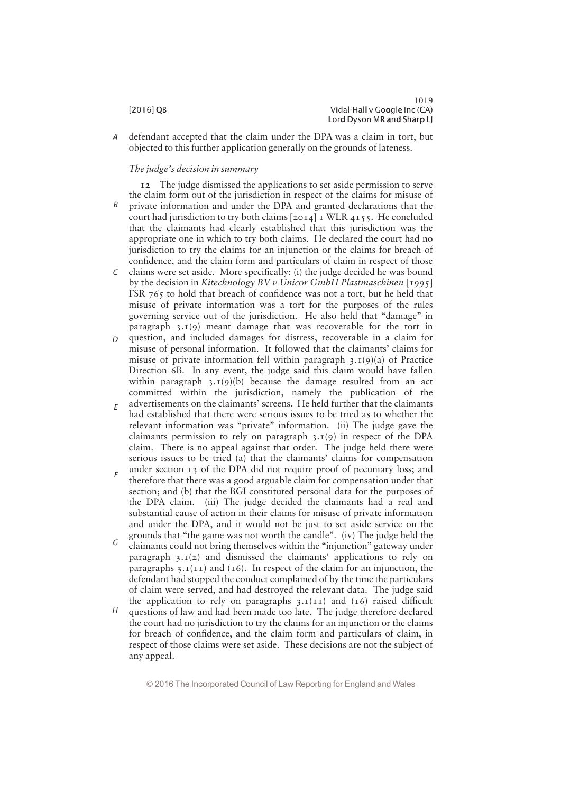defendant accepted that the claim under the DPA was a claim in tort, but objected to this further application generally on the grounds of lateness. A

# The judge's decision in summary

12 The judge dismissed the applications to set aside permission to serve the claim form out of the jurisdiction in respect of the claims for misuse of private information and under the DPA and granted declarations that the court had jurisdiction to try both claims [2014] 1 WLR 4155. He concluded that the claimants had clearly established that this jurisdiction was the appropriate one in which to try both claims. He declared the court had no jurisdiction to try the claims for an injunction or the claims for breach of confidence, and the claim form and particulars of claim in respect of those B

- claims were set aside. More specifically: (i) the judge decided he was bound by the decision in Kitechnology BV v Unicor GmbH Plastmaschinen [1995] FSR 765 to hold that breach of confidence was not a tort, but he held that misuse of private information was a tort for the purposes of the rules governing service out of the jurisdiction. He also held that "damage" in paragraph  $3.1(9)$  meant damage that was recoverable for the tort in C
- question, and included damages for distress, recoverable in a claim for misuse of personal information. It followed that the claimants' claims for misuse of private information fell within paragraph  $3.1(9)(a)$  of Practice Direction 6B. In any event, the judge said this claim would have fallen within paragraph  $3.1(9)(b)$  because the damage resulted from an act committed within the jurisdiction, namely the publication of the  $\Gamma$
- advertisements on the claimants' screens. He held further that the claimants had established that there were serious issues to be tried as to whether the relevant information was "private" information. (ii) The judge gave the claimants permission to rely on paragraph  $3.1(9)$  in respect of the DPA claim. There is no appeal against that order. The judge held there were serious issues to be tried (a) that the claimants' claims for compensation E
- under section 13 of the DPA did not require proof of pecuniary loss; and therefore that there was a good arguable claim for compensation under that section; and (b) that the BGI constituted personal data for the purposes of the DPA claim. (iii) The judge decided the claimants had a real and substantial cause of action in their claims for misuse of private information and under the DPA, and it would not be just to set aside service on the grounds that "the game was not worth the candle". (iv) The judge held the F
- claimants could not bring themselves within the "injunction" gateway under paragraph  $3.1(2)$  and dismissed the claimants' applications to rely on paragraphs  $3.1(11)$  and  $(16)$ . In respect of the claim for an injunction, the defendant had stopped the conduct complained of by the time the particulars of claim were served, and had destroyed the relevant data. The judge said the application to rely on paragraphs  $3.1(11)$  and  $(16)$  raised difficult G
- questions of law and had been made too late. The judge therefore declared the court had no jurisdiction to try the claims for an injunction or the claims for breach of confidence, and the claim form and particulars of claim, in respect of those claims were set aside. These decisions are not the subject of any appeal. H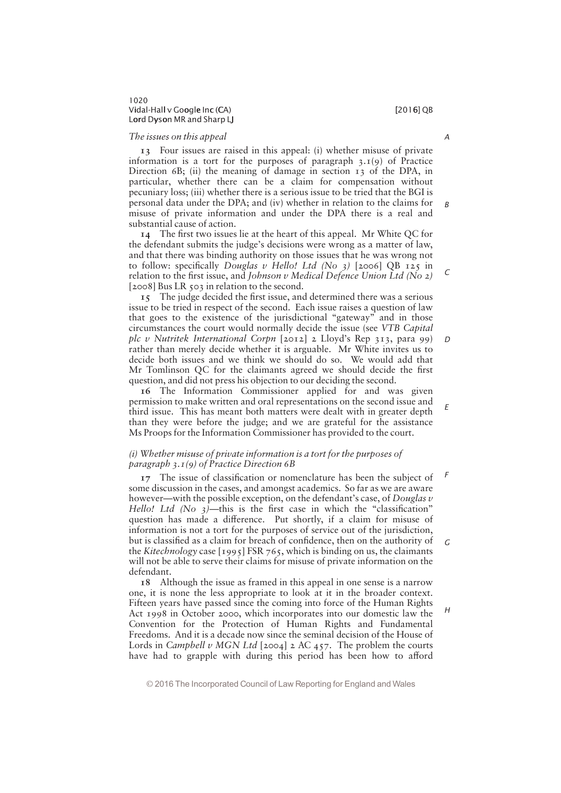### The issues on this appeal

13 Four issues are raised in this appeal: (i) whether misuse of private information is a tort for the purposes of paragraph  $3.1(9)$  of Practice Direction  $6B$ ; (ii) the meaning of damage in section  $13$  of the DPA, in particular, whether there can be a claim for compensation without pecuniary loss; (iii) whether there is a serious issue to be tried that the BGI is personal data under the DPA; and (iv) whether in relation to the claims for misuse of private information and under the DPA there is a real and substantial cause of action. B

14 The first two issues lie at the heart of this appeal. Mr White QC for the defendant submits the judge's decisions were wrong as a matter of law, and that there was binding authority on those issues that he was wrong not to follow: specifically *Douglas v Hello! Ltd* (No 3) [2006] QB 125 in relation to the first issue, and Johnson v Medical Defence Union Ltd (No 2) [2008] Bus LR 503 in relation to the second.

15 The judge decided the first issue, and determined there was a serious issue to be tried in respect of the second. Each issue raises a question of law that goes to the existence of the jurisdictional "gateway" and in those circumstances the court would normally decide the issue (see VTB Capital plc v Nutritek International Corpn  $[2012]$  2 Lloyd's Rep 313, para 99) rather than merely decide whether it is arguable. Mr White invites us to decide both issues and we think we should do so. We would add that Mr Tomlinson OC for the claimants agreed we should decide the first question, and did not press his objection to our deciding the second. D

16 The Information Commissioner applied for and was given permission to make written and oral representations on the second issue and third issue. This has meant both matters were dealt with in greater depth than they were before the judge; and we are grateful for the assistance Ms Proops for the Information Commissioner has provided to the court.

# (i) Whether misuse of private information is a tort for the purposes of paragraph  $3.1(9)$  of Practice Direction 6B

17 The issue of classification or nomenclature has been the subject of some discussion in the cases, and amongst academics. So far as we are aware however—with the possible exception, on the defendant's case, of Douglas  $v$ Hello! Ltd (No  $3$ )—this is the first case in which the "classification" question has made a difference. Put shortly, if a claim for misuse of information is not a tort for the purposes of service out of the jurisdiction, but is classified as a claim for breach of confidence, then on the authority of the Kitechnology case [1995] FSR 765, which is binding on us, the claimants will not be able to serve their claims for misuse of private information on the defendant. F G

18 Although the issue as framed in this appeal in one sense is a narrow one, it is none the less appropriate to look at it in the broader context. Fifteen years have passed since the coming into force of the Human Rights Act 1998 in October 2000, which incorporates into our domestic law the Convention for the Protection of Human Rights and Fundamental Freedoms. And it is a decade now since the seminal decision of the House of Lords in *Campbell v MGN Ltd* [2004] 2 AC 457. The problem the courts have had to grapple with during this period has been how to afford

H

A

 $\epsilon$ 

E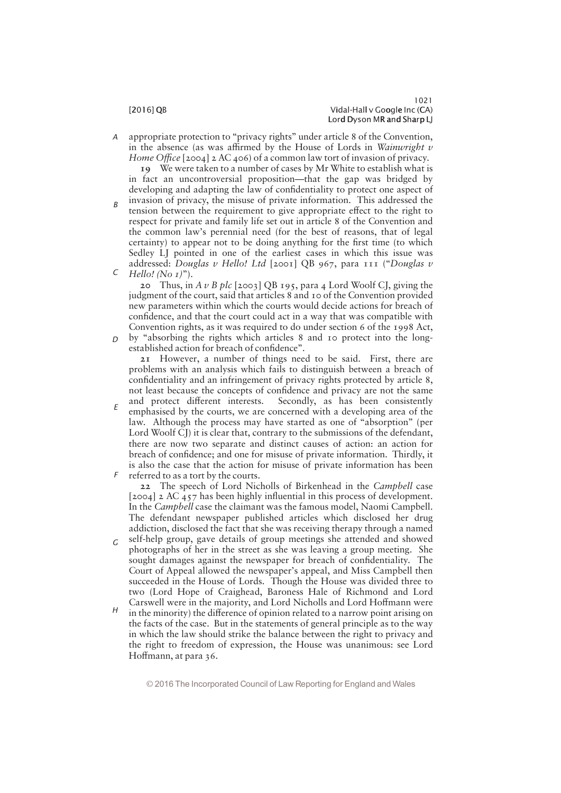appropriate protection to "privacy rights" under article 8 of the Convention, in the absence (as was affirmed by the House of Lords in Wainwright  $\nu$ Home Office  $[2004]$  2 AC 406) of a common law tort of invasion of privacy. A

19 We were taken to a number of cases by Mr White to establish what is in fact an uncontroversial proposition—that the gap was bridged by developing and adapting the law of confidentiality to protect one aspect of

invasion of privacy, the misuse of private information. This addressed the tension between the requirement to give appropriate effect to the right to respect for private and family life set out in article 8 of the Convention and the common law's perennial need (for the best of reasons, that of legal certainty) to appear not to be doing anything for the first time (to which Sedley LJ pointed in one of the earliest cases in which this issue was addressed: Douglas v Hello! Ltd [2001] OB 967, para 111 ("Douglas v Hello! (No  $I$ )"). B C

20 Thus, in A v B plc [2003] QB 195, para 4 Lord Woolf CJ, giving the judgment of the court, said that articles 8 and 10 of the Convention provided new parameters within which the courts would decide actions for breach of confidence, and that the court could act in a way that was compatible with Convention rights, as it was required to do under section 6 of the 1998 Act,  $D$  by "absorbing the rights which articles 8 and 10 protect into the long-

established action for breach of confidence". 21 However, a number of things need to be said. First, there are problems with an analysis which fails to distinguish between a breach of confidentiality and an infringement of privacy rights protected by article 8, not least because the concepts of confidence and privacy are not the same

and protect different interests. Secondly, as has been consistently emphasised by the courts, we are concerned with a developing area of the law. Although the process may have started as one of "absorption" (per Lord Woolf CJ) it is clear that, contrary to the submissions of the defendant, there are now two separate and distinct causes of action: an action for breach of confidence; and one for misuse of private information. Thirdly, it is also the case that the action for misuse of private information has been referred to as a tort by the courts. E F

22 The speech of Lord Nicholls of Birkenhead in the Campbell case  $[2004]$  2 AC 457 has been highly influential in this process of development. In the Campbell case the claimant was the famous model, Naomi Campbell. The defendant newspaper published articles which disclosed her drug addiction, disclosed the fact that she was receiving therapy through a named

- self-help group, gave details of group meetings she attended and showed photographs of her in the street as she was leaving a group meeting. She sought damages against the newspaper for breach of confidentiality. The Court of Appeal allowed the newspaper's appeal, and Miss Campbell then succeeded in the House of Lords. Though the House was divided three to two (Lord Hope of Craighead, Baroness Hale of Richmond and Lord Carswell were in the majority, and Lord Nicholls and Lord Hoffmann were  $G$
- in the minority) the difference of opinion related to a narrow point arising on the facts of the case. But in the statements of general principle as to the way in which the law should strike the balance between the right to privacy and the right to freedom of expression, the House was unanimous: see Lord Hoffmann, at para 36. H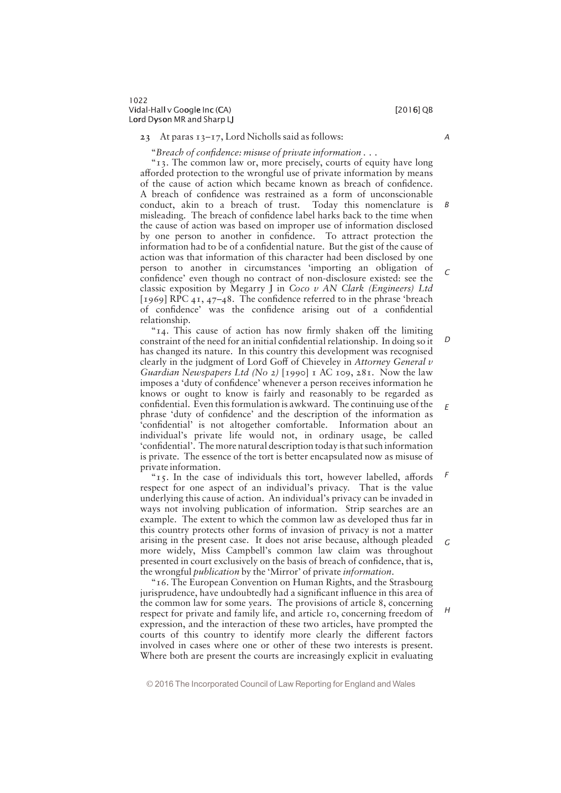# 23 At paras  $13-17$ , Lord Nicholls said as follows:

"Breach of confidence: misuse of private information  $\dots$ 

"13. The common law or, more precisely, courts of equity have long afforded protection to the wrongful use of private information by means of the cause of action which became known as breach of confidence. A breach of confidence was restrained as a form of unconscionable conduct, akin to a breach of trust. Today this nomenclature is misleading. The breach of confidence label harks back to the time when the cause of action was based on improper use of information disclosed by one person to another in confidence. To attract protection the information had to be of a confidential nature. But the gist of the cause of action was that information of this character had been disclosed by one person to another in circumstances "importing an obligation of confidence' even though no contract of non-disclosure existed: see the classic exposition by Megarry J in Coco  $v$  AN Clark (Engineers) Ltd [1969] RPC  $41, 47-48$ . The confidence referred to in the phrase 'breach of confidence' was the confidence arising out of a confidential relationship.

" $14$ . This cause of action has now firmly shaken off the limiting constraint of the need for an initial confidential relationship. In doing so it has changed its nature. In this country this development was recognised clearly in the judgment of Lord Goff of Chieveley in Attorney General v Guardian Newspapers Ltd (No 2) [1990] 1 AC 109, 281. Now the law imposes a 'duty of confidence' whenever a person receives information he knows or ought to know is fairly and reasonably to be regarded as confidential. Even this formulation is awkward. The continuing use of the phrase 'duty of confidence' and the description of the information as 'confidential' is not altogether comfortable. Information about an individual's private life would not, in ordinary usage, be called "confidential". The more natural description today is that such information is private. The essence of the tort is better encapsulated now as misuse of private information.  $\overline{D}$ E

" $15$ . In the case of individuals this tort, however labelled, affords respect for one aspect of an individual's privacy. That is the value underlying this cause of action. An individual's privacy can be invaded in ways not involving publication of information. Strip searches are an example. The extent to which the common law as developed thus far in this country protects other forms of invasion of privacy is not a matter arising in the present case. It does not arise because, although pleaded more widely, Miss Campbell's common law claim was throughout presented in court exclusively on the basis of breach of confidence, that is, the wrongful *publication* by the 'Mirror' of private *information*. F G

"16. The European Convention on Human Rights, and the Strasbourg jurisprudence, have undoubtedly had a significant influence in this area of the common law for some years. The provisions of article 8, concerning respect for private and family life, and article 10, concerning freedom of expression, and the interaction of these two articles, have prompted the courts of this country to identify more clearly the different factors involved in cases where one or other of these two interests is present. Where both are present the courts are increasingly explicit in evaluating

© 2016 The Incorporated Council of Law Reporting for England and Wales

H

A

B

 $\mathcal{C}$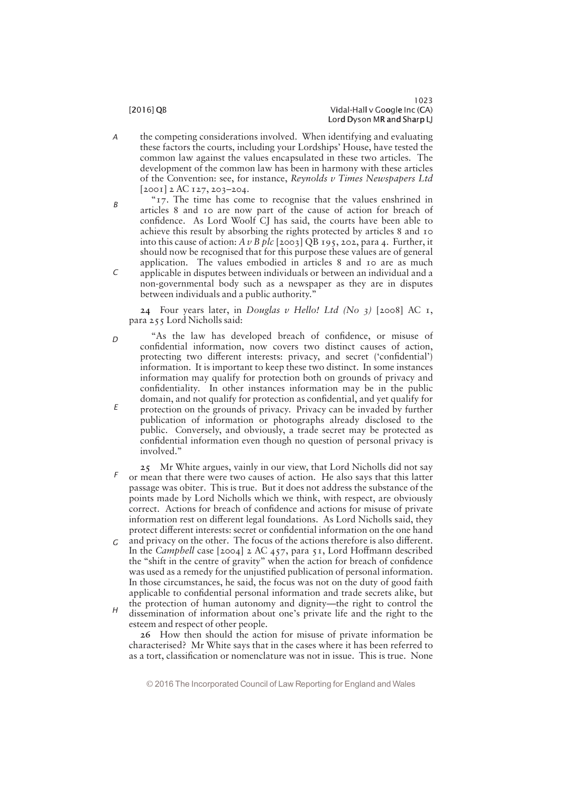- the competing considerations involved. When identifying and evaluating these factors the courts, including your Lordships' House, have tested the common law against the values encapsulated in these two articles. The development of the common law has been in harmony with these articles of the Convention: see, for instance, Reynolds v Times Newspapers Ltd [2001] 2 AC 127, 203—204. A
- " $17$ . The time has come to recognise that the values enshrined in articles 8 and 10 are now part of the cause of action for breach of confidence. As Lord Woolf CJ has said, the courts have been able to achieve this result by absorbing the rights protected by articles 8 and 10 into this cause of action:  $A \nu B$  plc [2003] QB 195, 202, para 4. Further, it should now be recognised that for this purpose these values are of general application. The values embodied in articles 8 and 10 are as much applicable in disputes between individuals or between an individual and a non-governmental body such as a newspaper as they are in disputes B  $\Gamma$

between individuals and a public authority."

24 Four years later, in Douglas v Hello! Ltd (No 3) [2008] AC  $I$ , para 255 Lord Nicholls said:

- "As the law has developed breach of confidence, or misuse of confidential information, now covers two distinct causes of action, protecting two different interests: privacy, and secret ('confidential') information. It is important to keep these two distinct. In some instances information may qualify for protection both on grounds of privacy and confidentiality. In other instances information may be in the public domain, and not qualify for protection as confidential, and yet qualify for protection on the grounds of privacy. Privacy can be invaded by further publication of information or photographs already disclosed to the public. Conversely, and obviously, a trade secret may be protected as confidential information even though no question of personal privacy is involved." D E
- 25 Mr White argues, vainly in our view, that Lord Nicholls did not say or mean that there were two causes of action. He also says that this latter passage was obiter. This is true. But it does not address the substance of the points made by Lord Nicholls which we think, with respect, are obviously correct. Actions for breach of confidence and actions for misuse of private information rest on different legal foundations. As Lord Nicholls said, they protect different interests: secret or confidential information on the one hand F
- and privacy on the other. The focus of the actions therefore is also different. In the Campbell case  $[2004]$  2 AC 457, para 51, Lord Hoffmann described the "shift in the centre of gravity" when the action for breach of confidence was used as a remedy for the unjustified publication of personal information. In those circumstances, he said, the focus was not on the duty of good faith applicable to confidential personal information and trade secrets alike, but the protection of human autonomy and dignity—the right to control the G
- dissemination of information about one's private life and the right to the esteem and respect of other people.  $H$

26 How then should the action for misuse of private information be characterised? Mr White says that in the cases where it has been referred to as a tort, classification or nomenclature was not in issue. This is true. None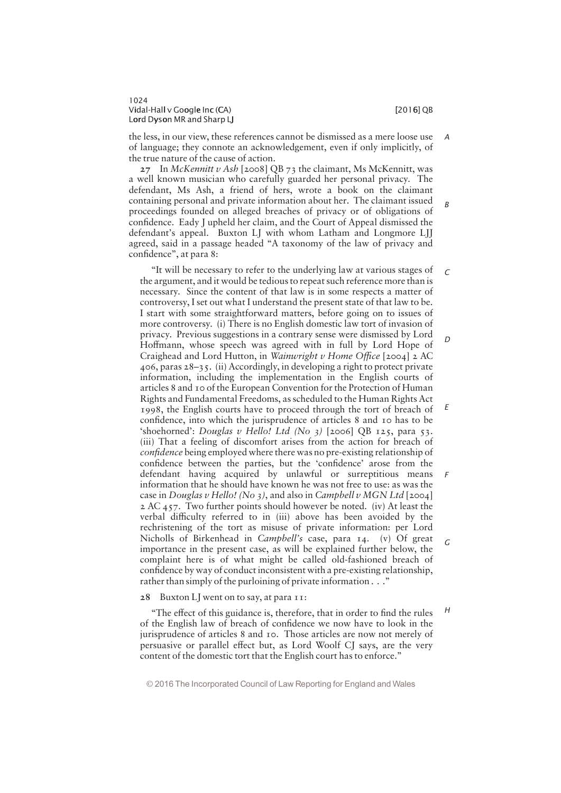B

H

1024 Vidal-Hall v Google Inc (CA) i later than the control of the control of  $[2016]$  QB Lord Dyson MR and Sharp LJ

the less, in our view, these references cannot be dismissed as a mere loose use of language; they connote an acknowledgement, even if only implicitly, of the true nature of the cause of action. A

 $27$  In McKennitt v Ash [2008] QB 73 the claimant, Ms McKennitt, was a well known musician who carefully guarded her personal privacy. The defendant, Ms Ash, a friend of hers, wrote a book on the claimant containing personal and private information about her. The claimant issued proceedings founded on alleged breaches of privacy or of obligations of confidence. Eady J upheld her claim, and the Court of Appeal dismissed the defendant's appeal. Buxton LJ with whom Latham and Longmore LJJ agreed, said in a passage headed "A taxonomy of the law of privacy and confidence", at para 8:

"It will be necessary to refer to the underlying law at various stages of the argument, and it would be tedious to repeat such reference more than is necessary. Since the content of that law is in some respects a matter of controversy, I set out what I understand the present state of that law to be. I start with some straightforward matters, before going on to issues of more controversy. (i) There is no English domestic law tort of invasion of privacy. Previous suggestions in a contrary sense were dismissed by Lord Hoffmann, whose speech was agreed with in full by Lord Hope of Craighead and Lord Hutton, in Wainwright v Home Office [2004] 2 AC 406, paras 28—35. (ii) Accordingly, in developing a right to protect private information, including the implementation in the English courts of articles 8 and 10 of the European Convention for the Protection of Human Rights and Fundamental Freedoms, as scheduled to the Human Rights Act 1998, the English courts have to proceed through the tort of breach of confidence, into which the jurisprudence of articles 8 and 10 has to be 'shoehorned': Douglas v Hello! Ltd (No 3) [2006] QB 125, para 53. (iii) That a feeling of discomfort arises from the action for breach of confidence being employed where there was no pre-existing relationship of confidence between the parties, but the 'confidence' arose from the defendant having acquired by unlawful or surreptitious means information that he should have known he was not free to use: as was the case in Douglas v Hello! (No 3), and also in Campbell v MGN Ltd [2004]  $2 AC 457$ . Two further points should however be noted. (iv) At least the verbal difficulty referred to in (iii) above has been avoided by the rechristening of the tort as misuse of private information: per Lord Nicholls of Birkenhead in Campbell's case, para  $14.$  (v) Of great importance in the present case, as will be explained further below, the complaint here is of what might be called old-fashioned breach of confidence by way of conduct inconsistent with a pre-existing relationship, rather than simply of the purloining of private information  $\ldots$ ."  $\Gamma$ D E F G

28 Buxton LJ went on to say, at para 11:

"The effect of this guidance is, therefore, that in order to find the rules of the English law of breach of confidence we now have to look in the jurisprudence of articles 8 and 10. Those articles are now not merely of persuasive or parallel effect but, as Lord Woolf CJ says, are the very content of the domestic tort that the English court has to enforce."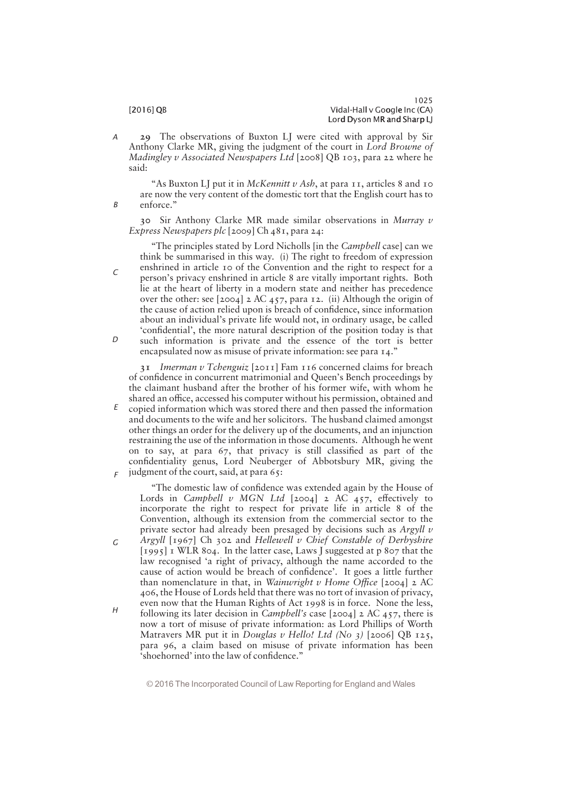29 The observations of Buxton LJ were cited with approval by Sir Anthony Clarke MR, giving the judgment of the court in Lord Browne of Madingley v Associated Newspapers Ltd [2008] QB 103, para 22 where he said: A

"As Buxton LJ put it in *McKennitt v Ash*, at para  $I_1$ , articles 8 and 10 are now the very content of the domestic tort that the English court has to enforce."

30 Sir Anthony Clarke MR made similar observations in Murray v Express Newspapers plc [2009] Ch 481, para 24:

""The principles stated by Lord Nicholls [in the Campbell case] can we think be summarised in this way. (i) The right to freedom of expression enshrined in article 10 of the Convention and the right to respect for a person's privacy enshrined in article 8 are vitally important rights. Both lie at the heart of liberty in a modern state and neither has precedence over the other: see [2004] 2 AC 457, para 12. (ii) Although the origin of the cause of action relied upon is breach of confidence, since information about an individual's private life would not, in ordinary usage, be called 'confidential', the more natural description of the position today is that

such information is private and the essence of the tort is better encapsulated now as misuse of private information: see para 14."

31 Imerman v Tchenguiz [2011] Fam 116 concerned claims for breach of confidence in concurrent matrimonial and Queen's Bench proceedings by the claimant husband after the brother of his former wife, with whom he shared an office, accessed his computer without his permission, obtained and copied information which was stored there and then passed the information and documents to the wife and her solicitors. The husband claimed amongst other things an order for the delivery up of the documents, and an injunction restraining the use of the information in those documents. Although he went on to say, at para  $67$ , that privacy is still classified as part of the confidentiality genus, Lord Neuberger of Abbotsbury MR, giving the judgment of the court, said, at para 65: E F

"The domestic law of confidence was extended again by the House of Lords in Campbell v MGN Ltd [2004] 2 AC 457, effectively to incorporate the right to respect for private life in article 8 of the Convention, although its extension from the commercial sector to the private sector had already been presaged by decisions such as  $Argyll$   $v$ 

- Argyll  $[1967]$  Ch 302 and Hellewell v Chief Constable of Derbyshire [1995] 1 WLR 804. In the latter case, Laws J suggested at p 807 that the law recognised "a right of privacy, although the name accorded to the cause of action would be breach of confidence'. It goes a little further than nomenclature in that, in Wainwright v Home Office [2004] 2 AC 406, the House of Lords held that there was no tort of invasion of privacy, even now that the Human Rights of Act 1998 is in force. None the less, G
- following its later decision in *Campbell's* case [2004] 2 AC 457, there is now a tort of misuse of private information: as Lord Phillips of Worth Matravers MR put it in Douglas v Hello! Ltd (No 3) [2006] QB 125, para 96, a claim based on misuse of private information has been  $\epsilon$  shoehorned' into the law of confidence." H

© 2016 The Incorporated Council of Law Reporting for England and Wales

B

C

 $\Gamma$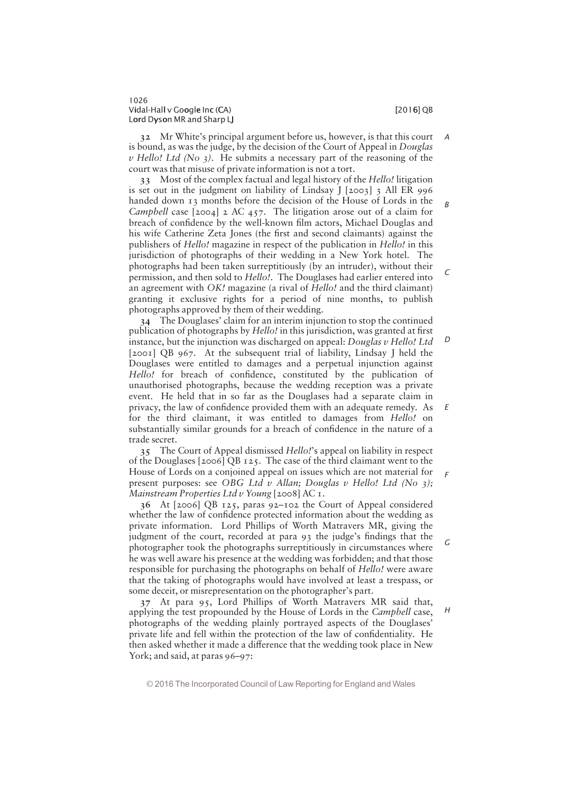B

 $\sqrt{2}$ 

1026 Vidal-Hall v Google Inc (CA) i later than the control of the control of the control of  $[2016]$  QB Lord Dyson MR and Sharp LJ

32 Mr White's principal argument before us, however, is that this court is bound, as was the judge, by the decision of the Court of Appeal in Douglas  $\nu$  Hello! Ltd (No 3). He submits a necessary part of the reasoning of the court was that misuse of private information is not a tort. A

33 Most of the complex factual and legal history of the Hello! litigation is set out in the judgment on liability of Lindsay  $[2003]$  3 All ER 996 handed down 13 months before the decision of the House of Lords in the Campbell case  $[2004]$  2 AC 457. The litigation arose out of a claim for breach of confidence by the well-known film actors, Michael Douglas and his wife Catherine Zeta Jones (the first and second claimants) against the publishers of Hello! magazine in respect of the publication in Hello! in this jurisdiction of photographs of their wedding in a New York hotel. The photographs had been taken surreptitiously (by an intruder), without their permission, and then sold to Hello!. The Douglases had earlier entered into an agreement with *OK!* magazine (a rival of *Hello!* and the third claimant) granting it exclusive rights for a period of nine months, to publish photographs approved by them of their wedding.

34 The Douglases' claim for an interim injunction to stop the continued publication of photographs by *Hello!* in this jurisdiction, was granted at first instance, but the injunction was discharged on appeal: Douglas v Hello! Ltd [2001] QB 967. At the subsequent trial of liability, Lindsay J held the Douglases were entitled to damages and a perpetual injunction against Hello! for breach of confidence, constituted by the publication of unauthorised photographs, because the wedding reception was a private event. He held that in so far as the Douglases had a separate claim in privacy, the law of confidence provided them with an adequate remedy. As for the third claimant, it was entitled to damages from Hello! on substantially similar grounds for a breach of confidence in the nature of a trade secret.  $\Gamma$ E

35 The Court of Appeal dismissed Hello!'s appeal on liability in respect of the Douglases [2006] QB 125. The case of the third claimant went to the House of Lords on a conjoined appeal on issues which are not material for present purposes: see OBG Ltd v Allan; Douglas v Hello! Ltd (No 3); Mainstream Properties Ltd v Young [2008] AC 1. F

36 At [2006] QB 125, paras 92—102 the Court of Appeal considered whether the law of confidence protected information about the wedding as private information. Lord Phillips of Worth Matravers MR, giving the judgment of the court, recorded at para 93 the judge's findings that the photographer took the photographs surreptitiously in circumstances where he was well aware his presence at the wedding was forbidden; and that those responsible for purchasing the photographs on behalf of Hello! were aware that the taking of photographs would have involved at least a trespass, or some deceit, or misrepresentation on the photographer's part.

37 At para 95, Lord Phillips of Worth Matravers MR said that, applying the test propounded by the House of Lords in the Campbell case, photographs of the wedding plainly portrayed aspects of the Douglases' private life and fell within the protection of the law of confidentiality. He then asked whether it made a difference that the wedding took place in New York; and said, at paras 96-97:

© 2016 The Incorporated Council of Law Reporting for England and Wales

H

G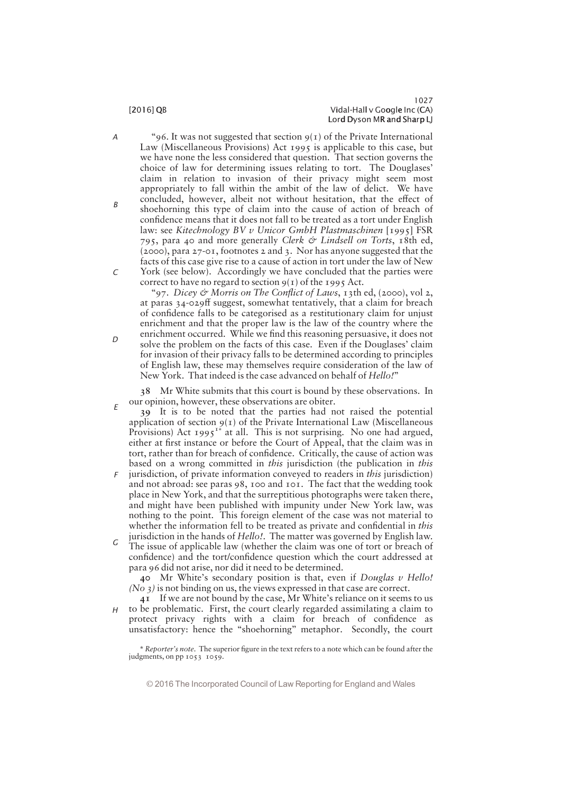"96. It was not suggested that section  $9(1)$  of the Private International Law (Miscellaneous Provisions) Act 1995 is applicable to this case, but we have none the less considered that question. That section governs the choice of law for determining issues relating to tort. The Douglases' claim in relation to invasion of their privacy might seem most appropriately to fall within the ambit of the law of delict. We have concluded, however, albeit not without hesitation, that the effect of shoehorning this type of claim into the cause of action of breach of confidence means that it does not fall to be treated as a tort under English law: see Kitechnology BV v Unicor GmbH Plastmaschinen [1995] FSR 795, para 40 and more generally Clerk & Lindsell on Torts, 18th ed, (2000), para 27-01, footnotes 2 and 3. Nor has anyone suggested that the facts of this case give rise to a cause of action in tort under the law of New York (see below). Accordingly we have concluded that the parties were C

correct to have no regard to section  $9(1)$  of the 1995 Act.

"97. Dicey & Morris on The Conflict of Laws, 13th ed, (2000), vol 2, at paras 34-029ff suggest, somewhat tentatively, that a claim for breach of confidence falls to be categorised as a restitutionary claim for unjust enrichment and that the proper law is the law of the country where the enrichment occurred. While we find this reasoning persuasive, it does not solve the problem on the facts of this case. Even if the Douglases' claim for invasion of their privacy falls to be determined according to principles of English law, these may themselves require consideration of the law of New York. That indeed is the case advanced on behalf of Hello!"

38 Mr White submits that this court is bound by these observations. In our opinion, however, these observations are obiter.

- 39 It is to be noted that the parties had not raised the potential application of section  $9(1)$  of the Private International Law (Miscellaneous Provisions) Act 1995<sup>1\*</sup> at all. This is not surprising. No one had argued, either at first instance or before the Court of Appeal, that the claim was in tort, rather than for breach of confidence. Critically, the cause of action was based on a wrong committed in this jurisdiction (the publication in this E
- jurisdiction, of private information conveyed to readers in this jurisdiction) and not abroad: see paras 98, 100 and 101. The fact that the wedding took place in New York, and that the surreptitious photographs were taken there, and might have been published with impunity under New York law, was nothing to the point. This foreign element of the case was not material to whether the information fell to be treated as private and confidential in *this* F
- jurisdiction in the hands of Hello!. The matter was governed by English law. The issue of applicable law (whether the claim was one of tort or breach of confidence) and the tort/confidence question which the court addressed at para 96 did not arise, nor did it need to be determined. G

40 Mr White's secondary position is that, even if Douglas  $\nu$  Hello! (No 3) is not binding on us, the views expressed in that case are correct.

41 If we are not bound by the case, Mr White's reliance on it seems to us  $H$  to be problematic. First, the court clearly regarded assimilating a claim to protect privacy rights with a claim for breach of confidence as unsatisfactory: hence the "shoehorning" metaphor. Secondly, the court

\* Reporter's note. The superior figure in the text refers to a note which can be found after the judgments, on pp 1053 1059.

© 2016 The Incorporated Council of Law Reporting for England and Wales

A

B

 $\Gamma$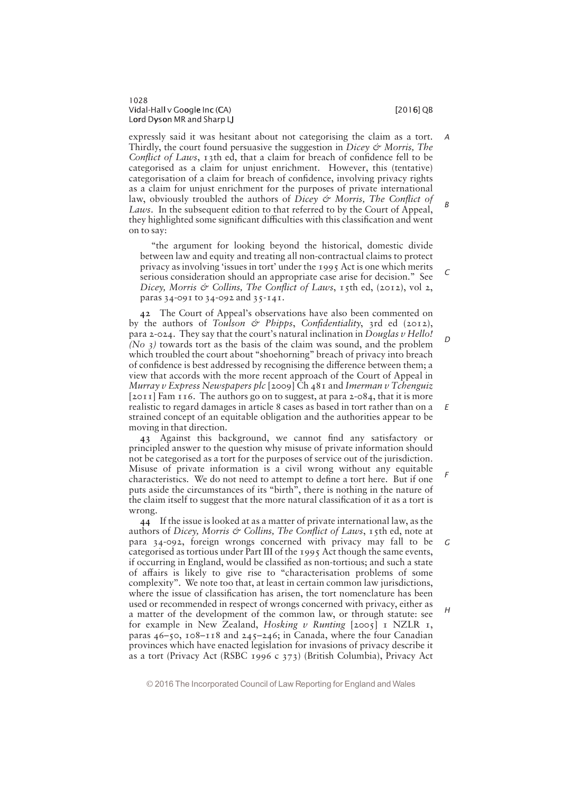expressly said it was hesitant about not categorising the claim as a tort. Thirdly, the court found persuasive the suggestion in Dicey  $\mathcal O$  Morris, The Conflict of Laws, 13th ed, that a claim for breach of confidence fell to be categorised as a claim for unjust enrichment. However, this (tentative) categorisation of a claim for breach of confidence, involving privacy rights as a claim for unjust enrichment for the purposes of private international law, obviously troubled the authors of Dicey  $\mathcal O$  Morris, The Conflict of Laws. In the subsequent edition to that referred to by the Court of Appeal, they highlighted some significant difficulties with this classification and went on to say: A B

"the argument for looking beyond the historical, domestic divide between law and equity and treating all non-contractual claims to protect privacy as involving 'issues in tort' under the  $1995$  Act is one which merits serious consideration should an appropriate case arise for decision." See Dicey, Morris & Collins, The Conflict of Laws,  $15$ th ed, (2012), vol 2, paras 34-091 to 34-092 and 35-141.

42 The Court of Appeal's observations have also been commented on by the authors of Toulson & Phipps, Confidentiality, 3rd ed (2012), para 2-024. They say that the court's natural inclination in Douglas  $v$  Hello! (No  $3$ ) towards tort as the basis of the claim was sound, and the problem which troubled the court about "shoehorning" breach of privacy into breach of confidence is best addressed by recognising the difference between them; a view that accords with the more recent approach of the Court of Appeal in Murray v Express Newspapers plc  $[2009]$ Ch 481 and Imerman v Tchenguiz [2011] Fam 116. The authors go on to suggest, at para 2-084, that it is more realistic to regard damages in article 8 cases as based in tort rather than on a strained concept of an equitable obligation and the authorities appear to be moving in that direction.

43 Against this background, we cannot find any satisfactory or principled answer to the question why misuse of private information should not be categorised as a tort for the purposes of service out of the jurisdiction. Misuse of private information is a civil wrong without any equitable characteristics. We do not need to attempt to define a tort here. But if one puts aside the circumstances of its "birth", there is nothing in the nature of the claim itself to suggest that the more natural classification of it as a tort is wrong.

44 If the issue is looked at as a matter of private international law, as the authors of Dicey, Morris & Collins, The Conflict of Laws, 15th ed, note at para 34-092, foreign wrongs concerned with privacy may fall to be categorised as tortious under Part III of the 1995 Act though the same events, if occurring in England, would be classified as non-tortious; and such a state of affairs is likely to give rise to "characterisation problems of some complexity". We note too that, at least in certain common law jurisdictions, where the issue of classification has arisen, the tort nomenclature has been used or recommended in respect of wrongs concerned with privacy, either as a matter of the development of the common law, or through statute: see for example in New Zealand, Hosking v Runting  $[2005]$  I NZLR 1, paras 46—50, 108—118 and 245—246; in Canada, where the four Canadian provinces which have enacted legislation for invasions of privacy describe it as a tort (Privacy Act (RSBC 1996 c 373) (British Columbia), Privacy Act G

D

E

F

 $H$ 

C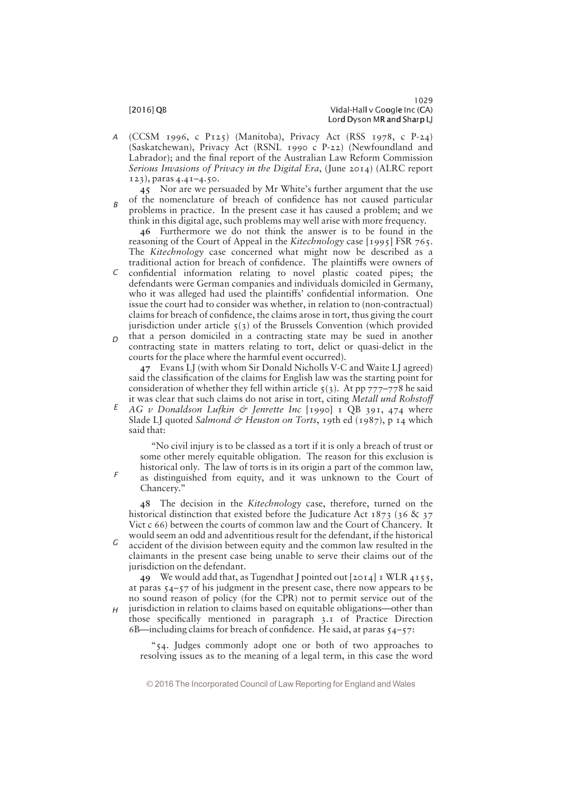B

F

H

(CCSM 1996, c P125) (Manitoba), Privacy Act (RSS 1978, c P-24) (Saskatchewan), Privacy Act (RSNL 1990 c P-22) (Newfoundland and Labrador); and the final report of the Australian Law Reform Commission Serious Invasions of Privacy in the Digital Era, (June 2014) (ALRC report 123), paras 4.41—4.50. A

45 Nor are we persuaded by Mr White's further argument that the use of the nomenclature of breach of confidence has not caused particular problems in practice. In the present case it has caused a problem; and we

think in this digital age, such problems may well arise with more frequency. 46 Furthermore we do not think the answer is to be found in the reasoning of the Court of Appeal in the Kitechnology case [1995] FSR 765. The Kitechnology case concerned what might now be described as a traditional action for breach of confidence. The plaintiffs were owners of

- confidential information relating to novel plastic coated pipes; the defendants were German companies and individuals domiciled in Germany, who it was alleged had used the plaintiffs' confidential information. One issue the court had to consider was whether, in relation to (non-contractual) claims for breach of confidence, the claims arose in tort, thus giving the court jurisdiction under article  $5(3)$  of the Brussels Convention (which provided C
- that a person domiciled in a contracting state may be sued in another contracting state in matters relating to tort, delict or quasi-delict in the courts for the place where the harmful event occurred).  $\Gamma$

47 Evans LJ (with whom Sir Donald Nicholls V-C and Waite LJ agreed) said the classification of the claims for English law was the starting point for consideration of whether they fell within article  $\zeta(3)$ . At pp 777–778 he said it was clear that such claims do not arise in tort, citing Metall und Rohstoff

AG v Donaldson Lufkin  $\dot{\varphi}$  Jenrette Inc [1990] 1 OB 391, 474 where Slade LJ quoted Salmond & Heuston on Torts, 19th ed (1987), p 14 which said that: E

""No civil injury is to be classed as a tort if it is only a breach of trust or some other merely equitable obligation. The reason for this exclusion is historical only. The law of torts is in its origin a part of the common law, as distinguished from equity, and it was unknown to the Court of

Chancery."

48 The decision in the Kitechnology case, therefore, turned on the historical distinction that existed before the Judicature Act  $1873$  (36 & 37) Vict c 66) between the courts of common law and the Court of Chancery. It would seem an odd and adventitious result for the defendant, if the historical

accident of the division between equity and the common law resulted in the claimants in the present case being unable to serve their claims out of the jurisdiction on the defendant. G

49 We would add that, as Tugendhat J pointed out  $[2014]$  I WLR  $4155$ , at paras 54—57 of his judgment in the present case, there now appears to be no sound reason of policy (for the CPR) not to permit service out of the

jurisdiction in relation to claims based on equitable obligations—other than those specifically mentioned in paragraph 3.1 of Practice Direction 6B—including claims for breach of confidence. He said, at paras  $54-57$ :

"54. Judges commonly adopt one or both of two approaches to resolving issues as to the meaning of a legal term, in this case the word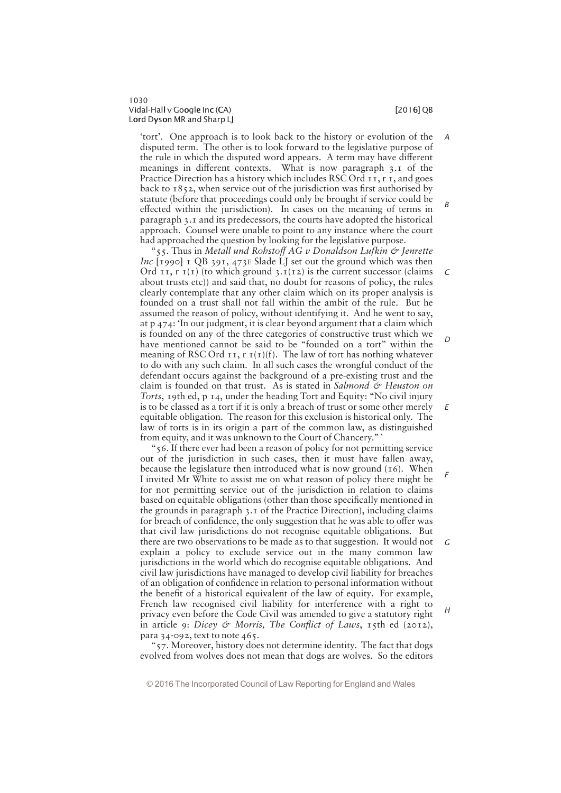$\epsilon$ 

D

E

F

# 1030 Vidal-Hall v Google Inc (CA) i later than the control of the control of  $[2016]$  QB Lord Dyson MR and Sharp LJ

'tort'. One approach is to look back to the history or evolution of the disputed term. The other is to look forward to the legislative purpose of the rule in which the disputed word appears. A term may have different meanings in different contexts. What is now paragraph 3.1 of the Practice Direction has a history which includes RSC Ord 11, r 1, and goes back to  $1852$ , when service out of the jurisdiction was first authorised by statute (before that proceedings could only be brought if service could be effected within the jurisdiction). In cases on the meaning of terms in paragraph 3.1 and its predecessors, the courts have adopted the historical approach. Counsel were unable to point to any instance where the court had approached the question by looking for the legislative purpose. A B

"55. Thus in Metall und Rohstoff AG v Donaldson Lufkin  $\circ$  Jenrette Inc  $[1990]$  I QB 391, 473E Slade LJ set out the ground which was then Ord  $II, I(I)$  (to which ground 3. $I(I_2)$ ) is the current successor (claims about trusts etc)) and said that, no doubt for reasons of policy, the rules clearly contemplate that any other claim which on its proper analysis is founded on a trust shall not fall within the ambit of the rule. But he assumed the reason of policy, without identifying it. And he went to say, at p 474: "In our judgment, it is clear beyond argument that a claim which is founded on any of the three categories of constructive trust which we have mentioned cannot be said to be "founded on a tort" within the meaning of RSC Ord  $I_1$ ,  $I_1(I)(f)$ . The law of tort has nothing whatever to do with any such claim. In all such cases the wrongful conduct of the defendant occurs against the background of a pre-existing trust and the claim is founded on that trust. As is stated in Salmond  $\acute{\mathcal{O}}$  Heuston on Torts, 19th ed, p 14, under the heading Tort and Equity: "No civil injury is to be classed as a tort if it is only a breach of trust or some other merely equitable obligation. The reason for this exclusion is historical only. The law of torts is in its origin a part of the common law, as distinguished from equity, and it was unknown to the Court of Chancery."

"56. If there ever had been a reason of policy for not permitting service out of the jurisdiction in such cases, then it must have fallen away, because the legislature then introduced what is now ground (16). When I invited Mr White to assist me on what reason of policy there might be for not permitting service out of the jurisdiction in relation to claims based on equitable obligations (other than those specifically mentioned in the grounds in paragraph 3.1 of the Practice Direction), including claims for breach of confidence, the only suggestion that he was able to offer was that civil law jurisdictions do not recognise equitable obligations. But there are two observations to be made as to that suggestion. It would not explain a policy to exclude service out in the many common law jurisdictions in the world which do recognise equitable obligations. And civil law jurisdictions have managed to develop civil liability for breaches of an obligation of confidence in relation to personal information without the benefit of a historical equivalent of the law of equity. For example, French law recognised civil liability for interference with a right to privacy even before the Code Civil was amended to give a statutory right in article 9: Dicey & Morris, The Conflict of Laws, 15th ed (2012), para 34-092, text to note 465. G

"57. Moreover, history does not determine identity. The fact that dogs evolved from wolves does not mean that dogs are wolves. So the editors

© 2016 The Incorporated Council of Law Reporting for England and Wales

H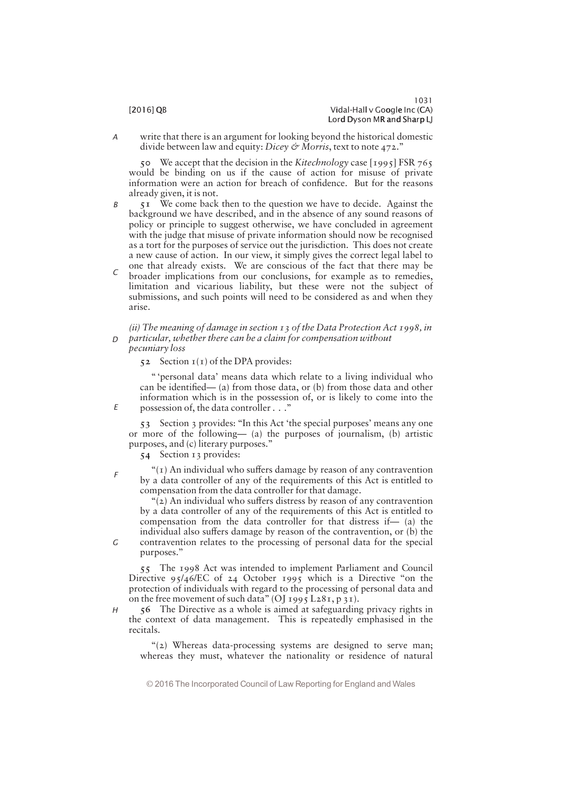write that there is an argument for looking beyond the historical domestic divide between law and equity: Dicey & Morris, text to note 472." A

50 We accept that the decision in the Kitechnology case [1995] FSR 765 would be binding on us if the cause of action for misuse of private information were an action for breach of confidence. But for the reasons already given, it is not.

- 51 We come back then to the question we have to decide. Against the background we have described, and in the absence of any sound reasons of policy or principle to suggest otherwise, we have concluded in agreement with the judge that misuse of private information should now be recognised as a tort for the purposes of service out the jurisdiction. This does not create a new cause of action. In our view, it simply gives the correct legal label to one that already exists. We are conscious of the fact that there may be B
- broader implications from our conclusions, for example as to remedies, limitation and vicarious liability, but these were not the subject of submissions, and such points will need to be considered as and when they arise. C

### (ii) The meaning of damage in section 13 of the Data Protection Act 1998, in particular, whether there can be a claim for compensation without  $\Gamma$

pecuniary loss

52 Section  $I(I)$  of the DPA provides:

" 'personal data' means data which relate to a living individual who can be identified— $(a)$  from those data, or  $(b)$  from those data and other information which is in the possession of, or is likely to come into the possession of, the data controller  $\ldots$ ."

53 Section 3 provides: "In this Act 'the special purposes' means any one or more of the following  $-$  (a) the purposes of journalism, (b) artistic purposes, and  $(c)$  literary purposes."

54 Section 13 provides:

" $(r)$  An individual who suffers damage by reason of any contravention by a data controller of any of the requirements of this Act is entitled to compensation from the data controller for that damage.

" $(z)$  An individual who suffers distress by reason of any contravention by a data controller of any of the requirements of this Act is entitled to compensation from the data controller for that distress if  $-$  (a) the individual also suffers damage by reason of the contravention, or (b) the contravention relates to the processing of personal data for the special

G

E

F

purposes."

55 The 1998 Act was intended to implement Parliament and Council Directive  $95/46/EC$  of 24 October 1995 which is a Directive "on the protection of individuals with regard to the processing of personal data and on the free movement of such data" (OJ 1995 L281, p 31).

56 The Directive as a whole is aimed at safeguarding privacy rights in the context of data management. This is repeatedly emphasised in the recitals. H

"(2) Whereas data-processing systems are designed to serve man: whereas they must, whatever the nationality or residence of natural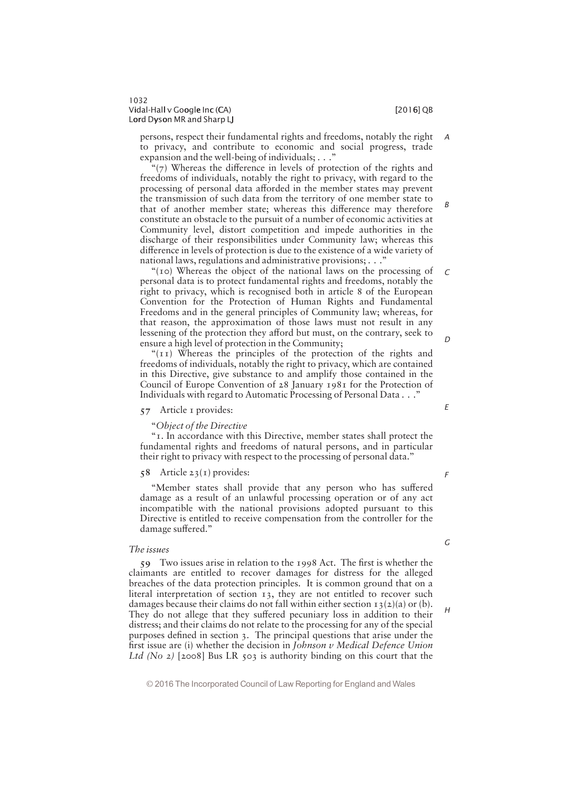B

persons, respect their fundamental rights and freedoms, notably the right to privacy, and contribute to economic and social progress, trade expansion and the well-being of individuals;  $\ldots$ A

" $(7)$  Whereas the difference in levels of protection of the rights and freedoms of individuals, notably the right to privacy, with regard to the processing of personal data afforded in the member states may prevent the transmission of such data from the territory of one member state to that of another member state; whereas this difference may therefore constitute an obstacle to the pursuit of a number of economic activities at Community level, distort competition and impede authorities in the discharge of their responsibilities under Community law; whereas this difference in levels of protection is due to the existence of a wide variety of national laws, regulations and administrative provisions;  $\ldots$ ."

"( $10$ ) Whereas the object of the national laws on the processing of personal data is to protect fundamental rights and freedoms, notably the right to privacy, which is recognised both in article 8 of the European Convention for the Protection of Human Rights and Fundamental Freedoms and in the general principles of Community law; whereas, for that reason, the approximation of those laws must not result in any lessening of the protection they afford but must, on the contrary, seek to ensure a high level of protection in the Community;  $\Gamma$ D

" $(TI)$  Whereas the principles of the protection of the rights and freedoms of individuals, notably the right to privacy, which are contained in this Directive, give substance to and amplify those contained in the Council of Europe Convention of 28 January 1981 for the Protection of Individuals with regard to Automatic Processing of Personal Data . . ."

# 57 Article 1 provides:

# ""Object of the Directive

"I. In accordance with this Directive, member states shall protect the fundamental rights and freedoms of natural persons, and in particular their right to privacy with respect to the processing of personal data."

# 58 Article 23(1) provides:

"Member states shall provide that any person who has suffered damage as a result of an unlawful processing operation or of any act incompatible with the national provisions adopted pursuant to this Directive is entitled to receive compensation from the controller for the damage suffered."

# The issues

59 Two issues arise in relation to the 1998 Act. The first is whether the claimants are entitled to recover damages for distress for the alleged breaches of the data protection principles. It is common ground that on a literal interpretation of section 13, they are not entitled to recover such damages because their claims do not fall within either section  $\tau_3(z)(a)$  or (b). They do not allege that they suffered pecuniary loss in addition to their distress; and their claims do not relate to the processing for any of the special purposes defined in section 3. The principal questions that arise under the first issue are (i) whether the decision in Johnson v Medical Defence Union Ltd (No 2) [2008] Bus LR 503 is authority binding on this court that the

F

E

G

H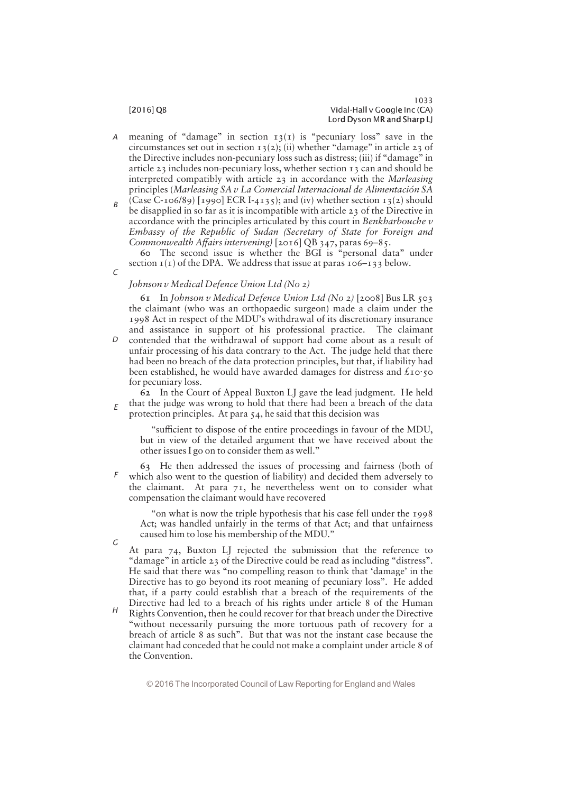- meaning of "damage" in section  $13(1)$  is "pecuniary loss" save in the circumstances set out in section  $13(2)$ ; (ii) whether "damage" in article 23 of the Directive includes non-pecuniary loss such as distress; (iii) if "damage" in article 23 includes non-pecuniary loss, whether section 13 can and should be interpreted compatibly with article 23 in accordance with the Marleasing principles (Marleasing SA v La Comercial Internacional de Alimentación SA A
- (Case C-106/89) [1990] ECR I-4135); and (iv) whether section 13(2) should be disapplied in so far as it is incompatible with article 23 of the Directive in accordance with the principles articulated by this court in Benkharbouche v Embassy of the Republic of Sudan (Secretary of State for Foreign and Commonwealth Affairs intervening)  $[2016]$  QB 347, paras 69-85. B

60 The second issue is whether the BGI is "personal data" under section  $I(I)$  of the DPA. We address that issue at paras  $I O6-I33$  below.

# Johnson v Medical Defence Union Ltd (No 2)

61 In Johnson v Medical Defence Union Ltd (No 2) [2008] Bus LR 503 the claimant (who was an orthopaedic surgeon) made a claim under the 1998 Act in respect of the MDU's withdrawal of its discretionary insurance and assistance in support of his professional practice. The claimant contended that the withdrawal of support had come about as a result of unfair processing of his data contrary to the Act. The judge held that there had been no breach of the data protection principles, but that, if liability had been established, he would have awarded damages for distress and  $\pounds$ 10.50

for pecuniary loss.

62 In the Court of Appeal Buxton LJ gave the lead judgment. He held that the judge was wrong to hold that there had been a breach of the data protection principles. At para 54, he said that this decision was E

"sufficient to dispose of the entire proceedings in favour of the MDU, but in view of the detailed argument that we have received about the other issues I go on to consider them as well."

63 He then addressed the issues of processing and fairness (both of which also went to the question of liability) and decided them adversely to the claimant. At para 71, he nevertheless went on to consider what compensation the claimant would have recovered F

""on what is now the triple hypothesis that his case fell under the 1998 Act; was handled unfairly in the terms of that Act; and that unfairness caused him to lose his membership of the MDU."

G

 $\mathcal{C}$ 

 $\Gamma$ 

At para 74, Buxton LJ rejected the submission that the reference to "damage" in article 23 of the Directive could be read as including "distress". He said that there was "no compelling reason to think that 'damage' in the Directive has to go beyond its root meaning of pecuniary loss". He added that, if a party could establish that a breach of the requirements of the Directive had led to a breach of his rights under article 8 of the Human

Rights Convention, then he could recover for that breach under the Directive "without necessarily pursuing the more tortuous path of recovery for a breach of article 8 as such". But that was not the instant case because the claimant had conceded that he could not make a complaint under article 8 of the Convention. H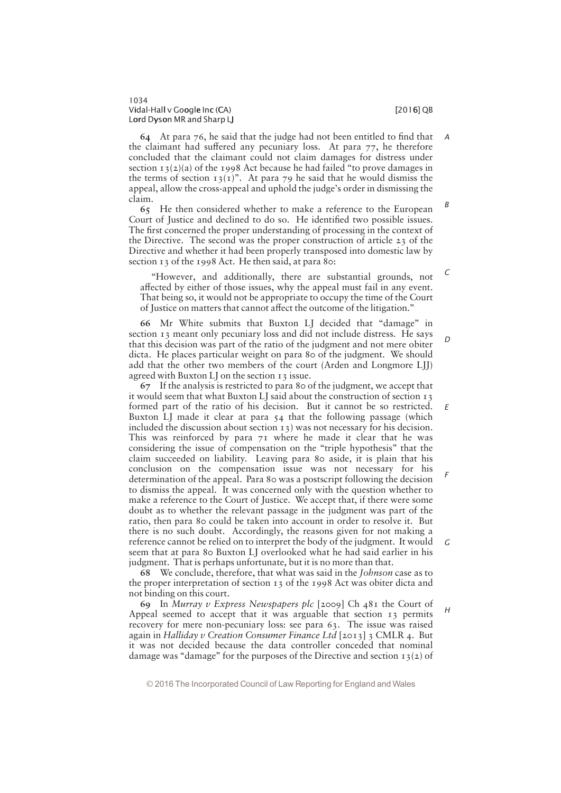$\epsilon$ 

D

F

64 At para  $76$ , he said that the judge had not been entitled to find that the claimant had suffered any pecuniary loss. At para  $77$ , he therefore concluded that the claimant could not claim damages for distress under section  $13(2)(a)$  of the 1998 Act because he had failed "to prove damages in the terms of section  $13(T)$ ". At para 79 he said that he would dismiss the appeal, allow the cross-appeal and uphold the judge's order in dismissing the claim. A B

65 He then considered whether to make a reference to the European Court of Justice and declined to do so. He identified two possible issues. The first concerned the proper understanding of processing in the context of the Directive. The second was the proper construction of article 23 of the Directive and whether it had been properly transposed into domestic law by section 13 of the 1998 Act. He then said, at para 80:

"However, and additionally, there are substantial grounds, not affected by either of those issues, why the appeal must fail in any event. That being so, it would not be appropriate to occupy the time of the Court of Justice on matters that cannot affect the outcome of the litigation."

66 Mr White submits that Buxton LJ decided that "damage" in section 13 meant only pecuniary loss and did not include distress. He says that this decision was part of the ratio of the judgment and not mere obiter dicta. He places particular weight on para 80 of the judgment. We should add that the other two members of the court (Arden and Longmore LJJ) agreed with Buxton LJ on the section 13 issue.

67 If the analysis is restricted to para 80 of the judgment, we accept that it would seem that what Buxton LJ said about the construction of section 13 formed part of the ratio of his decision. But it cannot be so restricted. Buxton LJ made it clear at para 54 that the following passage (which included the discussion about section 13) was not necessary for his decision. This was reinforced by para 71 where he made it clear that he was considering the issue of compensation on the "triple hypothesis" that the claim succeeded on liability. Leaving para 80 aside, it is plain that his conclusion on the compensation issue was not necessary for his determination of the appeal. Para 80 was a postscript following the decision to dismiss the appeal. It was concerned only with the question whether to make a reference to the Court of Justice. We accept that, if there were some doubt as to whether the relevant passage in the judgment was part of the ratio, then para 80 could be taken into account in order to resolve it. But there is no such doubt. Accordingly, the reasons given for not making a reference cannot be relied on to interpret the body of the judgment. It would seem that at para 80 Buxton LJ overlooked what he had said earlier in his judgment. That is perhaps unfortunate, but it is no more than that. E G

68 We conclude, therefore, that what was said in the Johnson case as to the proper interpretation of section 13 of the 1998 Act was obiter dicta and not binding on this court.

69 In Murray v Express Newspapers plc  $[2009]$  Ch  $48$ I the Court of Appeal seemed to accept that it was arguable that section 13 permits recovery for mere non-pecuniary loss: see para 63. The issue was raised again in Halliday v Creation Consumer Finance Ltd [2013] 3 CMLR 4. But it was not decided because the data controller conceded that nominal damage was "damage" for the purposes of the Directive and section  $13(2)$  of  $H$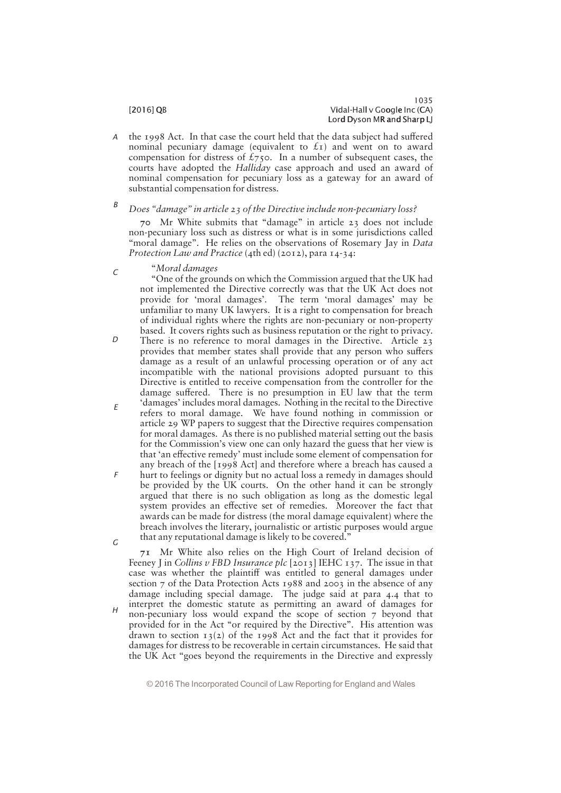the 1998 Act. In that case the court held that the data subject had suffered nominal pecuniary damage (equivalent to  $f(x)$  and went on to award compensation for distress of  $\mathcal{L}_{75}$ . In a number of subsequent cases, the courts have adopted the Halliday case approach and used an award of nominal compensation for pecuniary loss as a gateway for an award of substantial compensation for distress. A

### Does "damage" in article 23 of the Directive include non-pecuniary loss? B

70 Mr White submits that "damage" in article 23 does not include non-pecuniary loss such as distress or what is in some jurisdictions called "moral damage". He relies on the observations of Rosemary Jay in Data Protection Law and Practice (4th ed) (2012), para 14-34:

""Moral damages

C

"One of the grounds on which the Commission argued that the UK had not implemented the Directive correctly was that the UK Act does not provide for 'moral damages'. The term 'moral damages' may be unfamiliar to many UK lawyers. It is a right to compensation for breach of individual rights where the rights are non-pecuniary or non-property based. It covers rights such as business reputation or the right to privacy.

- There is no reference to moral damages in the Directive. Article 23 provides that member states shall provide that any person who suffers damage as a result of an unlawful processing operation or of any act incompatible with the national provisions adopted pursuant to this Directive is entitled to receive compensation from the controller for the damage suffered. There is no presumption in EU law that the term 'damages' includes moral damages. Nothing in the recital to the Directive  $\Gamma$
- refers to moral damage. We have found nothing in commission or article 29 WP papers to suggest that the Directive requires compensation for moral damages. As there is no published material setting out the basis for the Commission's view one can only hazard the guess that her view is that 'an effective remedy' must include some element of compensation for any breach of the [1998 Act] and therefore where a breach has caused a E
- hurt to feelings or dignity but no actual loss a remedy in damages should be provided by the UK courts. On the other hand it can be strongly argued that there is no such obligation as long as the domestic legal system provides an effective set of remedies. Moreover the fact that awards can be made for distress (the moral damage equivalent) where the breach involves the literary, journalistic or artistic purposes would argue that any reputational damage is likely to be covered." F G

71 Mr White also relies on the High Court of Ireland decision of Feeney I in Collins v FBD Insurance plc  $[2013]$  IEHC  $[377]$ . The issue in that case was whether the plaintiff was entitled to general damages under section 7 of the Data Protection Acts 1988 and 2003 in the absence of any damage including special damage. The judge said at para 4.4 that to interpret the domestic statute as permitting an award of damages for non-pecuniary loss would expand the scope of section 7 beyond that provided for in the Act "or required by the Directive". His attention was drawn to section  $13(2)$  of the 1998 Act and the fact that it provides for damages for distress to be recoverable in certain circumstances. He said that the UK Act "goes beyond the requirements in the Directive and expressly  $H$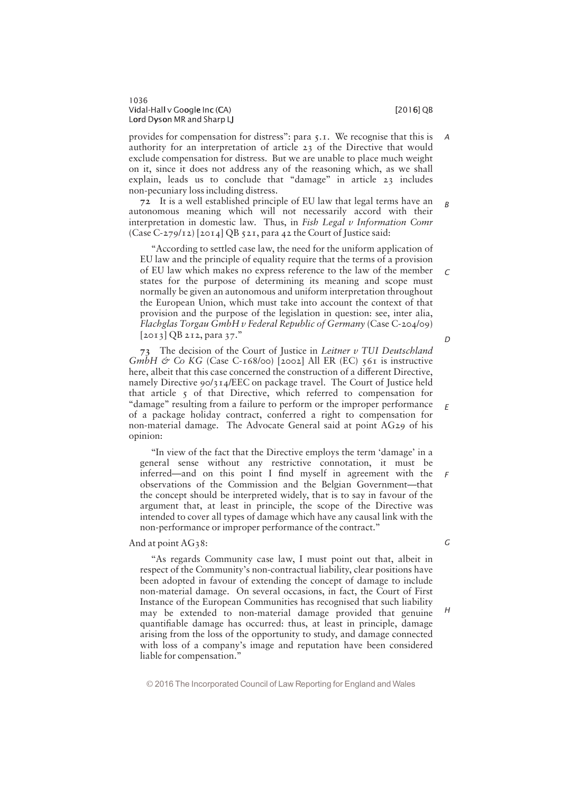provides for compensation for distress": para  $\zeta$ . T. We recognise that this is authority for an interpretation of article 23 of the Directive that would exclude compensation for distress. But we are unable to place much weight on it, since it does not address any of the reasoning which, as we shall explain, leads us to conclude that "damage" in article 23 includes non-pecuniary loss including distress. A

72 It is a well established principle of EU law that legal terms have an autonomous meaning which will not necessarily accord with their interpretation in domestic law. Thus, in Fish Legal v Information Comr (Case C-279/12) [2014] QB 521, para 42 the Court of Justice said: B

"According to settled case law, the need for the uniform application of EU law and the principle of equality require that the terms of a provision of EU law which makes no express reference to the law of the member states for the purpose of determining its meaning and scope must normally be given an autonomous and uniform interpretation throughout the European Union, which must take into account the context of that provision and the purpose of the legislation in question: see, inter alia, Flachglas Torgau GmbH v Federal Republic of Germany (Case C-204/09)  $[2013]$  QB 212, para 37."

73 The decision of the Court of Justice in Leitner v TUI Deutschland GmbH & Co KG (Case C-168/00) [2002] All ER (EC)  $561$  is instructive here, albeit that this case concerned the construction of a different Directive, namely Directive 90/314/EEC on package travel. The Court of Justice held that article  $\zeta$  of that Directive, which referred to compensation for "damage" resulting from a failure to perform or the improper performance of a package holiday contract, conferred a right to compensation for non-material damage. The Advocate General said at point AG29 of his opinion:

"In view of the fact that the Directive employs the term 'damage' in a general sense without any restrictive connotation, it must be inferred—and on this point I find myself in agreement with the observations of the Commission and the Belgian Government-that the concept should be interpreted widely, that is to say in favour of the argument that, at least in principle, the scope of the Directive was intended to cover all types of damage which have any causal link with the non-performance or improper performance of the contract."

And at point AG38:

"As regards Community case law, I must point out that, albeit in respect of the Community's non-contractual liability, clear positions have been adopted in favour of extending the concept of damage to include non-material damage. On several occasions, in fact, the Court of First Instance of the European Communities has recognised that such liability may be extended to non-material damage provided that genuine quantifiable damage has occurred: thus, at least in principle, damage arising from the loss of the opportunity to study, and damage connected with loss of a company's image and reputation have been considered liable for compensation."

© 2016 The Incorporated Council of Law Reporting for England and Wales

G

H

 $\Gamma$ 

D

E

F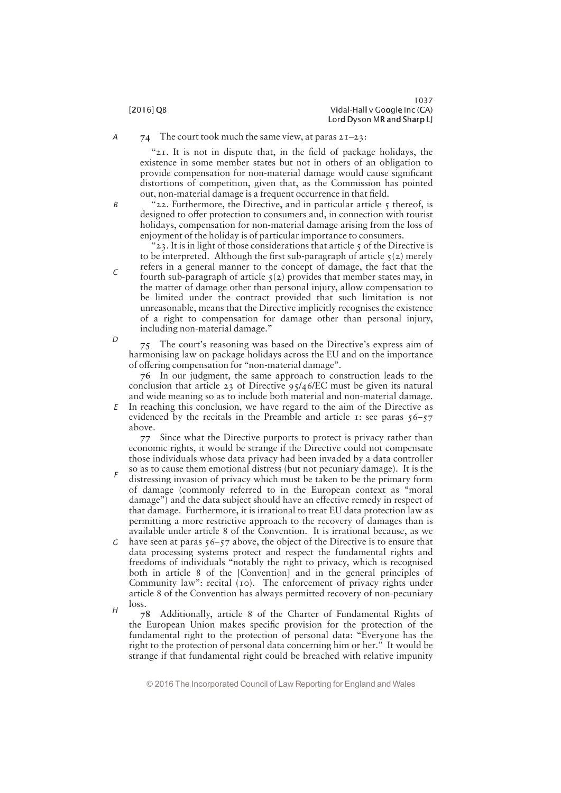74 The court took much the same view, at paras  $2I-23$ : A

> " $2I$ . It is not in dispute that, in the field of package holidays, the existence in some member states but not in others of an obligation to provide compensation for non-material damage would cause significant distortions of competition, given that, as the Commission has pointed out, non-material damage is a frequent occurrence in that field.

B

C

D

"22. Furthermore, the Directive, and in particular article  $\zeta$  thereof, is designed to offer protection to consumers and, in connection with tourist holidays, compensation for non-material damage arising from the loss of enjoyment of the holiday is of particular importance to consumers.

"23. It is in light of those considerations that article  $\zeta$  of the Directive is to be interpreted. Although the first sub-paragraph of article  $\zeta(2)$  merely refers in a general manner to the concept of damage, the fact that the fourth sub-paragraph of article  $\zeta(2)$  provides that member states may, in the matter of damage other than personal injury, allow compensation to be limited under the contract provided that such limitation is not unreasonable, means that the Directive implicitly recognises the existence of a right to compensation for damage other than personal injury, including non-material damage."

75 The court's reasoning was based on the Directive's express aim of harmonising law on package holidays across the EU and on the importance of offering compensation for "non-material damage".

76 In our judgment, the same approach to construction leads to the conclusion that article 23 of Directive 95/46/EC must be given its natural and wide meaning so as to include both material and non-material damage.

 $E$  In reaching this conclusion, we have regard to the aim of the Directive as evidenced by the recitals in the Preamble and article 1: see paras  $56-57$ above.

77 Since what the Directive purports to protect is privacy rather than economic rights, it would be strange if the Directive could not compensate those individuals whose data privacy had been invaded by a data controller so as to cause them emotional distress (but not pecuniary damage). It is the

- distressing invasion of privacy which must be taken to be the primary form of damage (commonly referred to in the European context as ""moral damage") and the data subject should have an effective remedy in respect of that damage. Furthermore, it is irrational to treat EU data protection law as permitting a more restrictive approach to the recovery of damages than is available under article 8 of the Convention. It is irrational because, as we F
- G have seen at paras  $56-57$  above, the object of the Directive is to ensure that data processing systems protect and respect the fundamental rights and freedoms of individuals ""notably the right to privacy, which is recognised both in article 8 of the [Convention] and in the general principles of Community law": recital (10). The enforcement of privacy rights under article 8 of the Convention has always permitted recovery of non-pecuniary loss.  $H$
- 78 Additionally, article 8 of the Charter of Fundamental Rights of the European Union makes specific provision for the protection of the fundamental right to the protection of personal data: "Everyone has the right to the protection of personal data concerning him or her." It would be strange if that fundamental right could be breached with relative impunity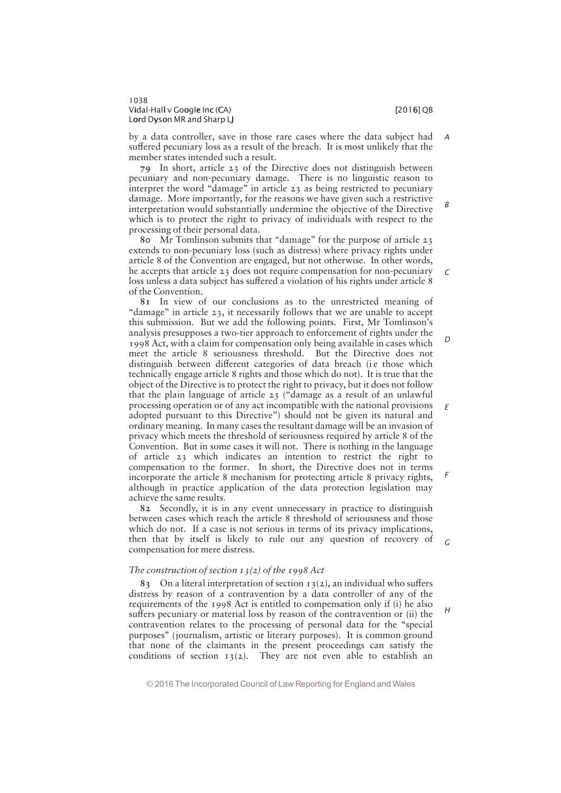by a data controller, save in those rare cases where the data subject had suffered pecuniary loss as a result of the breach. It is most unlikely that the member states intended such a result. A

79 In short, article 23 of the Directive does not distinguish between pecuniary and non-pecuniary damage. There is no linguistic reason to interpret the word " $d$ amage" in article 23 as being restricted to pecuniary damage. More importantly, for the reasons we have given such a restrictive interpretation would substantially undermine the objective of the Directive which is to protect the right to privacy of individuals with respect to the processing of their personal data. B

80 Mr Tomlinson submits that "damage" for the purpose of article  $23$ extends to non-pecuniary loss (such as distress) where privacy rights under article 8 of the Convention are engaged, but not otherwise. In other words, he accepts that article 23 does not require compensation for non-pecuniary loss unless a data subject has suffered a violation of his rights under article 8 of the Convention.

81 In view of our conclusions as to the unrestricted meaning of "damage" in article  $23$ , it necessarily follows that we are unable to accept this submission. But we add the following points. First, Mr Tomlinson's analysis presupposes a two-tier approach to enforcement of rights under the 1998 Act, with a claim for compensation only being available in cases which meet the article 8 seriousness threshold. But the Directive does not distinguish between different categories of data breach (ie those which technically engage article 8 rights and those which do not). It is true that the object of the Directive is to protect the right to privacy, but it does not follow that the plain language of article 23 (""damage as a result of an unlawful processing operation or of any act incompatible with the national provisions adopted pursuant to this Directive") should not be given its natural and ordinary meaning. In many cases the resultant damage will be an invasion of privacy which meets the threshold of seriousness required by article 8 of the Convention. But in some cases it will not. There is nothing in the language of article 23 which indicates an intention to restrict the right to compensation to the former. In short, the Directive does not in terms incorporate the article 8 mechanism for protecting article 8 privacy rights, although in practice application of the data protection legislation may achieve the same results. D E F

82 Secondly, it is in any event unnecessary in practice to distinguish between cases which reach the article 8 threshold of seriousness and those which do not. If a case is not serious in terms of its privacy implications, then that by itself is likely to rule out any question of recovery of compensation for mere distress.

# The construction of section  $13(2)$  of the 1998 Act

83 On a literal interpretation of section  $13(2)$ , an individual who suffers distress by reason of a contravention by a data controller of any of the requirements of the 1998 Act is entitled to compensation only if (i) he also suffers pecuniary or material loss by reason of the contravention or (ii) the contravention relates to the processing of personal data for the "special purposes" (journalism, artistic or literary purposes). It is common ground that none of the claimants in the present proceedings can satisfy the conditions of section  $13(2)$ . They are not even able to establish an

© 2016 The Incorporated Council of Law Reporting for England and Wales

G

H

 $\epsilon$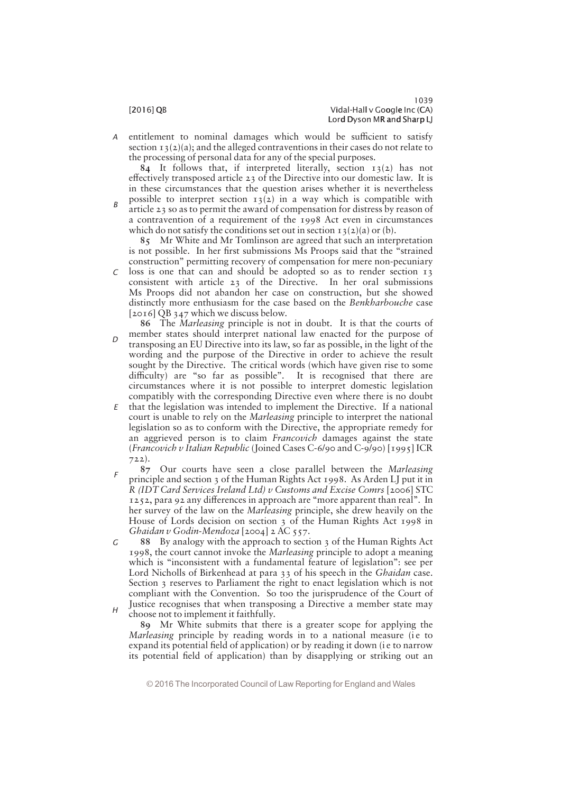entitlement to nominal damages which would be sufficient to satisfy section  $13(2)(a)$ ; and the alleged contraventions in their cases do not relate to the processing of personal data for any of the special purposes. A

84 It follows that, if interpreted literally, section  $13(2)$  has not effectively transposed article  $23$  of the Directive into our domestic law. It is in these circumstances that the question arises whether it is nevertheless

possible to interpret section  $13(2)$  in a way which is compatible with article 23 so as to permit the award of compensation for distress by reason of a contravention of a requirement of the 1998 Act even in circumstances which do not satisfy the conditions set out in section  $13(2)(a)$  or (b). B

85 Mr White and Mr Tomlinson are agreed that such an interpretation is not possible. In her first submissions Ms Proops said that the "strained construction" permitting recovery of compensation for mere non-pecuniary

- loss is one that can and should be adopted so as to render section 13 consistent with article 23 of the Directive. In her oral submissions Ms Proops did not abandon her case on construction, but she showed distinctly more enthusiasm for the case based on the Benkharbouche case [2016] QB 347 which we discuss below. C
- 86 The Marleasing principle is not in doubt. It is that the courts of member states should interpret national law enacted for the purpose of transposing an EU Directive into its law, so far as possible, in the light of the wording and the purpose of the Directive in order to achieve the result sought by the Directive. The critical words (which have given rise to some difficulty) are "so far as possible". It is recognised that there are circumstances where it is not possible to interpret domestic legislation compatibly with the corresponding Directive even where there is no doubt  $\Gamma$
- $E$  that the legislation was intended to implement the Directive. If a national court is unable to rely on the Marleasing principle to interpret the national legislation so as to conform with the Directive, the appropriate remedy for an aggrieved person is to claim Francovich damages against the state (Francovich v Italian Republic (Joined Cases C-6/90 and C-9/90) [1995] ICR 722).
- 87 Our courts have seen a close parallel between the Marleasing principle and section 3 of the Human Rights Act 1998. As Arden LJ put it in R (IDT Card Services Ireland Ltd) v Customs and Excise Comrs [2006] STC 1252, para 92 any differences in approach are "more apparent than real". In her survey of the law on the Marleasing principle, she drew heavily on the House of Lords decision on section 3 of the Human Rights Act 1998 in Ghaidan v Godin-Mendoza [2004] 2 AC 557. F
- 88 By analogy with the approach to section 3 of the Human Rights Act 1998, the court cannot invoke the Marleasing principle to adopt a meaning which is "inconsistent with a fundamental feature of legislation": see per Lord Nicholls of Birkenhead at para 33 of his speech in the *Ghaidan* case. Section 3 reserves to Parliament the right to enact legislation which is not compliant with the Convention. So too the jurisprudence of the Court of Justice recognises that when transposing a Directive a member state may G
- choose not to implement it faithfully. H

89 Mr White submits that there is a greater scope for applying the Marleasing principle by reading words in to a national measure (ie to expand its potential field of application) or by reading it down (i e to narrow its potential field of application) than by disapplying or striking out an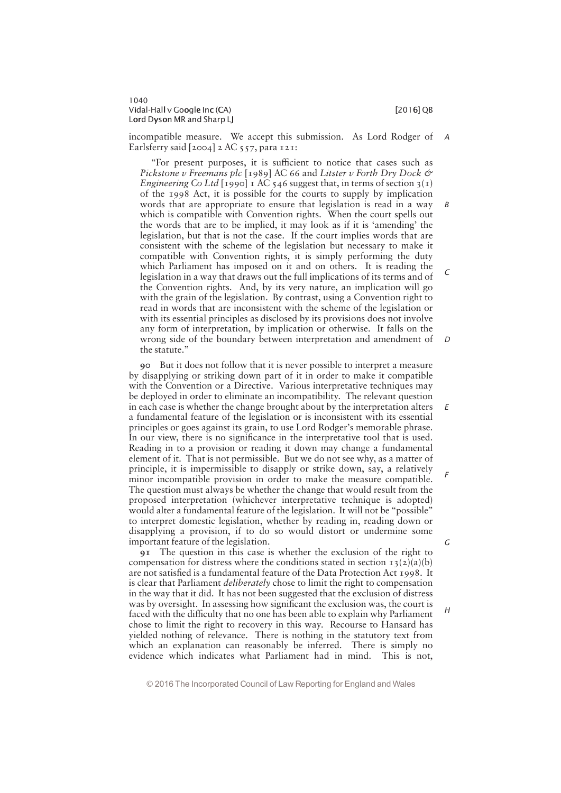incompatible measure. We accept this submission. As Lord Rodger of Earlsferry said  $[2004]$  2 AC 557, para 121: A

"For present purposes, it is sufficient to notice that cases such as Pickstone v Freemans plc [1989] AC 66 and Litster v Forth Dry Dock & Engineering Co Ltd [1990] 1 AC 546 suggest that, in terms of section  $3(1)$ of the 1998 Act, it is possible for the courts to supply by implication words that are appropriate to ensure that legislation is read in a way which is compatible with Convention rights. When the court spells out the words that are to be implied, it may look as if it is 'amending' the legislation, but that is not the case. If the court implies words that are consistent with the scheme of the legislation but necessary to make it compatible with Convention rights, it is simply performing the duty which Parliament has imposed on it and on others. It is reading the legislation in a way that draws out the full implications of its terms and of the Convention rights. And, by its very nature, an implication will go with the grain of the legislation. By contrast, using a Convention right to read in words that are inconsistent with the scheme of the legislation or with its essential principles as disclosed by its provisions does not involve any form of interpretation, by implication or otherwise. It falls on the wrong side of the boundary between interpretation and amendment of the statute." B  $\Gamma$ D

90 But it does not follow that it is never possible to interpret a measure by disapplying or striking down part of it in order to make it compatible with the Convention or a Directive. Various interpretative techniques may be deployed in order to eliminate an incompatibility. The relevant question in each case is whether the change brought about by the interpretation alters a fundamental feature of the legislation or is inconsistent with its essential principles or goes against its grain, to use Lord Rodger's memorable phrase. In our view, there is no significance in the interpretative tool that is used. Reading in to a provision or reading it down may change a fundamental element of it. That is not permissible. But we do not see why, as a matter of principle, it is impermissible to disapply or strike down, say, a relatively minor incompatible provision in order to make the measure compatible. The question must always be whether the change that would result from the proposed interpretation (whichever interpretative technique is adopted) would alter a fundamental feature of the legislation. It will not be "possible" to interpret domestic legislation, whether by reading in, reading down or disapplying a provision, if to do so would distort or undermine some important feature of the legislation.

91 The question in this case is whether the exclusion of the right to compensation for distress where the conditions stated in section  $\tau_3(\tau_2)(a)(b)$ are not satisfied is a fundamental feature of the Data Protection Act 1998. It is clear that Parliament *deliberately* chose to limit the right to compensation in the way that it did. It has not been suggested that the exclusion of distress was by oversight. In assessing how significant the exclusion was, the court is faced with the difficulty that no one has been able to explain why Parliament chose to limit the right to recovery in this way. Recourse to Hansard has yielded nothing of relevance. There is nothing in the statutory text from which an explanation can reasonably be inferred. There is simply no evidence which indicates what Parliament had in mind. This is not,

© 2016 The Incorporated Council of Law Reporting for England and Wales

G

 $H$ 

E

F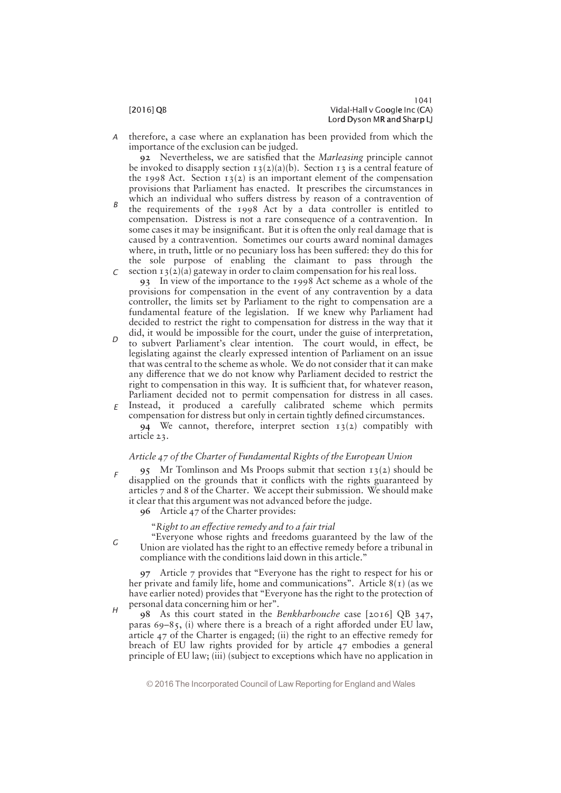F

G

 $\overline{H}$ 

therefore, a case where an explanation has been provided from which the importance of the exclusion can be judged. A

92 Nevertheless, we are satisfied that the *Marleasing* principle cannot be invoked to disapply section  $13(2)(a)(b)$ . Section 13 is a central feature of the 1998 Act. Section  $13(2)$  is an important element of the compensation provisions that Parliament has enacted. It prescribes the circumstances in

which an individual who suffers distress by reason of a contravention of the requirements of the 1998 Act by a data controller is entitled to compensation. Distress is not a rare consequence of a contravention. In some cases it may be insignificant. But it is often the only real damage that is caused by a contravention. Sometimes our courts award nominal damages where, in truth, little or no pecuniary loss has been suffered: they do this for the sole purpose of enabling the claimant to pass through the  $\epsilon$  section 13(2)(a) gateway in order to claim compensation for his real loss. B

93 In view of the importance to the 1998 Act scheme as a whole of the provisions for compensation in the event of any contravention by a data controller, the limits set by Parliament to the right to compensation are a fundamental feature of the legislation. If we knew why Parliament had decided to restrict the right to compensation for distress in the way that it did, it would be impossible for the court, under the guise of interpretation,

- to subvert Parliament's clear intention. The court would, in effect, be legislating against the clearly expressed intention of Parliament on an issue that was central to the scheme as whole. We do not consider that it can make any difference that we do not know why Parliament decided to restrict the right to compensation in this way. It is sufficient that, for whatever reason, Parliament decided not to permit compensation for distress in all cases.  $E$  Instead, it produced a carefully calibrated scheme which permits  $\overline{D}$
- compensation for distress but only in certain tightly defined circumstances. 94 We cannot, therefore, interpret section  $13(2)$  compatibly with article 23.

# Article 47 of the Charter of Fundamental Rights of the European Union

95 Mr Tomlinson and Ms Proops submit that section 13(2) should be disapplied on the grounds that it conflicts with the rights guaranteed by articles 7 and 8 of the Charter. We accept their submission. We should make it clear that this argument was not advanced before the judge.

96 Article 47 of the Charter provides:

"Right to an effective remedy and to a fair trial

"Everyone whose rights and freedoms guaranteed by the law of the Union are violated has the right to an effective remedy before a tribunal in compliance with the conditions laid down in this article."

97 Article 7 provides that ""Everyone has the right to respect for his or her private and family life, home and communications". Article  $8(1)$  (as we have earlier noted) provides that "Everyone has the right to the protection of personal data concerning him or her".

98 As this court stated in the Benkharbouche case [2016] QB 347, paras  $69-85$ , (i) where there is a breach of a right afforded under EU law, article  $47$  of the Charter is engaged; (ii) the right to an effective remedy for breach of EU law rights provided for by article 47 embodies a general principle of EU law; (iii) (subject to exceptions which have no application in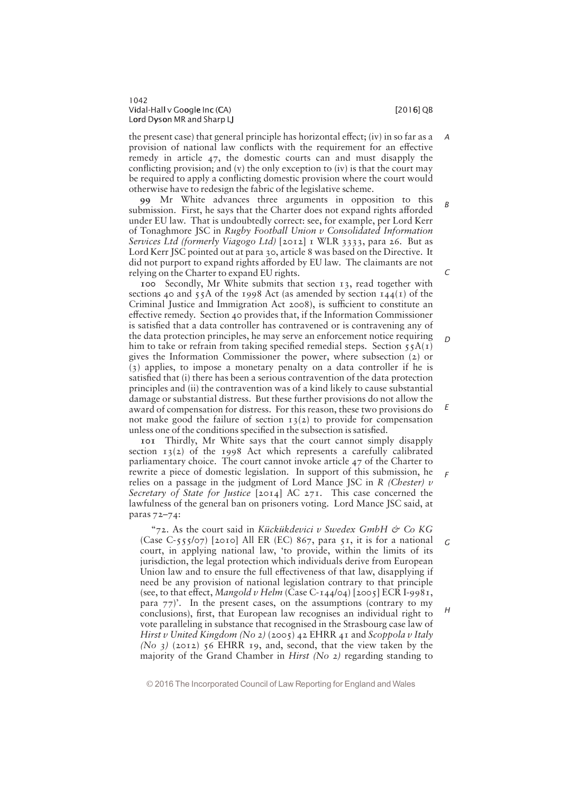A

D

E

H

the present case) that general principle has horizontal effect; (iv) in so far as a provision of national law conflicts with the requirement for an effective remedy in article 47, the domestic courts can and must disapply the conflicting provision; and (v) the only exception to (iv) is that the court may be required to apply a conflicting domestic provision where the court would otherwise have to redesign the fabric of the legislative scheme.

99 Mr White advances three arguments in opposition to this submission. First, he says that the Charter does not expand rights afforded under EU law. That is undoubtedly correct: see, for example, per Lord Kerr of Tonaghmore JSC in Rugby Football Union v Consolidated Information Services Ltd (formerly Viagogo Ltd) [2012] 1 WLR 3333, para 26. But as Lord Kerr JSC pointed out at para 30, article 8 was based on the Directive. It did not purport to expand rights afforded by EU law. The claimants are not relying on the Charter to expand EU rights. B  $\sqrt{2}$ 

100 Secondly, Mr White submits that section 13, read together with sections 40 and 55A of the 1998 Act (as amended by section  $144(1)$  of the Criminal Justice and Immigration Act 2008), is sufficient to constitute an effective remedy. Section 40 provides that, if the Information Commissioner is satisfied that a data controller has contravened or is contravening any of the data protection principles, he may serve an enforcement notice requiring him to take or refrain from taking specified remedial steps. Section  $\overline{s_5A(r)}$ gives the Information Commissioner the power, where subsection (2) or (3) applies, to impose a monetary penalty on a data controller if he is satisfied that (i) there has been a serious contravention of the data protection principles and (ii) the contravention was of a kind likely to cause substantial damage or substantial distress. But these further provisions do not allow the award of compensation for distress. For this reason, these two provisions do not make good the failure of section  $13(2)$  to provide for compensation unless one of the conditions specified in the subsection is satisfied.

101 Thirdly, Mr White says that the court cannot simply disapply section  $13(2)$  of the 1998 Act which represents a carefully calibrated parliamentary choice. The court cannot invoke article 47 of the Charter to rewrite a piece of domestic legislation. In support of this submission, he relies on a passage in the judgment of Lord Mance JSC in R (Chester)  $\nu$ Secretary of State for Justice  $[2014]$  AC  $27I$ . This case concerned the lawfulness of the general ban on prisoners voting. Lord Mance JSC said, at paras 72—74: F

"72. As the court said in Kückükdevici v Swedex GmbH & Co KG (Case C-555/07) [2010] All ER (EC) 867, para 51, it is for a national court, in applying national law, "to provide, within the limits of its jurisdiction, the legal protection which individuals derive from European Union law and to ensure the full effectiveness of that law, disapplying if need be any provision of national legislation contrary to that principle (see, to that effect, Mangold v Helm (Case C-144/04) [2005] ECR I-9981, para  $77$ ). In the present cases, on the assumptions (contrary to my conclusions), first, that European law recognises an individual right to vote paralleling in substance that recognised in the Strasbourg case law of Hirst v United Kingdom (No 2) (2005) 42 EHRR 41 and Scoppola v Italy (No  $3$ ) (2012) 56 EHRR 19, and, second, that the view taken by the majority of the Grand Chamber in Hirst (No 2) regarding standing to G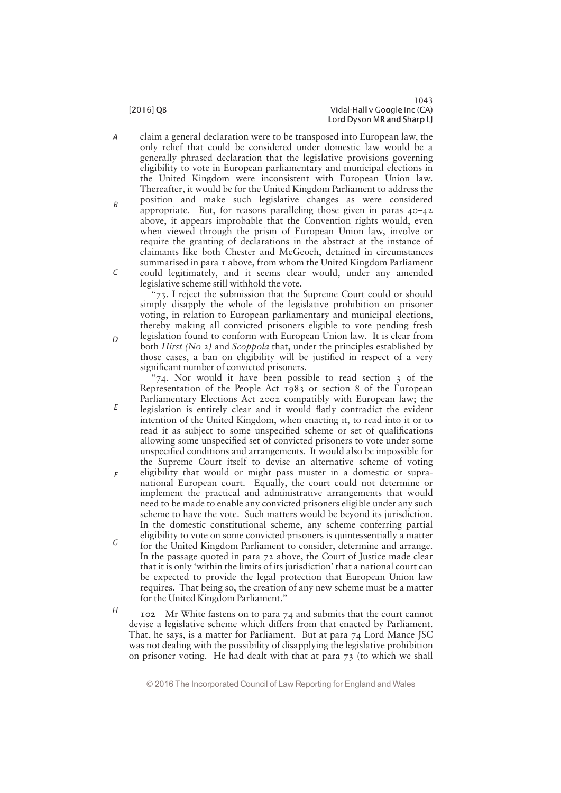C

 $\Gamma$ 

E

F

- claim a general declaration were to be transposed into European law, the only relief that could be considered under domestic law would be a generally phrased declaration that the legislative provisions governing eligibility to vote in European parliamentary and municipal elections in the United Kingdom were inconsistent with European Union law. Thereafter, it would be for the United Kingdom Parliament to address the position and make such legislative changes as were considered A B
	- appropriate. But, for reasons paralleling those given in paras 40—42 above, it appears improbable that the Convention rights would, even when viewed through the prism of European Union law, involve or require the granting of declarations in the abstract at the instance of claimants like both Chester and McGeoch, detained in circumstances summarised in para 1 above, from whom the United Kingdom Parliament could legitimately, and it seems clear would, under any amended legislative scheme still withhold the vote.

 $\degree$ 73. I reject the submission that the Supreme Court could or should simply disapply the whole of the legislative prohibition on prisoner voting, in relation to European parliamentary and municipal elections, thereby making all convicted prisoners eligible to vote pending fresh legislation found to conform with European Union law. It is clear from both Hirst (No 2) and Scoppola that, under the principles established by those cases, a ban on eligibility will be justified in respect of a very significant number of convicted prisoners.

" $74.$  Nor would it have been possible to read section 3 of the Representation of the People Act 1983 or section 8 of the European Parliamentary Elections Act 2002 compatibly with European law; the legislation is entirely clear and it would flatly contradict the evident intention of the United Kingdom, when enacting it, to read into it or to read it as subject to some unspecified scheme or set of qualifications allowing some unspecified set of convicted prisoners to vote under some unspecified conditions and arrangements. It would also be impossible for the Supreme Court itself to devise an alternative scheme of voting eligibility that would or might pass muster in a domestic or supranational European court. Equally, the court could not determine or implement the practical and administrative arrangements that would need to be made to enable any convicted prisoners eligible under any such scheme to have the vote. Such matters would be beyond its jurisdiction. In the domestic constitutional scheme, any scheme conferring partial

- eligibility to vote on some convicted prisoners is quintessentially a matter for the United Kingdom Parliament to consider, determine and arrange. In the passage quoted in para 72 above, the Court of Justice made clear that it is only 'within the limits of its jurisdiction' that a national court can be expected to provide the legal protection that European Union law requires. That being so, the creation of any new scheme must be a matter for the United Kingdom Parliament." G
- 102 Mr White fastens on to para 74 and submits that the court cannot devise a legislative scheme which differs from that enacted by Parliament. That, he says, is a matter for Parliament. But at para 74 Lord Mance JSC was not dealing with the possibility of disapplying the legislative prohibition on prisoner voting. He had dealt with that at para 73 (to which we shall  $H$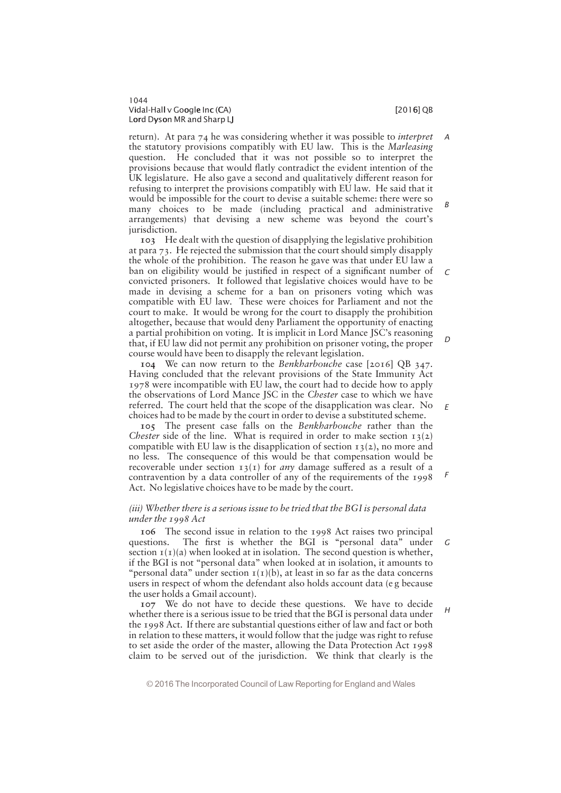E

F

return). At para 74 he was considering whether it was possible to interpret the statutory provisions compatibly with EU law. This is the Marleasing question. He concluded that it was not possible so to interpret the provisions because that would flatly contradict the evident intention of the UK legislature. He also gave a second and qualitatively different reason for refusing to interpret the provisions compatibly with EU law. He said that it would be impossible for the court to devise a suitable scheme: there were so many choices to be made (including practical and administrative arrangements) that devising a new scheme was beyond the court's jurisdiction. A B

103 He dealt with the question of disapplying the legislative prohibition at para 73. He rejected the submission that the court should simply disapply the whole of the prohibition. The reason he gave was that under EU law a ban on eligibility would be justified in respect of a significant number of convicted prisoners. It followed that legislative choices would have to be made in devising a scheme for a ban on prisoners voting which was compatible with EU law. These were choices for Parliament and not the court to make. It would be wrong for the court to disapply the prohibition altogether, because that would deny Parliament the opportunity of enacting a partial prohibition on voting. It is implicit in Lord Mance JSC's reasoning that, if EU law did not permit any prohibition on prisoner voting, the proper course would have been to disapply the relevant legislation.  $\epsilon$ D

104 We can now return to the Benkharbouche case [2016] QB 347. Having concluded that the relevant provisions of the State Immunity Act 1978 were incompatible with EU law, the court had to decide how to apply the observations of Lord Mance JSC in the Chester case to which we have referred. The court held that the scope of the disapplication was clear. No choices had to be made by the court in order to devise a substituted scheme.

105 The present case falls on the Benkharbouche rather than the Chester side of the line. What is required in order to make section  $13(2)$ compatible with EU law is the disapplication of section  $13(2)$ , no more and no less. The consequence of this would be that compensation would be recoverable under section  $13(I)$  for *any* damage suffered as a result of a contravention by a data controller of any of the requirements of the 1998 Act. No legislative choices have to be made by the court.

# (iii) Whether there is a serious issue to be tried that the BGI is personal data under the 1998 Act

106 The second issue in relation to the 1998 Act raises two principal questions. The first is whether the BGI is "personal data" under section  $I(I)(a)$  when looked at in isolation. The second question is whether, if the BGI is not "personal data" when looked at in isolation, it amounts to "personal data" under section  $I(I)(b)$ , at least in so far as the data concerns users in respect of whom the defendant also holds account data (e g because the user holds a Gmail account). G

107 We do not have to decide these questions. We have to decide whether there is a serious issue to be tried that the BGI is personal data under the 1998 Act. If there are substantial questions either of law and fact or both in relation to these matters, it would follow that the judge was right to refuse to set aside the order of the master, allowing the Data Protection Act 1998 claim to be served out of the jurisdiction. We think that clearly is the H

<sup>© 2016</sup> The Incorporated Council of Law Reporting for England and Wales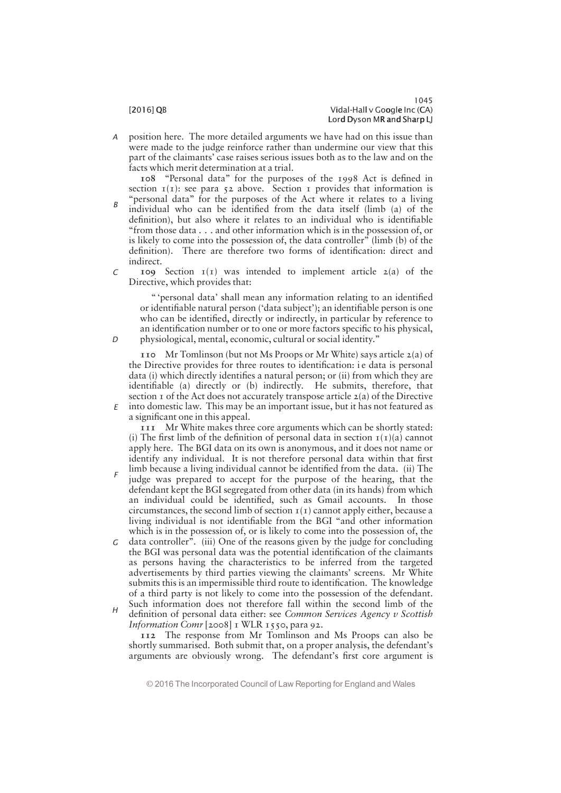position here. The more detailed arguments we have had on this issue than were made to the judge reinforce rather than undermine our view that this part of the claimants' case raises serious issues both as to the law and on the facts which merit determination at a trial. A

108 "Personal data" for the purposes of the 1998 Act is defined in section  $I(I)$ : see para 52 above. Section I provides that information is "personal data" for the purposes of the Act where it relates to a living individual who can be identified from the data itself (limb (a) of the definition), but also where it relates to an individual who is identifiable "from those data  $\dots$  and other information which is in the possession of, or is likely to come into the possession of, the data controller" (limb  $(b)$ ) of the definition). There are therefore two forms of identification: direct and indirect. B

109 Section  $I(I)$  was intended to implement article 2(a) of the Directive, which provides that:  $\Gamma$ 

" "personal data" shall mean any information relating to an identified or identifiable natural person ('data subject'); an identifiable person is one who can be identified, directly or indirectly, in particular by reference to an identification number or to one or more factors specific to his physical, physiological, mental, economic, cultural or social identity."

110 Mr Tomlinson (but not Ms Proops or Mr White) says article  $2(a)$  of the Directive provides for three routes to identification: i e data is personal data (i) which directly identifies a natural person; or (ii) from which they are identifiable (a) directly or (b) indirectly. He submits, therefore, that section  $\bar{1}$  of the Act does not accurately transpose article  $\bar{2}$ (a) of the Directive  $E$  into domestic law. This may be an important issue, but it has not featured as a significant one in this appeal.

111 Mr White makes three core arguments which can be shortly stated: (i) The first limb of the definition of personal data in section  $I(I)(a)$  cannot apply here. The BGI data on its own is anonymous, and it does not name or identify any individual. It is not therefore personal data within that first

- limb because a living individual cannot be identified from the data. (ii) The judge was prepared to accept for the purpose of the hearing, that the defendant kept the BGI segregated from other data (in its hands) from which an individual could be identified, such as Gmail accounts. In those circumstances, the second limb of section  $I(I)$  cannot apply either, because a living individual is not identifiable from the BGI "and other information which is in the possession of, or is likely to come into the possession of, the F
- $G$  data controller". (iii) One of the reasons given by the judge for concluding the BGI was personal data was the potential identification of the claimants as persons having the characteristics to be inferred from the targeted advertisements by third parties viewing the claimants' screens. Mr White submits this is an impermissible third route to identification. The knowledge of a third party is not likely to come into the possession of the defendant. Such information does not therefore fall within the second limb of the
- definition of personal data either: see Common Services Agency v Scottish Information Comr  $[2008]$  I WLR 1550, para 92. H

112 The response from Mr Tomlinson and Ms Proops can also be shortly summarised. Both submit that, on a proper analysis, the defendant's arguments are obviously wrong. The defendant's first core argument is

© 2016 The Incorporated Council of Law Reporting for England and Wales

 $\Gamma$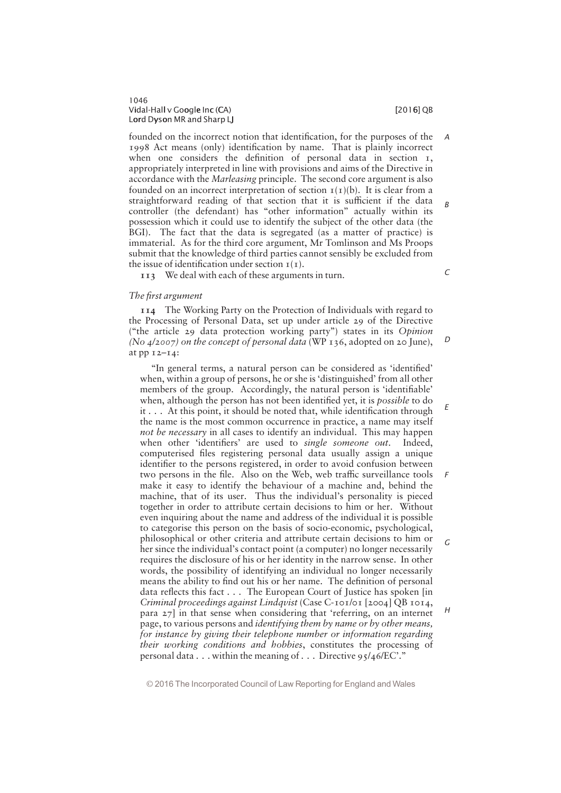founded on the incorrect notion that identification, for the purposes of the 1998 Act means (only) identification by name. That is plainly incorrect when one considers the definition of personal data in section  $I$ , appropriately interpreted in line with provisions and aims of the Directive in accordance with the Marleasing principle. The second core argument is also founded on an incorrect interpretation of section  $I(I)(b)$ . It is clear from a straightforward reading of that section that it is sufficient if the data controller (the defendant) has "other information" actually within its possession which it could use to identify the subject of the other data (the BGI). The fact that the data is segregated (as a matter of practice) is immaterial. As for the third core argument, Mr Tomlinson and Ms Proops submit that the knowledge of third parties cannot sensibly be excluded from the issue of identification under section  $I(I)$ .

113 We deal with each of these arguments in turn.

# The first argument

114 The Working Party on the Protection of Individuals with regard to the Processing of Personal Data, set up under article 29 of the Directive ("the article 29 data protection working party") states in its Opinion (No  $4/2007$ ) on the concept of personal data (WP 136, adopted on 20 June), at pp 12—14:

"In general terms, a natural person can be considered as 'identified' when, within a group of persons, he or she is 'distinguished' from all other members of the group. Accordingly, the natural person is 'identifiable' when, although the person has not been identified yet, it is *possible* to do  $it \ldots$  At this point, it should be noted that, while identification through the name is the most common occurrence in practice, a name may itself not be necessary in all cases to identify an individual. This may happen when other 'identifiers' are used to single someone out. Indeed, computerised files registering personal data usually assign a unique identifier to the persons registered, in order to avoid confusion between two persons in the file. Also on the Web, web traffic surveillance tools make it easy to identify the behaviour of a machine and, behind the machine, that of its user. Thus the individual's personality is pieced together in order to attribute certain decisions to him or her. Without even inquiring about the name and address of the individual it is possible to categorise this person on the basis of socio-economic, psychological, philosophical or other criteria and attribute certain decisions to him or her since the individual's contact point (a computer) no longer necessarily requires the disclosure of his or her identity in the narrow sense. In other words, the possibility of identifying an individual no longer necessarily means the ability to find out his or her name. The definition of personal data reflects this fact . . . The European Court of Justice has spoken [in] Criminal proceedings against Lindqvist (Case C-101/01 [2004] QB 1014, para 27] in that sense when considering that "referring, on an internet page, to various persons and identifying them by name or by other means, for instance by giving their telephone number or information regarding their working conditions and hobbies, constitutes the processing of personal data  $\dots$  within the meaning of  $\dots$  Directive 95/46/EC." E F G H

© 2016 The Incorporated Council of Law Reporting for England and Wales

C

 $\overline{D}$ 

A

B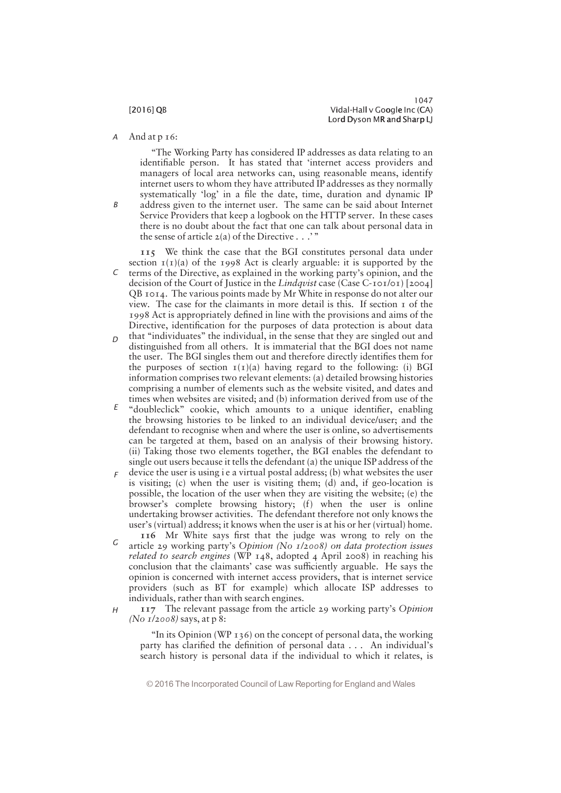1047 [2016] QB Vidal-Hall v Google Inc (CA) Lord Dyson MR and Sharp LJ

And at p 16: A

B

"The Working Party has considered IP addresses as data relating to an identifiable person. It has stated that 'internet access providers and managers of local area networks can, using reasonable means, identify internet users to whom they have attributed IP addresses as they normally systematically 'log' in a file the date, time, duration and dynamic IP address given to the internet user. The same can be said about Internet Service Providers that keep a logbook on the HTTP server. In these cases there is no doubt about the fact that one can talk about personal data in the sense of article  $2(a)$  of the Directive . . . "

115 We think the case that the BGI constitutes personal data under section  $I(I)(a)$  of the 1998 Act is clearly arguable: it is supported by the  $\epsilon$  terms of the Directive, as explained in the working party's opinion, and the decision of the Court of Justice in the Lindqvist case (Case C-101/01) [2004] QB 1014. The various points made by Mr White in response do not alter our view. The case for the claimants in more detail is this. If section 1 of the 1998 Act is appropriately defined in line with the provisions and aims of the Directive, identification for the purposes of data protection is about data

- that "individuates" the individual, in the sense that they are singled out and distinguished from all others. It is immaterial that the BGI does not name the user. The BGI singles them out and therefore directly identifies them for the purposes of section  $I(I)(a)$  having regard to the following: (i) BGI information comprises two relevant elements: (a) detailed browsing histories comprising a number of elements such as the website visited, and dates and times when websites are visited; and (b) information derived from use of the  $\Gamma$
- $\epsilon$  "doubleclick" cookie, which amounts to a unique identifier, enabling the browsing histories to be linked to an individual device/user; and the defendant to recognise when and where the user is online, so advertisements can be targeted at them, based on an analysis of their browsing history. (ii) Taking those two elements together, the BGI enables the defendant to single out users because it tells the defendant (a) the unique ISP address of the
- device the user is using i e a virtual postal address; (b) what websites the user is visiting; (c) when the user is visiting them; (d) and, if geo-location is possible, the location of the user when they are visiting the website; (e) the browser's complete browsing history; (f) when the user is online undertaking browser activities. The defendant therefore not only knows the user's (virtual) address; it knows when the user is at his or her (virtual) home. F
- 116 Mr White says first that the judge was wrong to rely on the article 29 working party's Opinion (No 1/2008) on data protection issues *related to search engines* (WP  $148$ , adopted 4 April 2008) in reaching his conclusion that the claimants' case was sufficiently arguable. He says the opinion is concerned with internet access providers, that is internet service providers (such as BT for example) which allocate ISP addresses to individuals, rather than with search engines. G
- 117 The relevant passage from the article 29 working party's Opinion (No 1/2008) says, at p 8: H

"In its Opinion (WP  $136$ ) on the concept of personal data, the working party has clarified the definition of personal data . . . An individual's search history is personal data if the individual to which it relates, is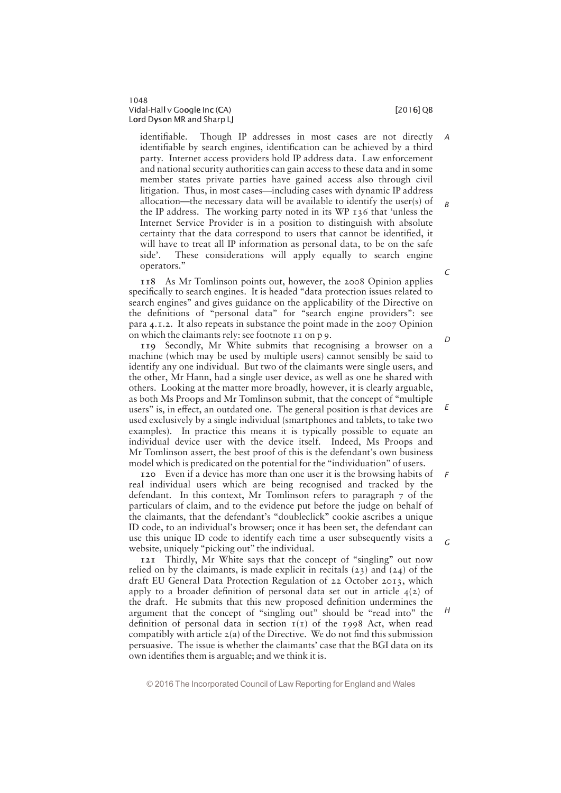1048 Vidal-Hall v Google Inc (CA) i later than the control of the control of  $[2016]$  QB Lord Dyson MR and Sharp LJ

identifiable. Though IP addresses in most cases are not directly identifiable by search engines, identification can be achieved by a third party. Internet access providers hold IP address data. Law enforcement and national security authorities can gain access to these data and in some member states private parties have gained access also through civil litigation. Thus, in most cases—including cases with dynamic IP address allocation—the necessary data will be available to identify the user(s) of the IP address. The working party noted in its WP 136 that "unless the Internet Service Provider is in a position to distinguish with absolute certainty that the data correspond to users that cannot be identified, it will have to treat all IP information as personal data, to be on the safe side'. These considerations will apply equally to search engine operators." A B C

118 As Mr Tomlinson points out, however, the 2008 Opinion applies specifically to search engines. It is headed "data protection issues related to search engines" and gives guidance on the applicability of the Directive on the definitions of "personal data" for "search engine providers": see para 4.1.2. It also repeats in substance the point made in the 2007 Opinion on which the claimants rely: see footnote 11 on p 9.

119 Secondly, Mr White submits that recognising a browser on a machine (which may be used by multiple users) cannot sensibly be said to identify any one individual. But two of the claimants were single users, and the other, Mr Hann, had a single user device, as well as one he shared with others. Looking at the matter more broadly, however, it is clearly arguable, as both Ms Proops and Mr Tomlinson submit, that the concept of ""multiple users" is, in effect, an outdated one. The general position is that devices are used exclusively by a single individual (smartphones and tablets, to take two examples). In practice this means it is typically possible to equate an individual device user with the device itself. Indeed, Ms Proops and Mr Tomlinson assert, the best proof of this is the defendant's own business model which is predicated on the potential for the "individuation" of users.

120 Even if a device has more than one user it is the browsing habits of real individual users which are being recognised and tracked by the defendant. In this context, Mr Tomlinson refers to paragraph 7 of the particulars of claim, and to the evidence put before the judge on behalf of the claimants, that the defendant's "doubleclick" cookie ascribes a unique ID code, to an individual's browser; once it has been set, the defendant can use this unique ID code to identify each time a user subsequently visits a website, uniquely "picking out" the individual. F G

121 Thirdly, Mr White says that the concept of "singling" out now relied on by the claimants, is made explicit in recitals  $(23)$  and  $(24)$  of the draft EU General Data Protection Regulation of 22 October 2013, which apply to a broader definition of personal data set out in article  $4(2)$  of the draft. He submits that this new proposed definition undermines the argument that the concept of "singling out" should be "read into" the definition of personal data in section  $I(I)$  of the 1998 Act, when read compatibly with article  $2(a)$  of the Directive. We do not find this submission persuasive. The issue is whether the claimants' case that the BGI data on its own identifies them is arguable; and we think it is.

© 2016 The Incorporated Council of Law Reporting for England and Wales

 $\Gamma$ 

E

H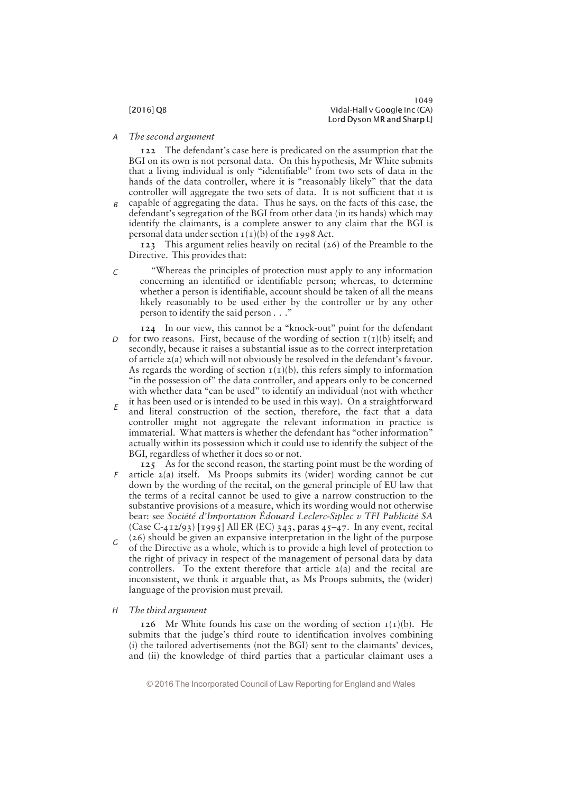The second argument A

> 122 The defendant's case here is predicated on the assumption that the BGI on its own is not personal data. On this hypothesis, Mr White submits that a living individual is only "identifiable" from two sets of data in the hands of the data controller, where it is "reasonably likely" that the data controller will aggregate the two sets of data. It is not sufficient that it is

capable of aggregating the data. Thus he says, on the facts of this case, the defendant's segregation of the BGI from other data (in its hands) which may identify the claimants, is a complete answer to any claim that the BGI is personal data under section  $I(I)(b)$  of the 1998 Act. B

123 This argument relies heavily on recital (26) of the Preamble to the Directive. This provides that:

- "Whereas the principles of protection must apply to any information concerning an identified or identifiable person; whereas, to determine whether a person is identifiable, account should be taken of all the means likely reasonably to be used either by the controller or by any other person to identify the said person  $\ldots$ "  $\Gamma$
- 124 In our view, this cannot be a "knock-out" point for the defendant  $D$  for two reasons. First, because of the wording of section  $I(I)(b)$  itself; and secondly, because it raises a substantial issue as to the correct interpretation of article  $2(a)$  which will not obviously be resolved in the defendant's favour. As regards the wording of section  $I(I)(b)$ , this refers simply to information "in the possession of" the data controller, and appears only to be concerned with whether data "can be used" to identify an individual (not with whether it has been used or is intended to be used in this way). On a straightforward
- and literal construction of the section, therefore, the fact that a data controller might not aggregate the relevant information in practice is immaterial. What matters is whether the defendant has "other information" actually within its possession which it could use to identify the subject of the BGI, regardless of whether it does so or not. E
- 125 As for the second reason, the starting point must be the wording of article 2(a) itself. Ms Proops submits its (wider) wording cannot be cut down by the wording of the recital, on the general principle of EU law that the terms of a recital cannot be used to give a narrow construction to the substantive provisions of a measure, which its wording would not otherwise bear: see Société d'Importation Édouard Leclerc-Siplec v TFI Publicité SA (Case C-412/93) [1995] All ER (EC) 343, paras 45—47. In any event, recital F
- (26) should be given an expansive interpretation in the light of the purpose of the Directive as a whole, which is to provide a high level of protection to the right of privacy in respect of the management of personal data by data controllers. To the extent therefore that article  $2(a)$  and the recital are inconsistent, we think it arguable that, as Ms Proops submits, the (wider) language of the provision must prevail. G

### The third argument  $H$

126 Mr White founds his case on the wording of section  $I(I)(b)$ . He submits that the judge's third route to identification involves combining (i) the tailored advertisements (not the BGI) sent to the claimants' devices, and (ii) the knowledge of third parties that a particular claimant uses a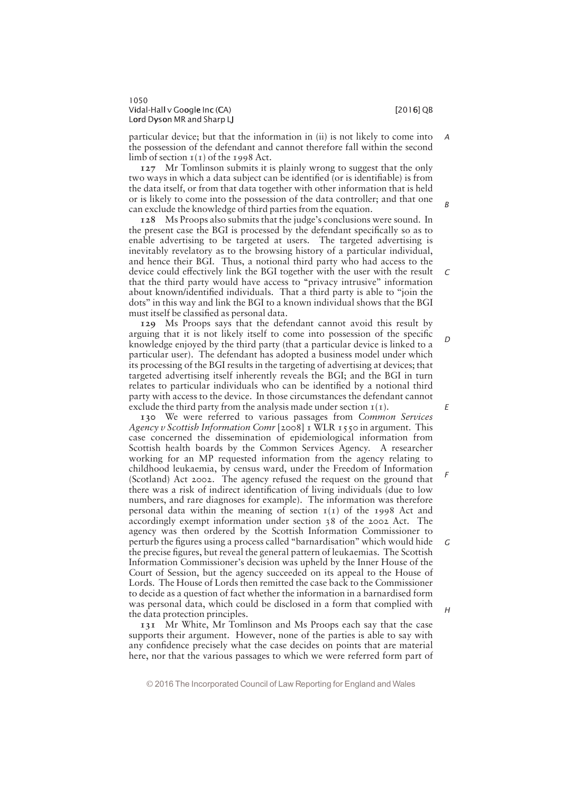1050 Vidal-Hall v Google Inc (CA) i later than the control of the control of  $[2016]$  QB Lord Dyson MR and Sharp LJ

particular device; but that the information in (ii) is not likely to come into the possession of the defendant and cannot therefore fall within the second limb of section  $I(I)$  of the 1998 Act. A

127 Mr Tomlinson submits it is plainly wrong to suggest that the only two ways in which a data subject can be identified (or is identifiable) is from the data itself, or from that data together with other information that is held or is likely to come into the possession of the data controller; and that one can exclude the knowledge of third parties from the equation.

128 Ms Proops also submits that the judge's conclusions were sound. In the present case the BGI is processed by the defendant specifically so as to enable advertising to be targeted at users. The targeted advertising is inevitably revelatory as to the browsing history of a particular individual, and hence their BGI. Thus, a notional third party who had access to the device could effectively link the BGI together with the user with the result that the third party would have access to "privacy intrusive" information about known/identified individuals. That a third party is able to "join the dots" in this way and link the BGI to a known individual shows that the BGI must itself be classified as personal data.

129 Ms Proops says that the defendant cannot avoid this result by arguing that it is not likely itself to come into possession of the specific knowledge enjoyed by the third party (that a particular device is linked to a particular user). The defendant has adopted a business model under which its processing of the BGI results in the targeting of advertising at devices; that targeted advertising itself inherently reveals the BGI; and the BGI in turn relates to particular individuals who can be identified by a notional third party with access to the device. In those circumstances the defendant cannot exclude the third party from the analysis made under section  $I(I)$ .

130 We were referred to various passages from Common Services Agency v Scottish Information Comr [2008]  $\bar{x}$  WLR 1550 in argument. This case concerned the dissemination of epidemiological information from Scottish health boards by the Common Services Agency. A researcher working for an MP requested information from the agency relating to childhood leukaemia, by census ward, under the Freedom of Information (Scotland) Act 2002. The agency refused the request on the ground that there was a risk of indirect identification of living individuals (due to low numbers, and rare diagnoses for example). The information was therefore personal data within the meaning of section  $I(I)$  of the 1998 Act and accordingly exempt information under section 38 of the 2002 Act. The agency was then ordered by the Scottish Information Commissioner to perturb the figures using a process called "barnardisation" which would hide the precise figures, but reveal the general pattern of leukaemias. The Scottish Information Commissioner's decision was upheld by the Inner House of the Court of Session, but the agency succeeded on its appeal to the House of Lords. The House of Lords then remitted the case back to the Commissioner to decide as a question of fact whether the information in a barnardised form was personal data, which could be disclosed in a form that complied with the data protection principles.

131 Mr White, Mr Tomlinson and Ms Proops each say that the case supports their argument. However, none of the parties is able to say with any confidence precisely what the case decides on points that are material here, nor that the various passages to which we were referred form part of

© 2016 The Incorporated Council of Law Reporting for England and Wales

E

F

G

B

C

D

 $\overline{H}$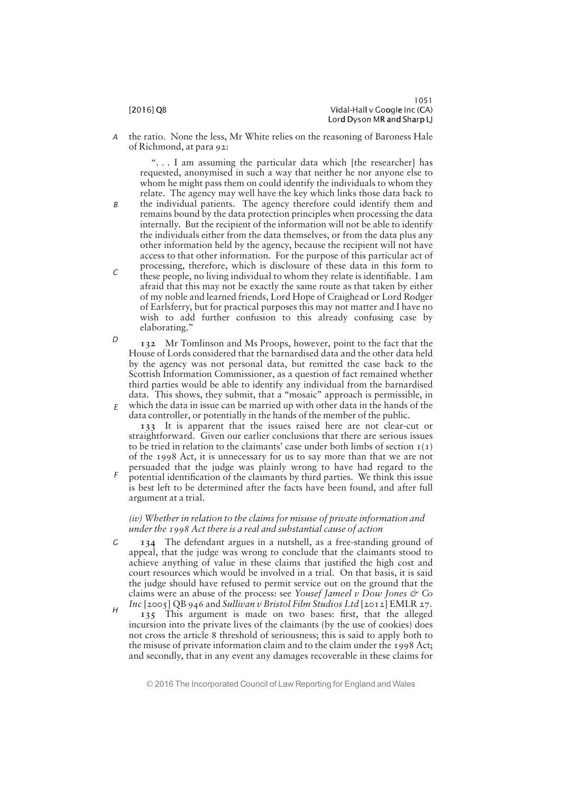B

the ratio. None the less, Mr White relies on the reasoning of Baroness Hale of Richmond, at para 92: A

"... I am assuming the particular data which [the researcher] has requested, anonymised in such a way that neither he nor anyone else to whom he might pass them on could identify the individuals to whom they relate. The agency may well have the key which links those data back to

- the individual patients. The agency therefore could identify them and remains bound by the data protection principles when processing the data internally. But the recipient of the information will not be able to identify the individuals either from the data themselves, or from the data plus any other information held by the agency, because the recipient will not have access to that other information. For the purpose of this particular act of processing, therefore, which is disclosure of these data in this form to
- these people, no living individual to whom they relate is identifiable. I am afraid that this may not be exactly the same route as that taken by either of my noble and learned friends, Lord Hope of Craighead or Lord Rodger of Earlsferry, but for practical purposes this may not matter and I have no wish to add further confusion to this already confusing case by elaborating." C
- 132 Mr Tomlinson and Ms Proops, however, point to the fact that the House of Lords considered that the barnardised data and the other data held by the agency was not personal data, but remitted the case back to the Scottish Information Commissioner, as a question of fact remained whether third parties would be able to identify any individual from the barnardised data. This shows, they submit, that a "mosaic" approach is permissible, in  $E$  which the data in issue can be married up with other data in the hands of the data controller, or potentially in the hands of the member of the public. D

133 It is apparent that the issues raised here are not clear-cut or straightforward. Given our earlier conclusions that there are serious issues to be tried in relation to the claimants' case under both limbs of section  $I(I)$ of the 1998 Act, it is unnecessary for us to say more than that we are not persuaded that the judge was plainly wrong to have had regard to the

potential identification of the claimants by third parties. We think this issue is best left to be determined after the facts have been found, and after full argument at a trial. F

# (iv) Whether in relation to the claims for misuse of private information and under the 1998 Act there is a real and substantial cause of action

- 134 The defendant argues in a nutshell, as a free-standing ground of appeal, that the judge was wrong to conclude that the claimants stood to achieve anything of value in these claims that justified the high cost and court resources which would be involved in a trial. On that basis, it is said the judge should have refused to permit service out on the ground that the claims were an abuse of the process: see Yousef Jameel  $\nu$  Dow Jones  $\circ$  Co G
- Inc [2005] QB 946 and Sullivan v Bristol Film Studios Ltd [2012] EMLR 27. 135 This argument is made on two bases: first, that the alleged incursion into the private lives of the claimants (by the use of cookies) does not cross the article 8 threshold of seriousness; this is said to apply both to the misuse of private information claim and to the claim under the 1998 Act; and secondly, that in any event any damages recoverable in these claims for H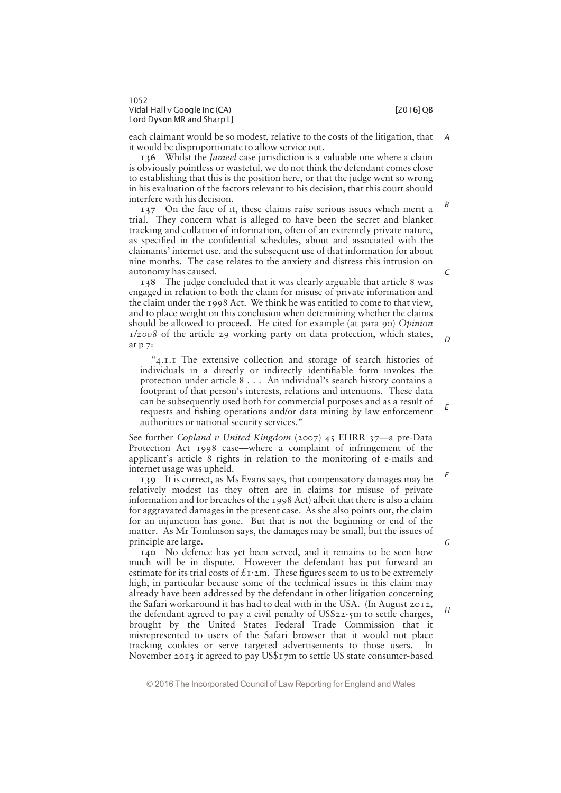B

 $\mathcal{C}$ 

D

E

each claimant would be so modest, relative to the costs of the litigation, that it would be disproportionate to allow service out. A

136 Whilst the Jameel case jurisdiction is a valuable one where a claim is obviously pointless or wasteful, we do not think the defendant comes close to establishing that this is the position here, or that the judge went so wrong in his evaluation of the factors relevant to his decision, that this court should interfere with his decision.

137 On the face of it, these claims raise serious issues which merit a trial. They concern what is alleged to have been the secret and blanket tracking and collation of information, often of an extremely private nature, as specified in the confidential schedules, about and associated with the claimants' internet use, and the subsequent use of that information for about nine months. The case relates to the anxiety and distress this intrusion on autonomy has caused.

138 The judge concluded that it was clearly arguable that article 8 was engaged in relation to both the claim for misuse of private information and the claim under the 1998 Act. We think he was entitled to come to that view, and to place weight on this conclusion when determining whether the claims should be allowed to proceed. He cited for example (at para 90) Opinion 1/2008 of the article 29 working party on data protection, which states, at p 7:

" $4.1.1$  The extensive collection and storage of search histories of individuals in a directly or indirectly identifiable form invokes the protection under article  $8 \ldots$  An individual's search history contains a footprint of that person's interests, relations and intentions. These data can be subsequently used both for commercial purposes and as a result of requests and fishing operations and/or data mining by law enforcement authorities or national security services.'

See further Copland v United Kingdom (2007) 45 EHRR 37-a pre-Data Protection Act 1998 case—where a complaint of infringement of the applicant's article 8 rights in relation to the monitoring of e-mails and internet usage was upheld.

139 It is correct, as Ms Evans says, that compensatory damages may be relatively modest (as they often are in claims for misuse of private information and for breaches of the 1998 Act) albeit that there is also a claim for aggravated damages in the present case. As she also points out, the claim for an injunction has gone. But that is not the beginning or end of the matter. As Mr Tomlinson says, the damages may be small, but the issues of principle are large.

140 No defence has yet been served, and it remains to be seen how much will be in dispute. However the defendant has put forward an estimate for its trial costs of  $f_1 \cdot 2m$ . These figures seem to us to be extremely high, in particular because some of the technical issues in this claim may already have been addressed by the defendant in other litigation concerning the Safari workaround it has had to deal with in the USA. (In August 2012, the defendant agreed to pay a civil penalty of  $US$22\cdot5m$  to settle charges, brought by the United States Federal Trade Commission that it misrepresented to users of the Safari browser that it would not place tracking cookies or serve targeted advertisements to those users. In November 2013 it agreed to pay US\$17m to settle US state consumer-based

© 2016 The Incorporated Council of Law Reporting for England and Wales

G

 $H$ 

F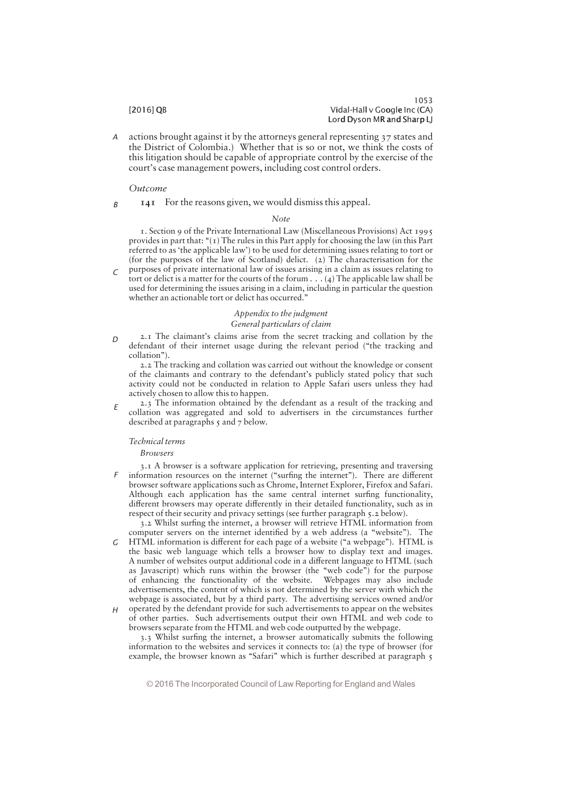actions brought against it by the attorneys general representing 37 states and the District of Colombia.) Whether that is so or not, we think the costs of this litigation should be capable of appropriate control by the exercise of the court's case management powers, including cost control orders. A

# Outcome

B

# 141 For the reasons given, we would dismiss this appeal.

## Note

1. Section 9 of the Private International Law (Miscellaneous Provisions) Act 1995 provides in part that: " $(1)$  The rules in this Part apply for choosing the law (in this Part referred to as 'the applicable law') to be used for determining issues relating to tort or (for the purposes of the law of Scotland) delict. (2) The characterisation for the purposes of private international law of issues arising in a claim as issues relating to

tort or delict is a matter for the courts of the forum  $\dots$  (4) The applicable law shall be used for determining the issues arising in a claim, including in particular the question whether an actionable tort or delict has occurred."  $\Gamma$ 

# Appendix to the judgment General particulars of claim

 $2.1$  The claimant's claims arise from the secret tracking and collation by the defendant of their internet usage during the relevant period (""the tracking and collation").  $\Gamma$ 

2.2 The tracking and collation was carried out without the knowledge or consent of the claimants and contrary to the defendant's publicly stated policy that such activity could not be conducted in relation to Apple Safari users unless they had actively chosen to allow this to happen.

2.3 The information obtained by the defendant as a result of the tracking and collation was aggregated and sold to advertisers in the circumstances further described at paragraphs 5 and 7 below. E

# Technical terms

**Browsers** 

3.1 A browser is a software application for retrieving, presenting and traversing information resources on the internet ("surfing the internet"). There are different browser software applications such as Chrome, Internet Explorer, Firefox and Safari. Although each application has the same central internet surfing functionality, different browsers may operate differently in their detailed functionality, such as in respect of their security and privacy settings (see further paragraph 5.2 below). F

3.2 Whilst surfing the internet, a browser will retrieve HTML information from computer servers on the internet identified by a web address (a "website"). The  $HTML$  information is different for each page of a website ("a webpage"). HTML is

- the basic web language which tells a browser how to display text and images. A number of websites output additional code in a different language to HTML (such as Javascript) which runs within the browser (the "web code") for the purpose of enhancing the functionality of the website. Webpages may also include advertisements, the content of which is not determined by the server with which the webpage is associated, but by a third party. The advertising services owned and/or G
- $H$  operated by the defendant provide for such advertisements to appear on the websites of other parties. Such advertisements output their own HTML and web code to browsers separate from the HTML and web code outputted by the webpage.

3.3 Whilst surfing the internet, a browser automatically submits the following information to the websites and services it connects to: (a) the type of browser (for example, the browser known as "Safari" which is further described at paragraph 5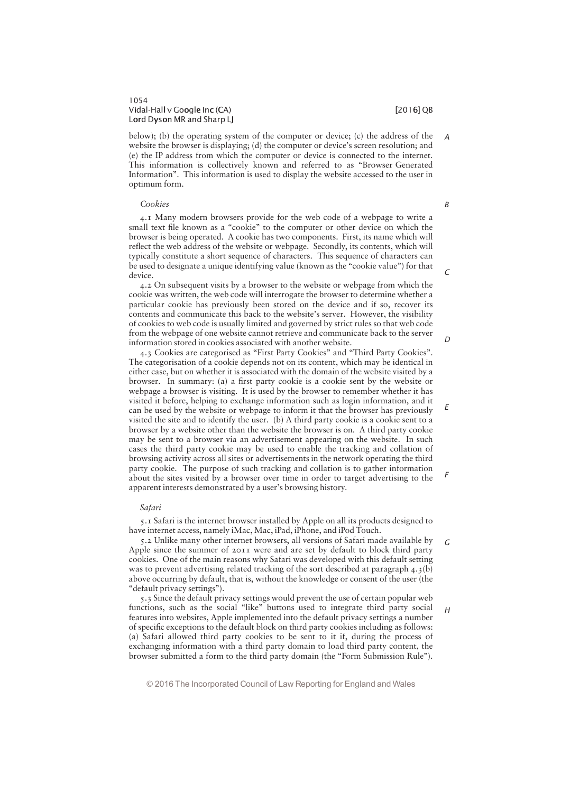# 1054 Vidal-Hall v Google Inc (CA) i later than the control of the control of  $[2016]$  QB Lord Dyson MR and Sharp LJ

below); (b) the operating system of the computer or device; (c) the address of the website the browser is displaying; (d) the computer or device's screen resolution; and (e) the IP address from which the computer or device is connected to the internet. This information is collectively known and referred to as "Browser Generated Information". This information is used to display the website accessed to the user in optimum form.

# Cookies

4.1 Many modern browsers provide for the web code of a webpage to write a small text file known as a "cookie" to the computer or other device on which the browser is being operated. A cookie has two components. First, its name which will reflect the web address of the website or webpage. Secondly, its contents, which will typically constitute a short sequence of characters. This sequence of characters can be used to designate a unique identifying value (known as the "cookie value") for that device.

4.2 On subsequent visits by a browser to the website or webpage from which the cookie was written, the web code will interrogate the browser to determine whether a particular cookie has previously been stored on the device and if so, recover its contents and communicate this back to the website's server. However, the visibility of cookies to web code is usually limited and governed by strict rules so that web code from the webpage of one website cannot retrieve and communicate back to the server information stored in cookies associated with another website.

4.3 Cookies are categorised as "First Party Cookies" and "Third Party Cookies". The categorisation of a cookie depends not on its content, which may be identical in either case, but on whether it is associated with the domain of the website visited by a browser. In summary: (a) a first party cookie is a cookie sent by the website or webpage a browser is visiting. It is used by the browser to remember whether it has visited it before, helping to exchange information such as login information, and it can be used by the website or webpage to inform it that the browser has previously visited the site and to identify the user. (b) A third party cookie is a cookie sent to a browser by a website other than the website the browser is on. A third party cookie may be sent to a browser via an advertisement appearing on the website. In such cases the third party cookie may be used to enable the tracking and collation of browsing activity across all sites or advertisements in the network operating the third party cookie. The purpose of such tracking and collation is to gather information about the sites visited by a browser over time in order to target advertising to the apparent interests demonstrated by a user's browsing history.

### Safari

5.1 Safari is the internet browser installed by Apple on all its products designed to have internet access, namely iMac, Mac, iPad, iPhone, and iPod Touch.

5.2 Unlike many other internet browsers, all versions of Safari made available by Apple since the summer of 2011 were and are set by default to block third party cookies. One of the main reasons why Safari was developed with this default setting was to prevent advertising related tracking of the sort described at paragraph 4.3(b) above occurring by default, that is, without the knowledge or consent of the user (the " default privacy settings"). G

5.3 Since the default privacy settings would prevent the use of certain popular web functions, such as the social "like" buttons used to integrate third party social features into websites, Apple implemented into the default privacy settings a number of specific exceptions to the default block on third party cookies including as follows: (a) Safari allowed third party cookies to be sent to it if, during the process of exchanging information with a third party domain to load third party content, the browser submitted a form to the third party domain (the "Form Submission Rule").

© 2016 The Incorporated Council of Law Reporting for England and Wales

 $\sqrt{2}$ 

 $\Gamma$ 

E

F

 $H$ 

A

B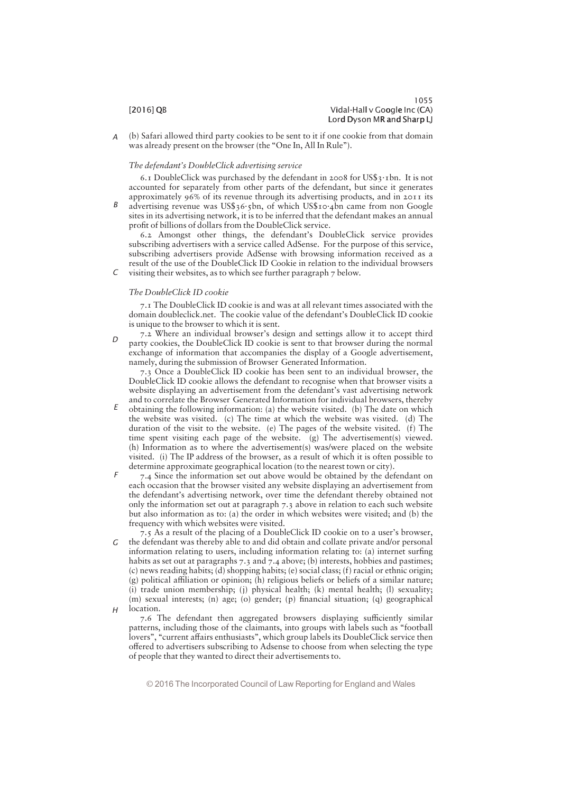(b) Safari allowed third party cookies to be sent to it if one cookie from that domain was already present on the browser (the "One In, All In Rule"). A

# The defendant's DoubleClick advertising service

6.1 DoubleClick was purchased by the defendant in 2008 for US\$3.1bn. It is not accounted for separately from other parts of the defendant, but since it generates approximately 96% of its revenue through its advertising products, and in 2011 its

advertising revenue was US\$36.5bn, of which US\$10.4bn came from non Google sites in its advertising network, it is to be inferred that the defendant makes an annual profit of billions of dollars from the DoubleClick service. B

6.2 Amongst other things, the defendant's DoubleClick service provides subscribing advertisers with a service called AdSense. For the purpose of this service, subscribing advertisers provide AdSense with browsing information received as a result of the use of the DoubleClick ID Cookie in relation to the individual browsers visiting their websites, as to which see further paragraph 7 below.

# The DoubleClick ID cookie

C

7.1 The DoubleClick ID cookie is and was at all relevant times associated with the domain doubleclick.net. The cookie value of the defendant's DoubleClick ID cookie is unique to the browser to which it is sent.

 $7.2$  Where an individual browser's design and settings allow it to accept third party cookies, the DoubleClick ID cookie is sent to that browser during the normal exchange of information that accompanies the display of a Google advertisement, namely, during the submission of Browser Generated Information.  $\Gamma$ 

7.3 Once a DoubleClick ID cookie has been sent to an individual browser, the DoubleClick ID cookie allows the defendant to recognise when that browser visits a website displaying an advertisement from the defendant's vast advertising network and to correlate the Browser Generated Information for individual browsers, thereby

- obtaining the following information: (a) the website visited. (b) The date on which the website was visited. (c) The time at which the website was visited. (d) The duration of the visit to the website. (e) The pages of the website visited. (f) The time spent visiting each page of the website. (g) The advertisement(s) viewed. (h) Information as to where the advertisement(s) was/were placed on the website visited. (i) The IP address of the browser, as a result of which it is often possible to determine approximate geographical location (to the nearest town or city). E
- 7.4 Since the information set out above would be obtained by the defendant on each occasion that the browser visited any website displaying an advertisement from the defendant's advertising network, over time the defendant thereby obtained not only the information set out at paragraph 7.3 above in relation to each such website but also information as to: (a) the order in which websites were visited; and (b) the frequency with which websites were visited. F
- $7.5$  As a result of the placing of a DoubleClick ID cookie on to a user's browser, the defendant was thereby able to and did obtain and collate private and/or personal information relating to users, including information relating to: (a) internet surfing habits as set out at paragraphs 7.3 and 7.4 above; (b) interests, hobbies and pastimes; (c) news reading habits; (d) shopping habits; (e) social class; (f) racial or ethnic origin;  $(g)$  political affiliation or opinion; (h) religious beliefs or beliefs of a similar nature; (i) trade union membership; (j) physical health; (k) mental health; (l) sexuality; (m) sexual interests; (n) age; (o) gender; (p) financial situation; (q) geographical location. G  $H$ 
	- 7.6 The defendant then aggregated browsers displaying sufficiently similar patterns, including those of the claimants, into groups with labels such as ""football lovers", "current affairs enthusiasts", which group labels its DoubleClick service then offered to advertisers subscribing to Adsense to choose from when selecting the type of people that they wanted to direct their advertisements to.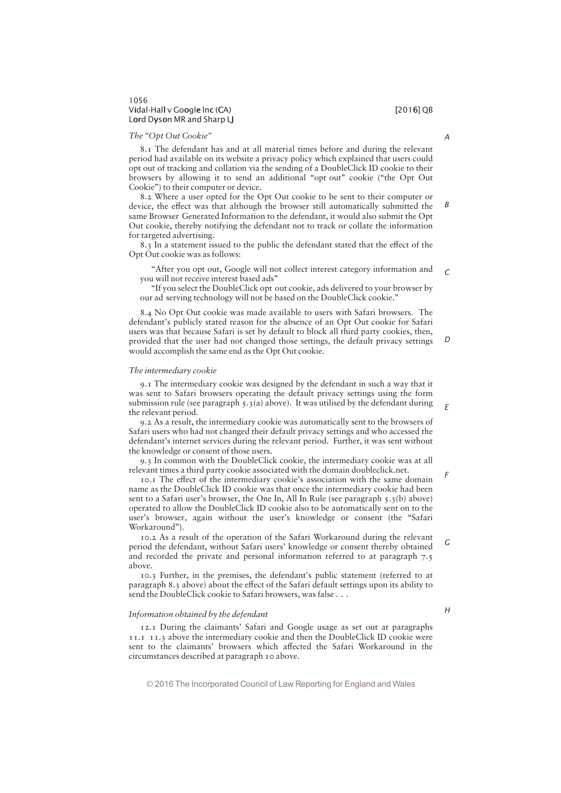# 1056 Vidal-Hall v Google Inc (CA) i later than the control of the control of  $[2016]$  QB Lord Dyson MR and Sharp LJ

### The "Opt Out Cookie"

8.1 The defendant has and at all material times before and during the relevant period had available on its website a privacy policy which explained that users could opt out of tracking and collation via the sending of a DoubleClick ID cookie to their browsers by allowing it to send an additional "opt out" cookie ("the Opt Out Cookie") to their computer or device.

8.2 Where a user opted for the Opt Out cookie to be sent to their computer or device, the effect was that although the browser still automatically submitted the same Browser Generated Information to the defendant, it would also submit the Opt Out cookie, thereby notifying the defendant not to track or collate the information for targeted advertising. B

8.3 In a statement issued to the public the defendant stated that the effect of the Opt Out cookie was as follows:

"After you opt out, Google will not collect interest category information and you will not receive interest based ads"  $\sqrt{ }$ 

"If you select the DoubleClick opt out cookie, ads delivered to your browser by our ad serving technology will not be based on the DoubleClick cookie."

8.4 No Opt Out cookie was made available to users with Safari browsers. The defendant's publicly stated reason for the absence of an Opt Out cookie for Safari users was that because Safari is set by default to block all third party cookies, then, provided that the user had not changed those settings, the default privacy settings would accomplish the same end as the Opt Out cookie.  $\Gamma$ 

### The intermediary cookie

9.1 The intermediary cookie was designed by the defendant in such a way that it was sent to Safari browsers operating the default privacy settings using the form submission rule (see paragraph  $5.3(a)$  above). It was utilised by the defendant during the relevant period.

9.2 As a result, the intermediary cookie was automatically sent to the browsers of Safari users who had not changed their default privacy settings and who accessed the defendant's internet services during the relevant period. Further, it was sent without the knowledge or consent of those users.

9.3 In common with the DoubleClick cookie, the intermediary cookie was at all relevant times a third party cookie associated with the domain doubleclick.net.

10.1 The effect of the intermediary cookie's association with the same domain name as the DoubleClick ID cookie was that once the intermediary cookie had been sent to a Safari user's browser, the One In, All In Rule (see paragraph  $\zeta$ , $\zeta$ (b) above) operated to allow the DoubleClick ID cookie also to be automatically sent on to the user's browser, again without the user's knowledge or consent (the "Safari Workaround").

10.2 As a result of the operation of the Safari Workaround during the relevant period the defendant, without Safari users' knowledge or consent thereby obtained and recorded the private and personal information referred to at paragraph 7.5 above. G

10.3 Further, in the premises, the defendant's public statement (referred to at paragraph 8.3 above) about the effect of the Safari default settings upon its ability to send the DoubleClick cookie to Safari browsers, was false . . .

# Information obtained by the defendant

12.1 During the claimants' Safari and Google usage as set out at paragraphs 11.1 11.3 above the intermediary cookie and then the DoubleClick ID cookie were sent to the claimants' browsers which affected the Safari Workaround in the circumstances described at paragraph 10 above.

© 2016 The Incorporated Council of Law Reporting for England and Wales

H

E

F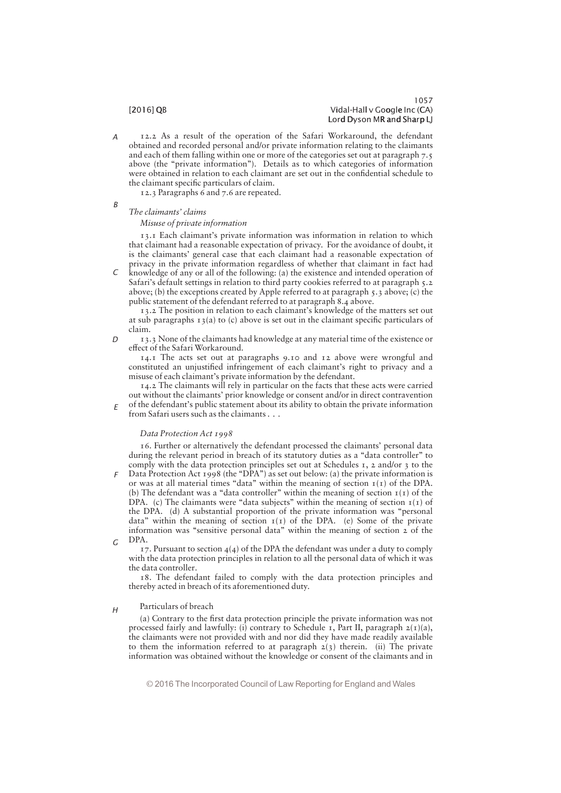### 1057 [2016] QB Vidal-Hall v Google Inc (CA) Lord Dyson MR and Sharp LJ

12.2 As a result of the operation of the Safari Workaround, the defendant obtained and recorded personal and/or private information relating to the claimants and each of them falling within one or more of the categories set out at paragraph 7.5 above (the "private information"). Details as to which categories of information were obtained in relation to each claimant are set out in the confidential schedule to the claimant specific particulars of claim. A

12.3 Paragraphs 6 and 7.6 are repeated.

# The claimants' claims Misuse of private information

13.1 Each claimant's private information was information in relation to which that claimant had a reasonable expectation of privacy. For the avoidance of doubt, it is the claimants' general case that each claimant had a reasonable expectation of privacy in the private information regardless of whether that claimant in fact had

knowledge of any or all of the following: (a) the existence and intended operation of Safari's default settings in relation to third party cookies referred to at paragraph 5.2 above; (b) the exceptions created by Apple referred to at paragraph 5.3 above; (c) the public statement of the defendant referred to at paragraph 8.4 above. C

13.2 The position in relation to each claimant's knowledge of the matters set out at sub paragraphs  $13(a)$  to (c) above is set out in the claimant specific particulars of claim.

13.3 None of the claimants had knowledge at any material time of the existence or effect of the Safari Workaround.  $\Gamma$ 

14.1 The acts set out at paragraphs 9.10 and 12 above were wrongful and constituted an unjustified infringement of each claimant's right to privacy and a misuse of each claimant's private information by the defendant.

14.2 The claimants will rely in particular on the facts that these acts were carried out without the claimants' prior knowledge or consent and/or in direct contravention of the defendant's public statement about its ability to obtain the private information from Safari users such as the claimants . . . E

## Data Protection Act 1998

16. Further or alternatively the defendant processed the claimants' personal data during the relevant period in breach of its statutory duties as a "data controller" to comply with the data protection principles set out at Schedules  $\tau$ , 2 and/or 3 to the

Data Protection Act 1998 (the "DPA") as set out below: (a) the private information is or was at all material times "data" within the meaning of section  $I(I)$  of the DPA. (b) The defendant was a "data controller" within the meaning of section  $I(I)$  of the DPA. (c) The claimants were "data subjects" within the meaning of section  $I(I)$  of the DPA. (d) A substantial proportion of the private information was "personal data" within the meaning of section  $I(I)$  of the DPA. (e) Some of the private information was "sensitive personal data" within the meaning of section  $2$  of the DPA. F G

17. Pursuant to section  $4(4)$  of the DPA the defendant was under a duty to comply with the data protection principles in relation to all the personal data of which it was the data controller.

18. The defendant failed to comply with the data protection principles and thereby acted in breach of its aforementioned duty.

### Particulars of breach H

(a) Contrary to the first data protection principle the private information was not processed fairly and lawfully: (i) contrary to Schedule 1, Part II, paragraph  $2(T)(a)$ , the claimants were not provided with and nor did they have made readily available to them the information referred to at paragraph  $2(3)$  therein. (ii) The private information was obtained without the knowledge or consent of the claimants and in

B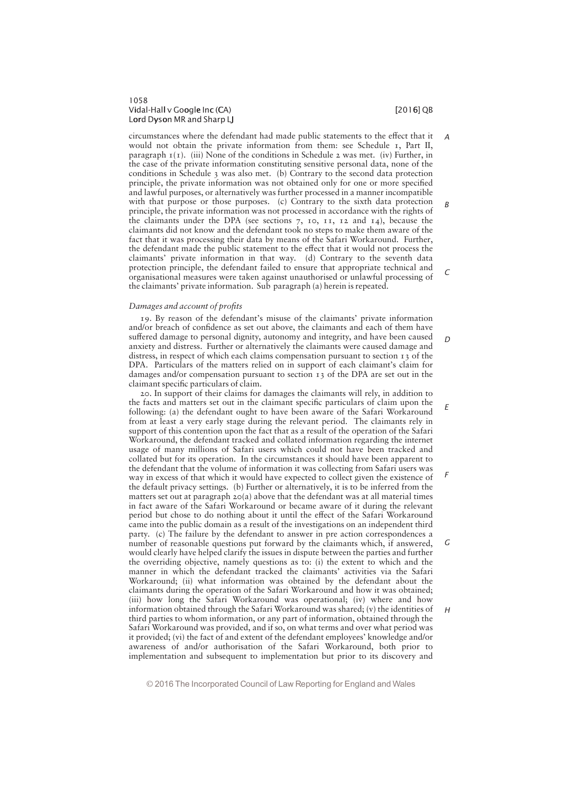# 1058 Vidal-Hall v Google Inc (CA) i later than the control of the control of  $[2016]$  QB Lord Dyson MR and Sharp LJ

A

B

 $\Gamma$ 

D

F

circumstances where the defendant had made public statements to the effect that it would not obtain the private information from them: see Schedule 1, Part II, paragraph  $I(I)$ . (iii) None of the conditions in Schedule 2 was met. (iv) Further, in the case of the private information constituting sensitive personal data, none of the conditions in Schedule 3 was also met. (b) Contrary to the second data protection principle, the private information was not obtained only for one or more specified and lawful purposes, or alternatively was further processed in a manner incompatible with that purpose or those purposes. (c) Contrary to the sixth data protection principle, the private information was not processed in accordance with the rights of the claimants under the DPA (see sections 7, 10, 11, 12 and 14), because the claimants did not know and the defendant took no steps to make them aware of the fact that it was processing their data by means of the Safari Workaround. Further, the defendant made the public statement to the effect that it would not process the claimants' private information in that way. (d) Contrary to the seventh data protection principle, the defendant failed to ensure that appropriate technical and organisational measures were taken against unauthorised or unlawful processing of the claimants' private information. Sub paragraph (a) herein is repeated.

### Damages and account of profits

19. By reason of the defendant's misuse of the claimants' private information and/or breach of confidence as set out above, the claimants and each of them have suffered damage to personal dignity, autonomy and integrity, and have been caused anxiety and distress. Further or alternatively the claimants were caused damage and distress, in respect of which each claims compensation pursuant to section 13 of the DPA. Particulars of the matters relied on in support of each claimant's claim for damages and/or compensation pursuant to section 13 of the DPA are set out in the claimant specific particulars of claim.

20. In support of their claims for damages the claimants will rely, in addition to the facts and matters set out in the claimant specific particulars of claim upon the following: (a) the defendant ought to have been aware of the Safari Workaround from at least a very early stage during the relevant period. The claimants rely in support of this contention upon the fact that as a result of the operation of the Safari Workaround, the defendant tracked and collated information regarding the internet usage of many millions of Safari users which could not have been tracked and collated but for its operation. In the circumstances it should have been apparent to the defendant that the volume of information it was collecting from Safari users was way in excess of that which it would have expected to collect given the existence of the default privacy settings. (b) Further or alternatively, it is to be inferred from the matters set out at paragraph  $2O(a)$  above that the defendant was at all material times in fact aware of the Safari Workaround or became aware of it during the relevant period but chose to do nothing about it until the effect of the Safari Workaround came into the public domain as a result of the investigations on an independent third party. (c) The failure by the defendant to answer in pre action correspondences a number of reasonable questions put forward by the claimants which, if answered, would clearly have helped clarify the issues in dispute between the parties and further the overriding objective, namely questions as to: (i) the extent to which and the manner in which the defendant tracked the claimants' activities via the Safari Workaround; (ii) what information was obtained by the defendant about the claimants during the operation of the Safari Workaround and how it was obtained; (iii) how long the Safari Workaround was operational; (iv) where and how information obtained through the Safari Workaround was shared; (v) the identities of third parties to whom information, or any part of information, obtained through the Safari Workaround was provided, and if so, on what terms and over what period was it provided; (vi) the fact of and extent of the defendant employees' knowledge and/or awareness of and/or authorisation of the Safari Workaround, both prior to implementation and subsequent to implementation but prior to its discovery and E G H